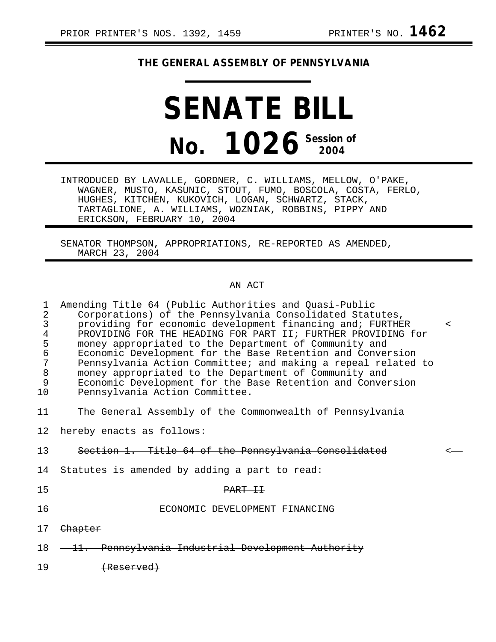## **THE GENERAL ASSEMBLY OF PENNSYLVANIA**

# **SENATE BILL No. 1026 Session of 2004**

INTRODUCED BY LAVALLE, GORDNER, C. WILLIAMS, MELLOW, O'PAKE, WAGNER, MUSTO, KASUNIC, STOUT, FUMO, BOSCOLA, COSTA, FERLO, HUGHES, KITCHEN, KUKOVICH, LOGAN, SCHWARTZ, STACK, TARTAGLIONE, A. WILLIAMS, WOZNIAK, ROBBINS, PIPPY AND ERICKSON, FEBRUARY 10, 2004

SENATOR THOMPSON, APPROPRIATIONS, RE-REPORTED AS AMENDED, MARCH 23, 2004

### AN ACT

| 1<br>$\overline{2}$<br>3<br>$\bf 4$<br>5<br>6<br>7<br>$\, 8$<br>9<br>10 | Amending Title 64 (Public Authorities and Quasi-Public<br>Corporations) of the Pennsylvania Consolidated Statutes,<br>providing for economic development financing and; FURTHER<br>PROVIDING FOR THE HEADING FOR PART II; FURTHER PROVIDING for<br>money appropriated to the Department of Community and<br>Economic Development for the Base Retention and Conversion<br>Pennsylvania Action Committee; and making a repeal related to<br>money appropriated to the Department of Community and<br>Economic Development for the Base Retention and Conversion<br>Pennsylvania Action Committee. |  |
|-------------------------------------------------------------------------|--------------------------------------------------------------------------------------------------------------------------------------------------------------------------------------------------------------------------------------------------------------------------------------------------------------------------------------------------------------------------------------------------------------------------------------------------------------------------------------------------------------------------------------------------------------------------------------------------|--|
| 11                                                                      | The General Assembly of the Commonwealth of Pennsylvania                                                                                                                                                                                                                                                                                                                                                                                                                                                                                                                                         |  |
| 12                                                                      | hereby enacts as follows:                                                                                                                                                                                                                                                                                                                                                                                                                                                                                                                                                                        |  |
| 13                                                                      | Section 1. Title 64 of the Pennsylvania Consolidated                                                                                                                                                                                                                                                                                                                                                                                                                                                                                                                                             |  |
| 14                                                                      | Statutes is amended by adding a part to read:                                                                                                                                                                                                                                                                                                                                                                                                                                                                                                                                                    |  |
| 15                                                                      | PART TT                                                                                                                                                                                                                                                                                                                                                                                                                                                                                                                                                                                          |  |
| 16                                                                      | C DEVELOPMENT FINANC                                                                                                                                                                                                                                                                                                                                                                                                                                                                                                                                                                             |  |
| 17                                                                      | Chapter                                                                                                                                                                                                                                                                                                                                                                                                                                                                                                                                                                                          |  |
| 18                                                                      | Pennsylvania Industrial Development Authority                                                                                                                                                                                                                                                                                                                                                                                                                                                                                                                                                    |  |
| 19                                                                      |                                                                                                                                                                                                                                                                                                                                                                                                                                                                                                                                                                                                  |  |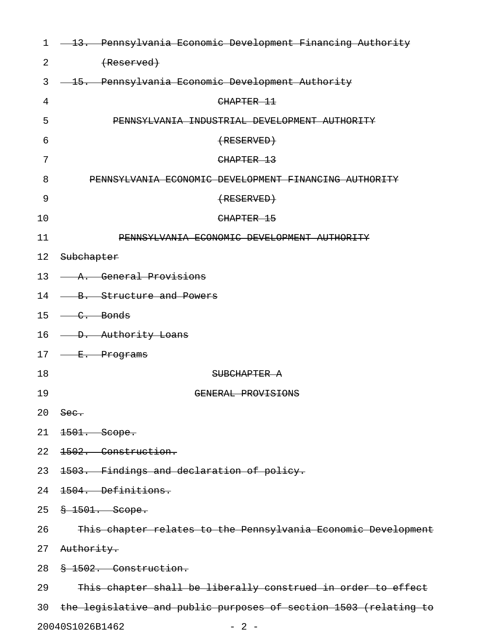| $\mathbf 1$ | - 13. Pennsylvania Economic Development Financing Authority      |
|-------------|------------------------------------------------------------------|
| 2           | (Reserved)                                                       |
| 3           | - 15. Pennsylvania Economic Development Authority                |
| 4           | CHAPTER 11                                                       |
| 5           | PENNSYLVANIA INDUSTRIAL DEVELOPMENT AUTHORITY                    |
| 6           | $\overline{RESERVED}$                                            |
| 7           | CHAPTER 13                                                       |
| 8           | PENNSYLVANIA ECONOMIC DEVELOPMENT FINANCING AUTHORITY            |
| 9           | $\overline{RESERVED}$                                            |
| 10          | CHAPTER 15                                                       |
| 11          | PENNSYLVANIA ECONOMIC DEVELOPMENT AUTHORITY                      |
| 12          | Subchapter                                                       |
|             | 13 - A. General Provisions                                       |
| 14          | - B. Structure and Powers                                        |
|             | $15 \leftarrow c$ . Bonds                                        |
|             | 16 - D. Authority Loans                                          |
|             | 17 <del>E. Programs</del>                                        |
| 18          | SUBCHAPTER A                                                     |
| 19          | GENERAL PROVISIONS                                               |
| 20          | <del>Sec.</del>                                                  |
| 21          | <del>1501. Scope.</del>                                          |
| 22          | 1502. Construction.                                              |
| 23          | 1503. Findings and declaration of policy.                        |
| 24          | <del>1504. Definitions.</del>                                    |
|             | 25 <del>§ 1501. Scope.</del>                                     |
| 26          | This chapter relates to the Pennsylvania Economic Development    |
| 27          | <del>Authority.</del>                                            |
| 28          | § 1502. Construction.                                            |
| 29          | This chapter shall be liberally construed in order to effect     |
| 30          | the legislative and public purposes of section 1503 (relating to |
|             | 20040S1026B1462<br>$-2-$                                         |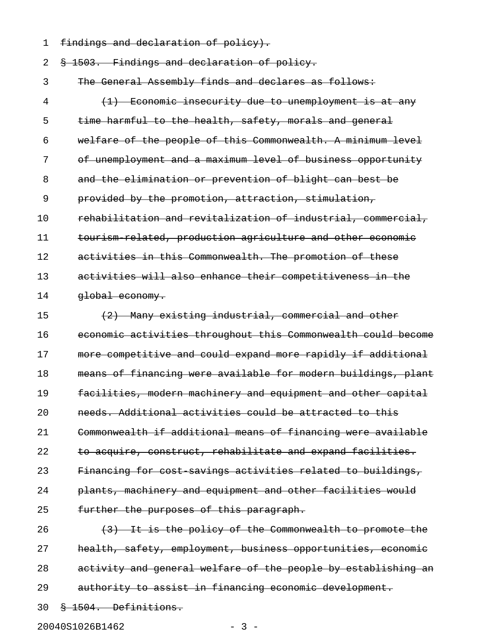1 findings and declaration of policy).

2 § 1503. Findings and declaration of policy.

3 The General Assembly finds and declares as follows:

4 (1) Economic insecurity due to unemployment is at any 5 time harmful to the health, safety, morals and general 6 welfare of the people of this Commonwealth. A minimum level 7 of unemployment and a maximum level of business opportunity 8 and the elimination or prevention of blight can best be 9 provided by the promotion, attraction, stimulation, 10 rehabilitation and revitalization of industrial, commercial, 11 tourism related, production agriculture and other economic 12 activities in this Commonwealth. The promotion of these 13 activities will also enhance their competitiveness in the 14 **global economy.** 

15  $(2)$  Many existing industrial, commercial and other 16 economic activities throughout this Commonwealth could become 17 more competitive and could expand more rapidly if additional 18 means of financing were available for modern buildings, plant 19 facilities, modern machinery and equipment and other capital 20 needs. Additional activities could be attracted to this 21 Commonwealth if additional means of financing were available 22 to acquire, construct, rehabilitate and expand facilities. 23 Financing for cost savings activities related to buildings, 24 plants, machinery and equipment and other facilities would 25 further the purposes of this paragraph.

26  $(3)$  It is the policy of the Commonwealth to promote the 27 health, safety, employment, business opportunities, economic 28 activity and general welfare of the people by establishing an 29 authority to assist in financing economic development.

30 § 1504. Definitions.

20040S1026B1462 - 3 -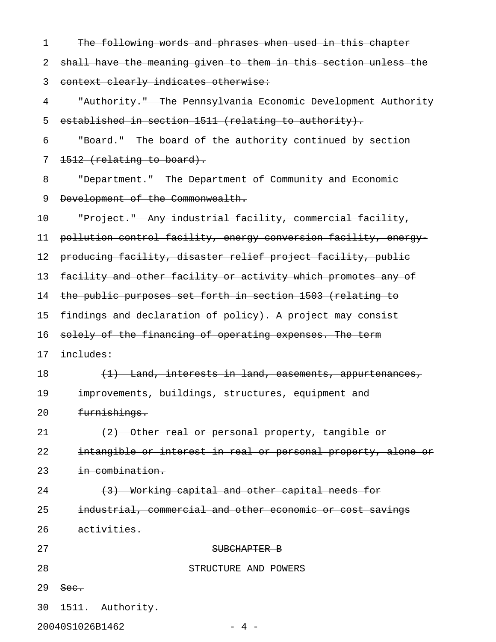| $\mathbf 1$ | The following words and phrases when used in this chapter       |
|-------------|-----------------------------------------------------------------|
| 2           | shall have the meaning given to them in this section unless the |
| 3           | context clearly indicates otherwise:                            |
| 4           | "Authority." The Pennsylvania Economic Development Authority    |
| 5           | established in section 1511 (relating to authority).            |
| 6           | "Board." The board of the authority continued by section        |
| 7           | 1512 (relating to board).                                       |
| 8           | "Department." The Department of Community and Economic          |
| 9           | Development of the Commonwealth.                                |
| 10          | "Project." Any industrial facility, commercial facility,        |
| 11          | pollution control facility, energy conversion facility, energy  |
| 12          | producing facility, disaster relief project facility, public    |
| 13          | facility and other facility or activity which promotes any of   |
| 14          | the public purposes set forth in section 1503 (relating to      |
| 15          | findings and declaration of policy). A project may consist      |
| 16          | solely of the financing of operating expenses. The term         |
| 17          | includes:                                                       |
| 18          | (1) Land, interests in land, easements, appurtenances,          |
| 19          | improvements, buildings, structures, equipment and              |
| 20          | furnishings.                                                    |
| 21          | (2) Other real or personal property, tangible or                |
| 22          | intangible or interest in real or personal property, alone or   |
| 23          | in combination.                                                 |
| 24          | (3) Working capital and other capital needs for                 |
| 25          | industrial, commercial and other economic or cost savings       |
| 26          | activities.                                                     |
| 27          | SUBCHAPTER B                                                    |
| 28          | STRUCTURE AND POWERS                                            |
| 29          | See.                                                            |
| 30          | 1511. Authority.                                                |

20040S1026B1462 - 4 -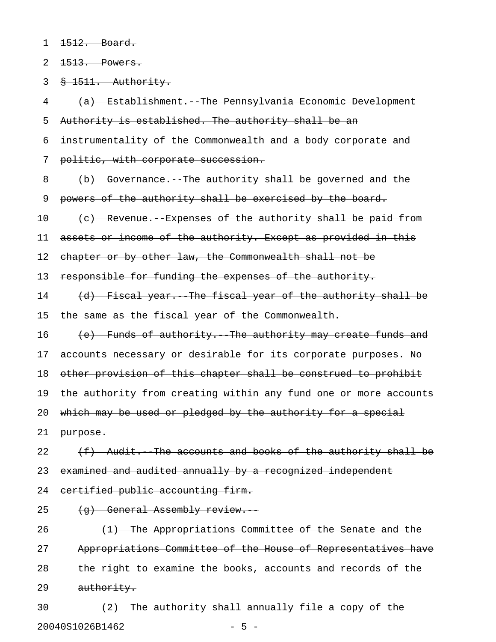1 <del>1512. Board.</del>

2 1513. Powers.

3 § 1511. Authority.

4 (a) Establishment.--The Pennsylvania Economic Development 5 Authority is established. The authority shall be an 6 instrumentality of the Commonwealth and a body corporate and 7 politic, with corporate succession. 8 (b) Governance. The authority shall be governed and the 9 powers of the authority shall be exercised by the board. 10 (c) Revenue. Expenses of the authority shall be paid from 11 assets or income of the authority. Except as provided in this 12 chapter or by other law, the Commonwealth shall not be 13 responsible for funding the expenses of the authority. 14 (d) Fiscal year. The fiscal year of the authority shall be 15 the same as the fiscal year of the Commonwealth. 16 (e) Funds of authority. The authority may create funds and 17 accounts necessary or desirable for its corporate purposes. No 18 other provision of this chapter shall be construed to prohibit 19 the authority from creating within any fund one or more accounts 20 which may be used or pledged by the authority for a special 21 purpose. 22  $(f)$  Audit. The accounts and books of the authority shall be 23 examined and audited annually by a recognized independent 24 certified public accounting firm. 25 (g) General Assembly review. 26  $(1)$  The Appropriations Committee of the Senate and the 27 Appropriations Committee of the House of Representatives have 28 the right to examine the books, accounts and records of the 29 authority.

30  $(2)$  The authority shall annually file a copy of the 20040S1026B1462 - 5 -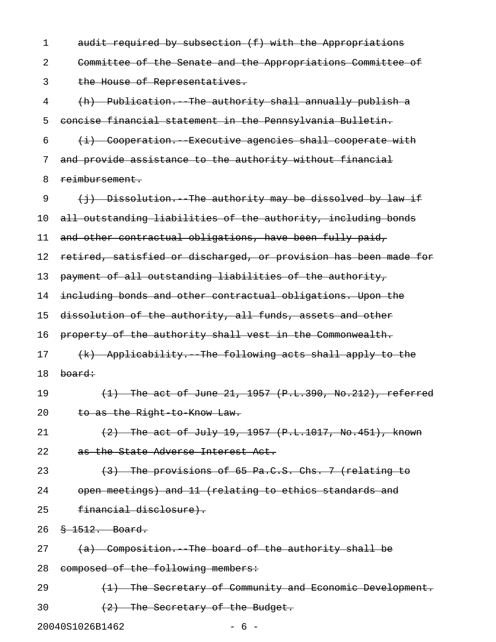| 1  | audit required by subsection (f) with the Appropriations         |
|----|------------------------------------------------------------------|
| 2  | Committee of the Senate and the Appropriations Committee of      |
| 3  | the House of Representatives.                                    |
| 4  | (h) Publication. The authority shall annually publish a          |
| 5  | concise financial statement in the Pennsylvania Bulletin.        |
| 6  | (i) Cooperation. Executive agencies shall cooperate with         |
| 7  | and provide assistance to the authority without financial        |
| 8  | reimbursement.                                                   |
| 9  | (j) Dissolution. The authority may be dissolved by law if        |
| 10 | all outstanding liabilities of the authority, including bonds    |
| 11 | and other contractual obligations, have been fully paid,         |
| 12 | retired, satisfied or discharged, or provision has been made for |
| 13 | payment of all outstanding liabilities of the authority,         |
| 14 | including bonds and other contractual obligations. Upon the      |
| 15 | dissolution of the authority, all funds, assets and other        |
| 16 | property of the authority shall vest in the Commonwealth.        |
| 17 | (k) Applicability. The following acts shall apply to the         |
| 18 | board:                                                           |
| 19 | $(1)$ The act of June 21, 1957 $(P.L.390, No.212)$ , referred    |
| 20 | to as the Right to Know Law.                                     |
| 21 | $(2)$ The act of July 19, 1957 (P.L.1017, No.451), known         |
| 22 | as the State Adverse Interest Act.                               |
| 23 | (3) The provisions of 65 Pa.C.S. Chs. 7 (relating to             |
| 24 | open meetings) and 11 (relating to ethics standards and          |
| 25 | financial disclosure).                                           |
| 26 | $\frac{8}{9}$ 1512. Board.                                       |
| 27 | (a) Composition. The board of the authority shall be             |
| 28 | composed of the following members:                               |
| 29 | (1) The Secretary of Community and Economic Development.         |
| 30 | (2) The Secretary of the Budget.                                 |

20040S1026B1462 - 6 -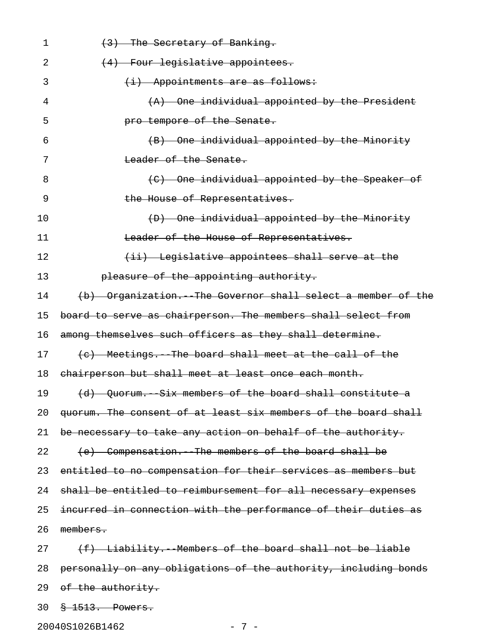| 1  | (3) The Secretary of Banking.                                   |
|----|-----------------------------------------------------------------|
| 2  | (4) Four legislative appointees.                                |
| 3  | $(i)$ Appointments are as follows:                              |
| 4  | (A) One individual appointed by the President                   |
| 5  | pro tempore of the Senate.                                      |
| 6  | (B) One individual appointed by the Minority                    |
| 7  | Leader of the Senate.                                           |
| 8  | (C) One individual appointed by the Speaker of                  |
| 9  | the House of Representatives.                                   |
| 10 | (D) One individual appointed by the Minority                    |
| 11 | Leader of the House of Representatives.                         |
| 12 | (ii) Legislative appointees shall serve at the                  |
| 13 | pleasure of the appointing authority.                           |
| 14 | (b) Organization. The Governor shall select a member of the     |
| 15 | board to serve as chairperson. The members shall select from    |
| 16 | among themselves such officers as they shall determine.         |
| 17 | (c) Meetings. The board shall meet at the call of the           |
| 18 | chairperson but shall meet at least once each month.            |
| 19 | (d) Quorum. Six members of the board shall constitute a         |
| 20 | quorum. The consent of at least six members of the board shall  |
| 21 | be necessary to take any action on behalf of the authority.     |
| 22 | (e) Compensation. The members of the board shall be             |
| 23 | entitled to no compensation for their services as members but   |
| 24 | shall be entitled to reimbursement for all necessary expenses   |
| 25 | incurred in connection with the performance of their duties as  |
| 26 | members.                                                        |
| 27 | (f) Liability. Members of the board shall not be liable         |
| 28 | personally on any obligations of the authority, including bonds |
| 29 | <del>of the authority.</del>                                    |
| 30 | <del>§ 1513. Powers.</del>                                      |

20040S1026B1462 - 7 -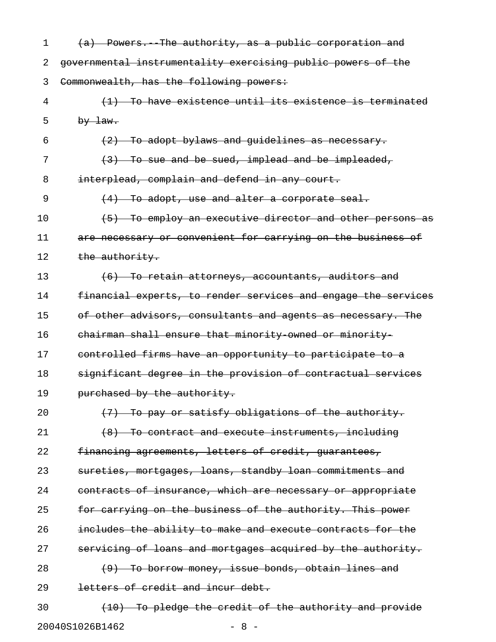| 1  | (a) Powers. The authority, as a public corporation and                     |
|----|----------------------------------------------------------------------------|
| 2  | governmental instrumentality exercising public powers of the               |
| 3  | Commonwealth, has the following powers:                                    |
| 4  | To have existence until its existence is terminated                        |
| 5  | $by$ $\frac{1}{2}$                                                         |
| 6  | To adopt bylaws and guidelines as necessary.<br>$\left(\frac{2}{2}\right)$ |
| 7  | To sue and be sued, implead and be impleaded,<br>(3)                       |
| 8  | interplead, complain and defend in any court.                              |
| 9  | To adopt, use and alter a corporate seal.<br>$\left(4\right)$              |
| 10 | To employ an executive director and other persons as<br>(5)                |
| 11 | are necessary or convenient for carrying on the business of                |
| 12 | the authority.                                                             |
| 13 | $+6$ )<br><u>To retain attorneys, accountants, auditors and</u>            |
| 14 | financial experts, to render services and engage the services              |
| 15 | of other advisors, consultants and agents as necessary. The                |
| 16 | chairman shall ensure that minority owned or minority                      |
| 17 | controlled firms have an opportunity to participate to a                   |
| 18 | significant degree in the provision of contractual services                |
| 19 | purchased by the authority.                                                |
| 20 | (7) To pay or satisfy obligations of the authority.                        |
| 21 | (8) To contract and execute instruments, including                         |
| 22 | financing agreements, letters of credit, guarantees,                       |
| 23 | sureties, mortgages, loans, standby loan commitments and                   |
| 24 | contracts of insurance, which are necessary or appropriate                 |
| 25 | for carrying on the business of the authority. This power                  |
| 26 | includes the ability to make and execute contracts for the                 |
| 27 | servicing of loans and mortgages acquired by the authority.                |
| 28 | (9) To borrow money, issue bonds, obtain lines and                         |
| 29 | letters of credit and incur debt.                                          |
| 30 | (10) To pledge the credit of the authority and provide                     |
|    |                                                                            |

20040S1026B1462 - 8 -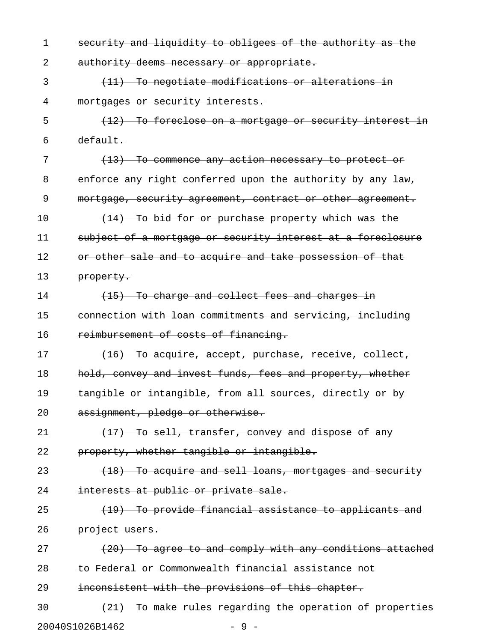| $\mathbf 1$ | security and liquidity to obligees of the authority as the  |
|-------------|-------------------------------------------------------------|
| 2           | authority deems necessary or appropriate.                   |
| 3           | (11) To negotiate modifications or alterations in           |
| 4           | mortgages or security interests.                            |
| 5           | (12) To foreclose on a mortgage or security interest in     |
| 6           | default.                                                    |
| 7           | (13) To commence any action necessary to protect or         |
| 8           | enforce any right conferred upon the authority by any law,  |
| 9           | mortgage, security agreement, contract or other agreement.  |
| 10          | (14) To bid for or purchase property which was the          |
| 11          | subject of a mortgage or security interest at a foreclosure |
| 12          | or other sale and to acquire and take possession of that    |
| 13          | property.                                                   |
| 14          | $(15)$ To charge and collect fees and charges in            |
| 15          | connection with loan commitments and servicing, including   |
| 16          | reimbursement of costs of financing.                        |
| 17          | (16) To acquire, accept, purchase, receive, collect,        |
| 18          | hold, convey and invest funds, fees and property, whether   |
| 19          | tangible or intangible, from all sources, directly or by    |
| 20          | assignment, pledge or otherwise.                            |
| 21          | (17) To sell, transfer, convey and dispose of any           |
| 22          | property, whether tangible or intangible.                   |
| 23          | (18) To acquire and sell loans, mortgages and security      |
| 24          | interests at public or private sale.                        |
| 25          | (19) To provide financial assistance to applicants and      |
| 26          | project users.                                              |
| 27          | (20) To agree to and comply with any conditions attached    |
| 28          | to Federal or Commonwealth financial assistance not         |
| 29          | inconsistent with the provisions of this chapter.           |
| 30          | (21) To make rules regarding the operation of properties    |
|             | 20040S1026B1462<br>- 9                                      |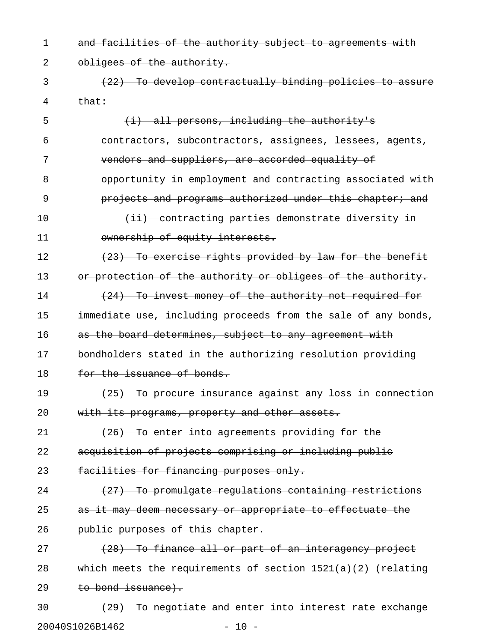1 and facilities of the authority subject to agreements with 2 obligees of the authority.

3 (22) To develop contractually binding policies to assure  $4 \qquad \qquad \text{that}$ 

5 (i) all persons, including the authority's 6 contractors, subcontractors, assignees, lessees, agents, 7 vendors and suppliers, are accorded equality of 8 opportunity in employment and contracting associated with 9 **12 projects and programs authorized under this chapter; and** 10 (ii) contracting parties demonstrate diversity in 11 ownership of equity interests.  $12$  (23) To exercise rights provided by law for the benefit 13 or protection of the authority or obligees of the authority. 14 (24) To invest money of the authority not required for 15 immediate use, including proceeds from the sale of any bonds, 16 as the board determines, subject to any agreement with 17 bondholders stated in the authorizing resolution providing 18 for the issuance of bonds. 19 (25) To procure insurance against any loss in connection 20 with its programs, property and other assets. 21 (26) To enter into agreements providing for the 22 acquisition of projects comprising or including public 23 facilities for financing purposes only. 24 (27) To promulgate regulations containing restrictions 25 as it may deem necessary or appropriate to effectuate the 26 **public purposes of this chapter.** 27 (28) To finance all or part of an interagency project 28 which meets the requirements of section 1521(a)(2) (relating 29 to bond issuance). 30 (29) To negotiate and enter into interest rate exchange

20040S1026B1462 - 10 -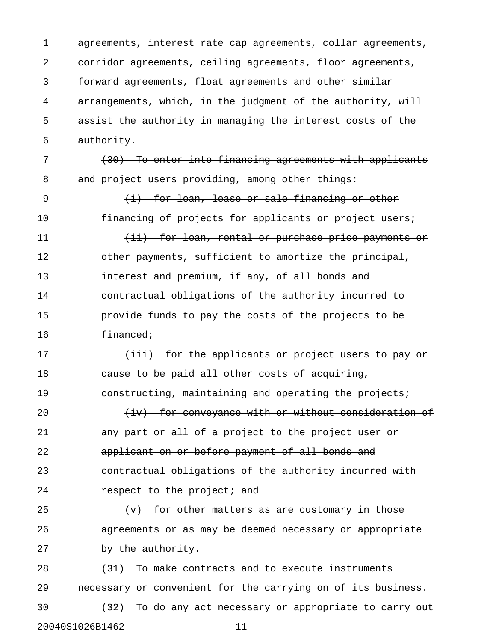| 1  | agreements, interest rate cap agreements, collar agreements, |
|----|--------------------------------------------------------------|
| 2  | corridor agreements, ceiling agreements, floor agreements,   |
| 3  | forward agreements, float agreements and other similar       |
| 4  | arrangements, which, in the judgment of the authority, will  |
| 5  | assist the authority in managing the interest costs of the   |
| 6  | authority.                                                   |
| 7  | (30) To enter into financing agreements with applicants      |
| 8  | and project users providing, among other things:             |
| 9  | $(i)$ for loan, lease or sale financing or other             |
| 10 | financing of projects for applicants or project users;       |
| 11 | (ii) for loan, rental or purchase price payments or          |
| 12 | other payments, sufficient to amortize the principal,        |
| 13 | interest and premium, if any, of all bonds and               |
| 14 | contractual obligations of the authority incurred to         |
| 15 | provide funds to pay the costs of the projects to be         |
| 16 | <del>financed;</del>                                         |
| 17 | (iii) for the applicants or project users to pay or          |
| 18 | cause to be paid all other costs of acquiring,               |
| 19 | constructing, maintaining and operating the projects;        |
| 20 | (iv) for conveyance with or without consideration of         |
| 21 | any part or all of a project to the project user or          |
| 22 | applicant on or before payment of all bonds and              |
| 23 | contractual obligations of the authority incurred with       |
| 24 | respect to the project; and                                  |
| 25 | $(v)$ for other matters as are customary in those            |
| 26 | agreements or as may be deemed necessary or appropriate      |
| 27 | by the authority.                                            |
| 28 | $(31)$ To make contracts and to execute instruments          |
| 29 | necessary or convenient for the carrying on of its business. |
| 30 | (32) To do any act necessary or appropriate to carry out     |
|    | 20040S1026B1462<br>$-11 -$                                   |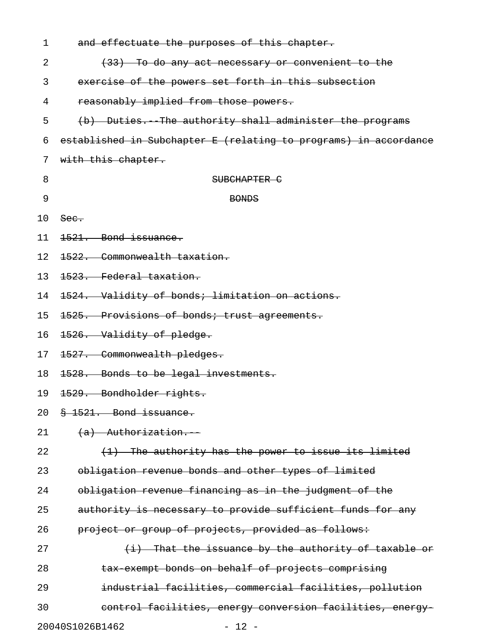| 1  | and effectuate the purposes of this chapter.                     |
|----|------------------------------------------------------------------|
| 2  | (33) To do any act necessary or convenient to the                |
| 3  | exercise of the powers set forth in this subsection              |
| 4  | reasonably implied from those powers.                            |
| 5  | (b) Duties. The authority shall administer the programs          |
| 6  | established in Subchapter E (relating to programs) in accordance |
| 7  | with this chapter.                                               |
| 8  | SUBCHAPTER C                                                     |
| 9  | <b>BONDS</b>                                                     |
| 10 | See.                                                             |
| 11 | 1521. Bond issuance.                                             |
| 12 | 1522. Commonwealth taxation.                                     |
| 13 | 1523. Federal taxation.                                          |
| 14 | 1524. Validity of bonds; limitation on actions.                  |
| 15 | 1525. Provisions of bonds; trust agreements.                     |
| 16 | 1526. Validity of pledge.                                        |
| 17 | 1527. Commonwealth pledges.                                      |
| 18 | 1528. Bonds to be legal investments.                             |
| 19 | 1529. Bondholder rights.                                         |
| 20 | § 1521. Bond issuance.                                           |
| 21 | $(a)$ Authorization.                                             |
| 22 | (1) The authority has the power to issue its limited             |
| 23 | obligation revenue bonds and other types of limited              |
| 24 | obligation revenue financing as in the judgment of the           |
| 25 | authority is necessary to provide sufficient funds for any       |
| 26 | project or group of projects, provided as follows:               |
| 27 | $(i)$ That the issuance by the authority of taxable or           |
| 28 | tax exempt bonds on behalf of projects comprising                |
| 29 | industrial facilities, commercial facilities, pollution          |
| 30 | control facilities, energy conversion facilities, energy-        |
|    | 20040S1026B1462<br>$-12 -$                                       |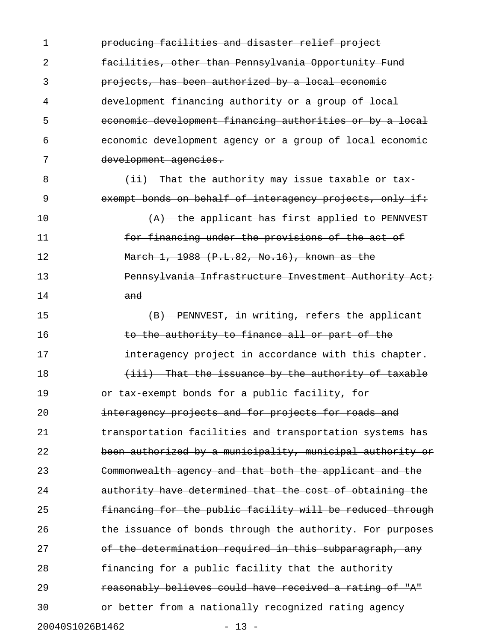1 producing facilities and disaster relief project 2 facilities, other than Pennsylvania Opportunity Fund 3 projects, has been authorized by a local economic 4 development financing authority or a group of local 5 economic development financing authorities or by a local 6 economic development agency or a group of local economic 7 development agencies. 8 (ii) That the authority may issue taxable or tax-9 exempt bonds on behalf of interagency projects, only if: 10 (A) the applicant has first applied to PENNVEST 11 **For financing under the provisions of the act of** 12 March 1, 1988 (P.L.82, No.16), known as the 13 Pennsylvania Infrastructure Investment Authority Act; 14 and 15 (B) PENNVEST, in writing, refers the applicant 16 to the authority to finance all or part of the 17 **interagency project in accordance with this chapter.** 18 (iii) That the issuance by the authority of taxable 19 **19** or tax exempt bonds for a public facility, for 20 **interagency projects and for projects for roads and** 21 **transportation facilities and transportation systems has** 22 been authorized by a municipality, municipal authority or 23 Commonwealth agency and that both the applicant and the 24 **authority have determined that the cost of obtaining the** 25 **financing for the public facility will be reduced through** 26 **the issuance of bonds through the authority. For purposes** 27 of the determination required in this subparagraph, any 28 financing for a public facility that the authority 29 **reasonably believes could have received a rating of "A"** 30 **12** or better from a nationally recognized rating agency 20040S1026B1462 - 13 -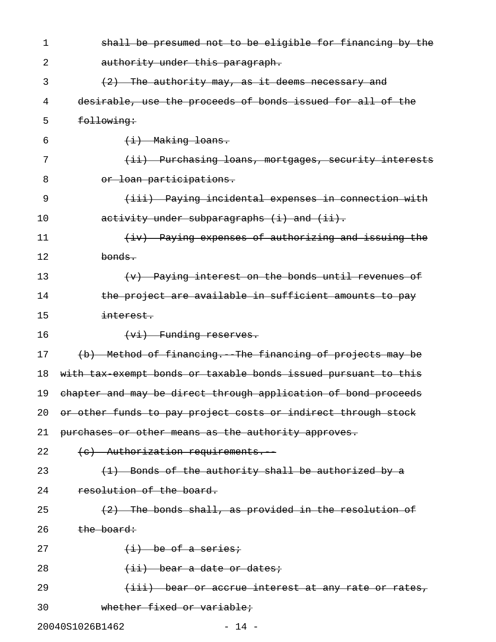| 1  | shall be presumed not to be eligible for financing by the      |
|----|----------------------------------------------------------------|
| 2  | authority under this paragraph.                                |
| 3  | $(2)$ The authority may, as it deems necessary and             |
| 4  | desirable, use the proceeds of bonds issued for all of the     |
| 5  | following:                                                     |
| 6  | (i) Making loans.                                              |
| 7  | (ii) Purchasing loans, mortgages, security interests           |
| 8  | or loan participations.                                        |
| 9  | (iii) Paying incidental expenses in connection with            |
| 10 | activity under subparagraphs (i) and (ii).                     |
| 11 | (iv) Paying expenses of authorizing and issuing the            |
| 12 | bonds.                                                         |
| 13 | (v) Paying interest on the bonds until revenues of             |
| 14 | the project are available in sufficient amounts to pay         |
| 15 | interest.                                                      |
| 16 | (vi) Funding reserves.                                         |
| 17 | (b) Method of financing. The financing of projects may be      |
| 18 | with tax exempt bonds or taxable bonds issued pursuant to this |
| 19 | chapter and may be direct through application of bond proceeds |
| 20 | or other funds to pay project costs or indirect through stock  |
| 21 | purchases or other means as the authority approves.            |
| 22 | (c) Authorization requirements.                                |
| 23 | $(1)$ Bonds of the authority shall be authorized by a          |
| 24 | resolution of the board.                                       |
| 25 | $(2)$ The bonds shall, as provided in the resolution of        |
| 26 | the board:                                                     |
| 27 | $(i)$ be of a series:                                          |
| 28 | $(iii)$ bear a date or dates;                                  |
| 29 | (iii) bear or accrue interest at any rate or rates,            |
| 30 | whether fixed or variable;                                     |
|    | 20040S1026B1462<br>$-14 -$                                     |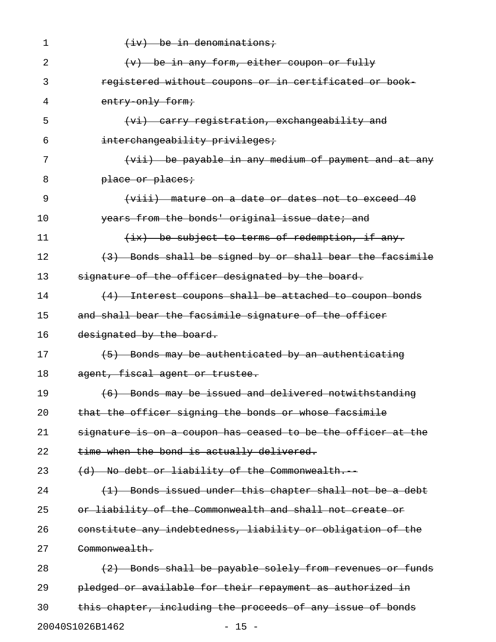| 1  | $(iv)$ be in denominations;                                  |
|----|--------------------------------------------------------------|
| 2  | $(v)$ be in any form, either coupon or fully                 |
| 3  | registered without coupons or in certificated or book-       |
| 4  | entry only form;                                             |
| 5  | (vi) carry registration, exchangeability and                 |
| 6  | interchangeability privileges;                               |
| 7  | (vii) be payable in any medium of payment and at any         |
| 8  | place or places:                                             |
| 9  | (viii) mature on a date or dates not to exceed 40            |
| 10 | years from the bonds' original issue date; and               |
| 11 | (ix) be subject to terms of redemption, if any.              |
| 12 | (3) Bonds shall be signed by or shall bear the facsimile     |
| 13 | signature of the officer designated by the board.            |
| 14 | (4) Interest coupons shall be attached to coupon bonds       |
| 15 | and shall bear the facsimile signature of the officer        |
| 16 | designated by the board.                                     |
| 17 | (5) Bonds may be authenticated by an authenticating          |
| 18 | agent, fiscal agent or trustee.                              |
| 19 | (6) Bonds may be issued and delivered notwithstanding        |
| 20 | that the officer signing the bonds or whose facsimile        |
| 21 | signature is on a coupon has ceased to be the officer at the |
| 22 | time when the bond is actually delivered.                    |
| 23 | (d) No debt or liability of the Commonwealth.                |
| 24 | (1) Bonds issued under this chapter shall not be a debt      |
| 25 | or liability of the Commonwealth and shall not create or     |
| 26 | constitute any indebtedness, liability or obligation of the  |
| 27 | Commonwealth.                                                |
| 28 | (2) Bonds shall be payable solely from revenues or funds     |
| 29 | pledged or available for their repayment as authorized in    |
| 30 | this chapter, including the proceeds of any issue of bonds   |
|    | 20040S1026B1462<br>$-15 -$                                   |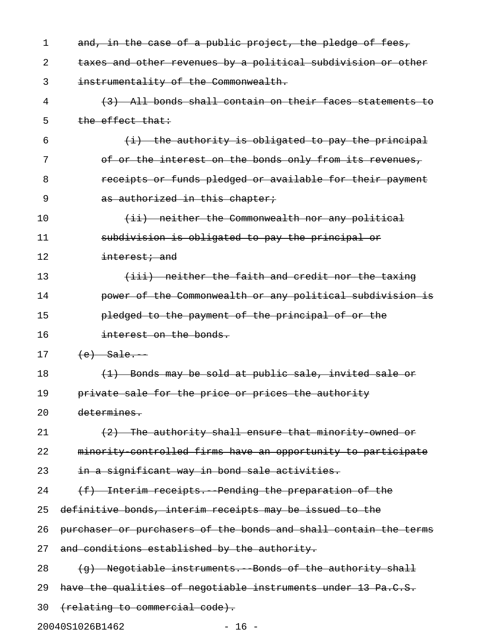| 1  | and, in the case of a public project, the pledge of fees,        |
|----|------------------------------------------------------------------|
| 2  | taxes and other revenues by a political subdivision or other     |
| 3  | instrumentality of the Commonwealth.                             |
| 4  | (3) All bonds shall contain on their faces statements to         |
| 5  | $the$ effect that:                                               |
| 6  | $(i)$ the authority is obligated to pay the principal            |
| 7  | of or the interest on the bonds only from its revenues,          |
| 8  | receipts or funds pledged or available for their payment         |
| 9  | as authorized in this chapter;                                   |
| 10 | (ii) neither the Commonwealth nor any political                  |
| 11 | subdivision is obligated to pay the principal or                 |
| 12 | intercept: and                                                   |
| 13 | (iii) neither the faith and credit nor the taxing                |
| 14 | power of the Commonwealth or any political subdivision is        |
| 15 | pledged to the payment of the principal of or the                |
| 16 | interest on the bonds.                                           |
| 17 | $(e)$ Sale.                                                      |
| 18 | (1) Bonds may be sold at public sale, invited sale or            |
| 19 | private sale for the price or prices the authority               |
| 20 | determines.                                                      |
| 21 | (2) The authority shall ensure that minority owned or            |
| 22 | minority controlled firms have an opportunity to participate     |
| 23 | in a significant way in bond sale activities.                    |
| 24 | (f) Interim receipts. Pending the preparation of the             |
| 25 | definitive bonds, interim receipts may be issued to the          |
| 26 | purchaser or purchasers of the bonds and shall contain the terms |
| 27 | and conditions established by the authority.                     |
| 28 | (g) Negotiable instruments. Bonds of the authority shall         |
| 29 | have the qualities of negotiable instruments under 13 Pa.C.S.    |
| 30 | (relating to commercial code).                                   |
|    | 20040S1026B1462<br>$-16 -$                                       |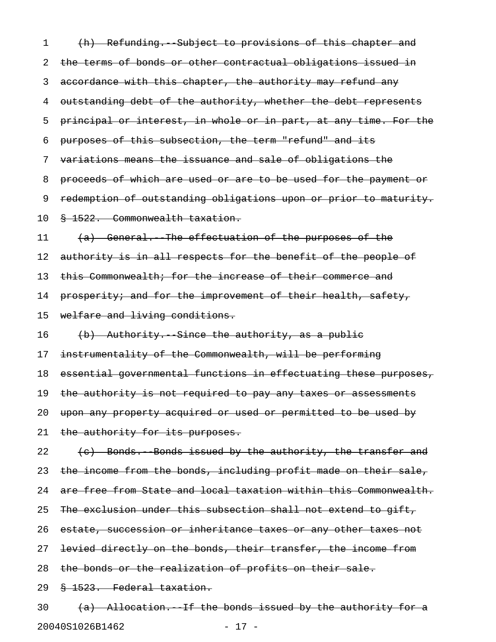1 (h) Refunding. Subject to provisions of this chapter and 2 the terms of bonds or other contractual obligations issued in 3 accordance with this chapter, the authority may refund any 4 outstanding debt of the authority, whether the debt represents 5 principal or interest, in whole or in part, at any time. For the 6 purposes of this subsection, the term "refund" and its 7 variations means the issuance and sale of obligations the 8 proceeds of which are used or are to be used for the payment or 9 redemption of outstanding obligations upon or prior to maturity. 10 § 1522. Commonwealth taxation. 11 (a) General. The effectuation of the purposes of the 12 authority is in all respects for the benefit of the people of 13 this Commonwealth; for the increase of their commerce and 14 prosperity; and for the improvement of their health, safety, 15 welfare and living conditions.  $16$  (b) Authority. Since the authority, as a public 17 instrumentality of the Commonwealth, will be performing 18 essential governmental functions in effectuating these purposes, 19 the authority is not required to pay any taxes or assessments 20 upon any property acquired or used or permitted to be used by 21 the authority for its purposes. 22  $(e)$  Bonds. Bonds issued by the authority, the transfer and 23 the income from the bonds, including profit made on their sale, 24 are free from State and local taxation within this Commonwealth. 25 The exclusion under this subsection shall not extend to gift, 26 estate, succession or inheritance taxes or any other taxes not 27 levied directly on the bonds, their transfer, the income from 28 the bonds or the realization of profits on their sale. 29 § 1523. Federal taxation.  $30$  (a) Allocation. If the bonds issued by the authority for a

20040S1026B1462 - 17 -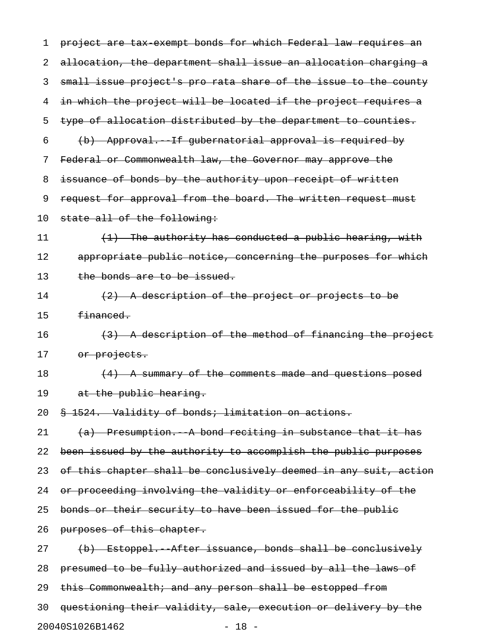1 project are tax exempt bonds for which Federal law requires an 2 allocation, the department shall issue an allocation charging a 3 small issue project's pro rata share of the issue to the county 4 in which the project will be located if the project requires a 5 type of allocation distributed by the department to counties. 6 (b) Approval.--If gubernatorial approval is required by 7 Federal or Commonwealth law, the Governor may approve the 8 issuance of bonds by the authority upon receipt of written 9 request for approval from the board. The written request must 10 state all of the following: 11  $(1)$  The authority has conducted a public hearing, with 12 appropriate public notice, concerning the purposes for which 13 the bonds are to be issued. 14  $(2)$  A description of the project or projects to be 15 financed. 16  $(3)$  A description of the method of financing the project 17 or projects.  $18$  (4) A summary of the comments made and questions posed 19 at the public hearing. 20 § 1524. Validity of bonds; limitation on actions. 21  $(a)$  Presumption. A bond reciting in substance that it has 22 been issued by the authority to accomplish the public purposes 23 of this chapter shall be conclusively deemed in any suit, action 24 or proceeding involving the validity or enforceability of the 25 bonds or their security to have been issued for the public 26 purposes of this chapter. 27 (b) Estoppel. After issuance, bonds shall be conclusively 28 presumed to be fully authorized and issued by all the laws of 29 this Commonwealth; and any person shall be estopped from 30 questioning their validity, sale, execution or delivery by the

20040S1026B1462 - 18 -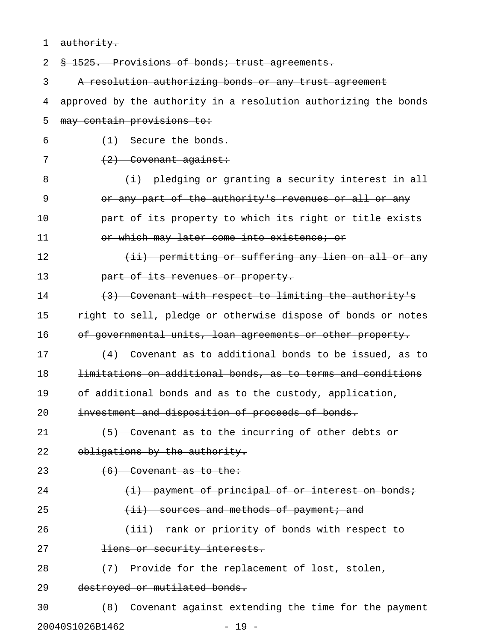| 1  | authority.                                                      |
|----|-----------------------------------------------------------------|
| 2  | § 1525. Provisions of bonds; trust agreements.                  |
| 3  | A resolution authorizing bonds or any trust agreement           |
| 4  | approved by the authority in a resolution authorizing the bonds |
| 5  | may contain provisions to:                                      |
| 6  | $(1)$ Secure the bonds.                                         |
| 7  | $(2)$ Covenant against:                                         |
| 8  | (i) pledging or granting a security interest in all             |
| 9  | or any part of the authority's revenues or all or any           |
| 10 | part of its property to which its right or title exists         |
| 11 | or which may later come into existence; or                      |
| 12 | (ii) permitting or suffering any lien on all or any             |
| 13 | part of its revenues or property.                               |
| 14 | (3) Covenant with respect to limiting the authority's           |
| 15 | right to sell, pledge or otherwise dispose of bonds or notes    |
| 16 | of governmental units, loan agreements or other property.       |
| 17 | $(4)$ Covenant as to additional bonds to be issued, as to       |
| 18 | limitations on additional bonds, as to terms and conditions     |
| 19 | of additional bonds and as to the custody, application,         |
| 20 | investment and disposition of proceeds of bonds.                |
| 21 | $(5)$ Covenant as to the incurring of other debts or            |
| 22 | obligations by the authority.                                   |
| 23 | $(6)$ Covenant as to the:                                       |
| 24 | (i) payment of principal of or interest on bonds;               |
| 25 | $(i)$ sources and methods of payment; and                       |
| 26 | (iii) rank or priority of bonds with respect to                 |
| 27 | liens or security interests.                                    |
| 28 | (7) Provide for the replacement of lost, stolen,                |
| 29 | destroyed or mutilated bonds.                                   |
| 30 | (8) Covenant against extending the time for the payment         |
|    | $-19 -$<br>20040S1026B1462                                      |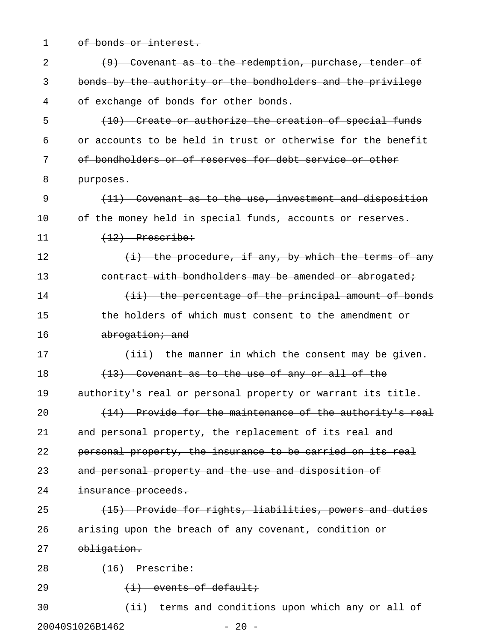1 of bonds or interest.

| 2  | (9) Covenant as to the redemption, purchase, tender of       |
|----|--------------------------------------------------------------|
| 3  | bonds by the authority or the bondholders and the privilege  |
| 4  | of exchange of bonds for other bonds.                        |
| 5  | (10) Create or authorize the creation of special funds       |
| 6  | or accounts to be held in trust or otherwise for the benefit |
| 7  | of bondholders or of reserves for debt service or other      |
| 8  | purposes.                                                    |
| 9  | (11) Covenant as to the use, investment and disposition      |
| 10 | of the money held in special funds, accounts or reserves.    |
| 11 | $(12)$ Prescribe:                                            |
| 12 | $(i)$ the procedure, if any, by which the terms of any       |
| 13 | contract with bondholders may be amended or abrogated;       |
| 14 | (ii) the percentage of the principal amount of bonds         |
| 15 | <u>the holders of which must consent to the amendment or</u> |
| 16 | abrogation; and                                              |
| 17 | (iii) the manner in which the consent may be given.          |
| 18 | $(13)$ Covenant as to the use of any or all of the           |
| 19 | authority's real or personal property or warrant its title.  |
| 20 | (14) Provide for the maintenance of the authority's real     |
| 21 | and personal property, the replacement of its real and       |
| 22 | personal property, the insurance to be carried on its real   |
| 23 | and personal property and the use and disposition of         |
| 24 | insurance proceeds.                                          |
| 25 | (15) Provide for rights, liabilities, powers and duties      |
| 26 | arising upon the breach of any covenant, condition or        |
| 27 | obligation.                                                  |
| 28 | $(16)$ Prescribe:                                            |
| 29 | $(i)$ events of default;                                     |
| 30 | (ii) terms and conditions upon which any or all of           |
|    | 20040S1026B1462<br>$-20 -$                                   |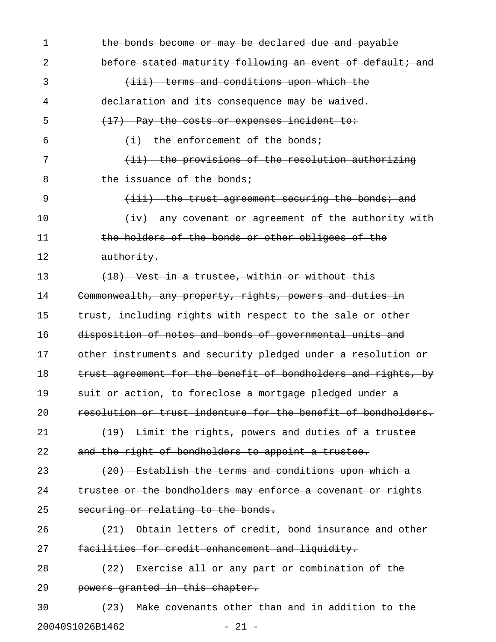| 1  | the bonds become or may be declared due and payable           |
|----|---------------------------------------------------------------|
| 2  | before stated maturity following an event of default; and     |
| 3  | (iii) terms and conditions upon which the                     |
| 4  | declaration and its consequence may be waived.                |
| 5  | (17) Pay the costs or expenses incident to:                   |
| 6  | $(i)$ the enforcement of the bonds;                           |
| 7  | (ii) the provisions of the resolution authorizing             |
| 8  | the issuance of the bonds;                                    |
| 9  | (iii) the trust agreement securing the bonds; and             |
| 10 | (iv) any covenant or agreement of the authority with          |
| 11 | the holders of the bonds or other obligees of the             |
| 12 | authority.                                                    |
| 13 | (18) Vest in a trustee, within or without this                |
| 14 | Commonwealth, any property, rights, powers and duties in      |
| 15 | trust, including rights with respect to the sale or other     |
| 16 | disposition of notes and bonds of governmental units and      |
| 17 | other instruments and security pledged under a resolution or  |
| 18 | trust agreement for the benefit of bondholders and rights, by |
| 19 | suit or action, to foreclose a mortgage pledged under a       |
| 20 | resolution or trust indenture for the benefit of bondholders. |
| 21 | (19) Limit the rights, powers and duties of a trustee         |
| 22 | and the right of bondholders to appoint a trustee.            |
| 23 | (20) Establish the terms and conditions upon which a          |
| 24 | trustee or the bondholders may enforce a covenant or rights   |
| 25 | securing or relating to the bonds.                            |
| 26 | (21) Obtain letters of credit, bond insurance and other       |
| 27 | facilities for credit enhancement and liquidity.              |
| 28 | (22) Exercise all or any part or combination of the           |
| 29 | powers granted in this chapter.                               |
| 30 | (23) Make covenants other than and in addition to the         |
|    | 20040S1026B1462<br>$-21 -$                                    |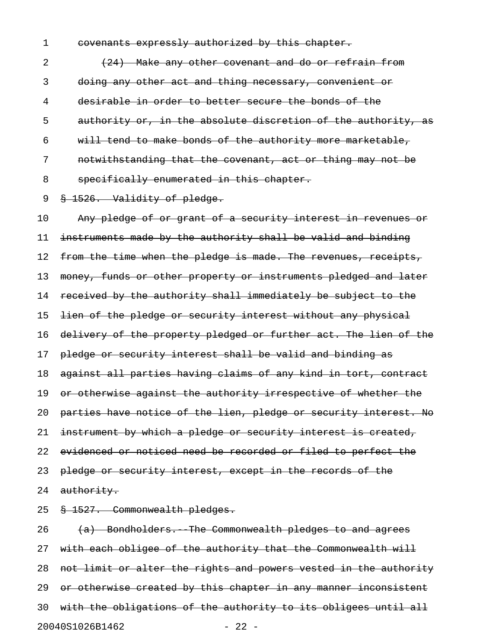1 covenants expressly authorized by this chapter.

2 (24) Make any other covenant and do or refrain from 3 doing any other act and thing necessary, convenient or 4 desirable in order to better secure the bonds of the 5 authority or, in the absolute discretion of the authority, as 6 will tend to make bonds of the authority more marketable, 7 notwithstanding that the covenant, act or thing may not be 8 specifically enumerated in this chapter.

## 9 § 1526. Validity of pledge.

10 Any pledge of or grant of a security interest in revenues or 11 instruments made by the authority shall be valid and binding 12 from the time when the pledge is made. The revenues, receipts, 13 money, funds or other property or instruments pledged and later 14 received by the authority shall immediately be subject to the 15 <del>lien of the pledge or security interest without any physical</del> 16 delivery of the property pledged or further act. The lien of the 17 pledge or security interest shall be valid and binding as 18 against all parties having claims of any kind in tort, contract 19 or otherwise against the authority irrespective of whether the 20 parties have notice of the lien, pledge or security interest. No 21 instrument by which a pledge or security interest is created, 22 evidenced or noticed need be recorded or filed to perfect the 23 pledge or security interest, except in the records of the 24 authority.

25 § 1527. Commonwealth pledges.

 $26$   $(a)$  Bondholders. The Commonwealth pledges to and agrees 27 with each obligee of the authority that the Commonwealth will 28 not limit or alter the rights and powers vested in the authority 29 or otherwise created by this chapter in any manner inconsistent 30 with the obligations of the authority to its obligees until all 20040S1026B1462 - 22 -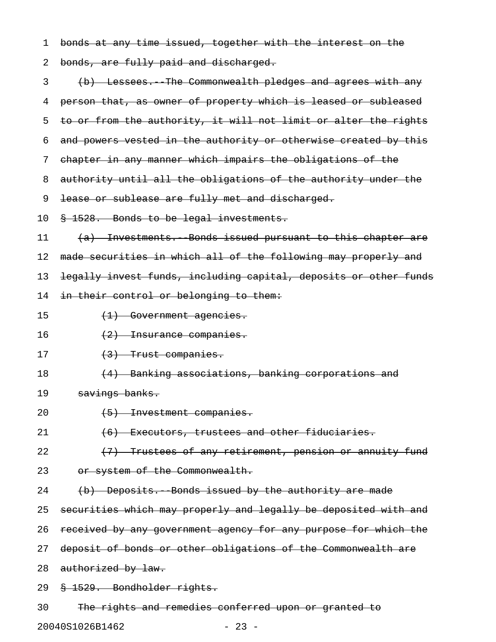1 bonds at any time issued, together with the interest on the

2 bonds, are fully paid and discharged.

| 3  | (b) Lessees. The Commonwealth pledges and agrees with any        |
|----|------------------------------------------------------------------|
| 4  | person that, as owner of property which is leased or subleased   |
| 5  | to or from the authority, it will not limit or alter the rights  |
| 6  | and powers vested in the authority or otherwise created by this  |
| 7  | chapter in any manner which impairs the obligations of the       |
| 8  | authority until all the obligations of the authority under the   |
| 9  | lease or sublease are fully met and discharged.                  |
| 10 | § 1528. Bonds to be legal investments.                           |
| 11 | (a) Investments. Bonds issued pursuant to this chapter are       |
| 12 | made securities in which all of the following may properly and   |
| 13 | legally invest funds, including capital, deposits or other funds |
| 14 | in their control or belonging to them:                           |
| 15 | (1) Government agencies.                                         |
| 16 | (2) Insurance companies.                                         |
| 17 | $(3)$ Trust companies.                                           |
| 18 | (4) Banking associations, banking corporations and               |
| 19 | savings banks.                                                   |
| 20 | (5) Investment companies.                                        |
| 21 | (6) Executors, trustees and other fiduciaries.                   |
| 22 | (7) Trustees of any retirement, pension or annuity fund          |
| 23 | or system of the Commonwealth.                                   |
| 24 | (b) Deposits. Bonds issued by the authority are made             |
| 25 | securities which may properly and legally be deposited with and  |
| 26 | received by any government agency for any purpose for which the  |
| 27 | deposit of bonds or other obligations of the Commonwealth are    |
| 28 | authorized by law.                                               |
| 29 | § 1529. Bondholder rights.                                       |
| 30 | The rights and remedies conferred upon or granted to             |
|    | 20040S1026B1462<br>$-23 -$                                       |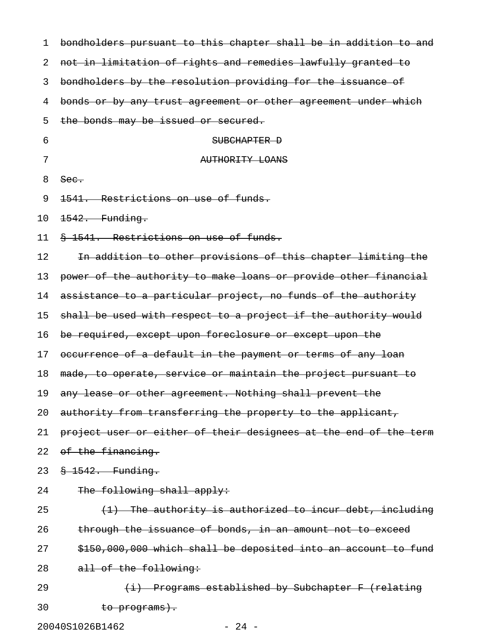| 1  | bondholders pursuant to this chapter shall be in addition to and |
|----|------------------------------------------------------------------|
| 2  | not in limitation of rights and remedies lawfully granted to     |
| 3  | bondholders by the resolution providing for the issuance of      |
| 4  | bonds or by any trust agreement or other agreement under which   |
| 5  | the bonds may be issued or secured.                              |
| 6  | SUBCHAPTER D                                                     |
| 7  | AUTHORITY LOANS                                                  |
| 8  | See.                                                             |
| 9  | Restrictions on use of funds.<br><del>1541.</del>                |
| 10 | 1542. Funding.                                                   |
| 11 | § 1541. Restrictions on use of funds.                            |
| 12 | In addition to other provisions of this chapter limiting the     |
| 13 | power of the authority to make loans or provide other financial  |
| 14 | assistance to a particular project, no funds of the authority    |
| 15 | shall be used with respect to a project if the authority would   |
| 16 | be required, except upon foreclosure or except upon the          |
| 17 | occurrence of a default in the payment or terms of any loan      |
| 18 | made, to operate, service or maintain the project pursuant to    |
| 19 | any lease or other agreement. Nothing shall prevent the          |
| 20 | authority from transferring the property to the applicant,       |
| 21 | project user or either of their designees at the end of the term |
| 22 | of the financing.                                                |
| 23 | $$-1542.$ Funding.                                               |
| 24 | The following shall apply:                                       |
| 25 | $(1)$ The authority is authorized to incur debt, including       |
| 26 | through the issuance of bonds, in an amount not to exceed        |
| 27 | \$150,000,000 which shall be deposited into an account to fund   |
| 28 | all of the following:                                            |
| 29 | (i) Programs established by Subchapter F (relating               |
| 30 | <del>to programs).</del>                                         |

20040S1026B1462 - 24 -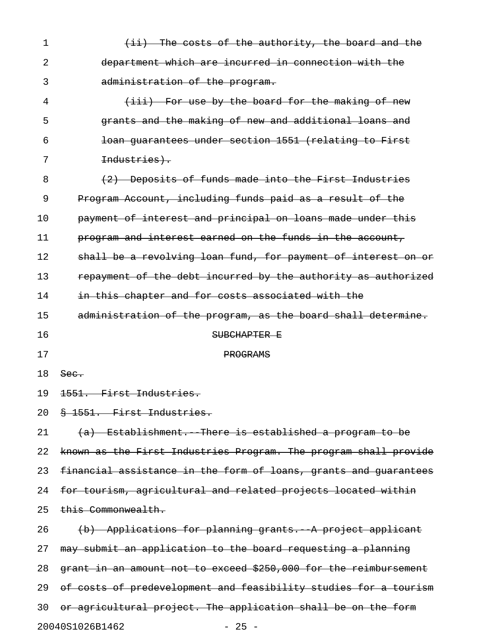| $\mathbf 1$ | (ii) The costs of the authority, the board and the               |
|-------------|------------------------------------------------------------------|
| 2           | department which are incurred in connection with the             |
| 3           | administration of the program.                                   |
| 4           | (iii) For use by the board for the making of new                 |
| 5           | grants and the making of new and additional loans and            |
| 6           | loan quarantees under section 1551 (relating to First            |
| 7           | Industries).                                                     |
| 8           | (2) Deposits of funds made into the First Industries             |
| 9           | Program Account, including funds paid as a result of the         |
| 10          | payment of interest and principal on loans made under this       |
| 11          | program and interest earned on the funds in the account,         |
| 12          | shall be a revolving loan fund, for payment of interest on or    |
| 13          | repayment of the debt incurred by the authority as authorized    |
| 14          | in this chapter and for costs associated with the                |
| 15          | administration of the program, as the board shall determine.     |
| 16          | SUBCHAPTER E                                                     |
| 17          | PROGRAMS                                                         |
| 18          | See.                                                             |
| 19          | <del>1551. First Industries.</del>                               |
| 20          | § 1551. First Industries.                                        |
| 21          | (a) Establishment. There is established a program to be          |
| 22          | known as the First Industries Program. The program shall provide |
| 23          | financial assistance in the form of loans, grants and guarantees |
| 24          | for tourism, agricultural and related projects located within    |
| 25          | this Commonwealth.                                               |
| 26          | (b) Applications for planning grants. A project applicant        |
| 27          | may submit an application to the board requesting a planning     |
| 28          | grant in an amount not to exceed \$250,000 for the reimbursement |
| 29          | of costs of predevelopment and feasibility studies for a tourism |
| 30          | or agricultural project. The application shall be on the form    |
|             |                                                                  |

20040S1026B1462 - 25 -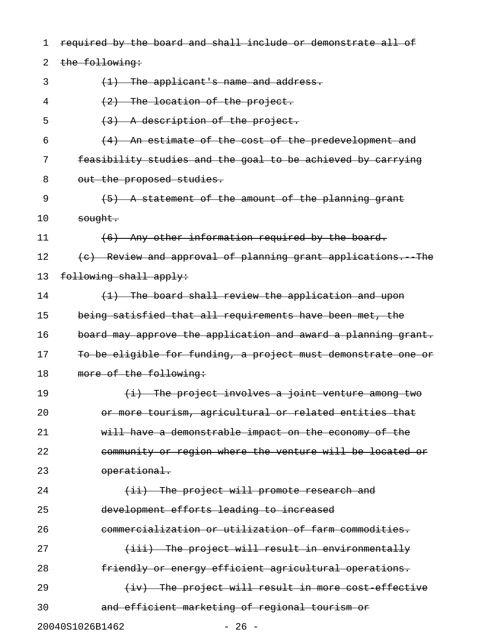| 1  | required by the board and shall include or demonstrate all of |
|----|---------------------------------------------------------------|
| 2  | the following:                                                |
| 3  | $(1)$ The applicant's name and address.                       |
| 4  | $(2)$ The location of the project.                            |
| 5  | (3) A description of the project.                             |
| 6  | (4) An estimate of the cost of the predevelopment and         |
| 7  | feasibility studies and the goal to be achieved by carrying   |
| 8  | out the proposed studies.                                     |
| 9  | (5) A statement of the amount of the planning grant           |
| 10 | sought.                                                       |
| 11 | (6) Any other information required by the board.              |
| 12 | (c) Review and approval of planning grant applications. The   |
| 13 | following shall apply:                                        |
| 14 | (1) The board shall review the application and upon           |
| 15 | being satisfied that all requirements have been met, the      |
| 16 | board may approve the application and award a planning grant. |
| 17 | To be eligible for funding, a project must demonstrate one or |
| 18 | more of the following:                                        |
| 19 | (i) The project involves a joint venture among two            |
| 20 | or more tourism, agricultural or related entities that        |
| 21 | will have a demonstrable impact on the economy of the         |
| 22 | community or region where the venture will be located or      |
| 23 | operational.                                                  |
| 24 | $(i)$ The project will promote research and                   |
| 25 | development efforts leading to increased                      |
| 26 | commercialization or utilization of farm commodities.         |
| 27 | (iii) The project will result in environmentally              |
| 28 | friendly or energy efficient agricultural operations.         |
| 29 | $(iv)$ The project will result in more cost effective         |
| 30 | and efficient marketing of regional tourism or                |
|    | 20040S1026B1462<br>$-26 -$                                    |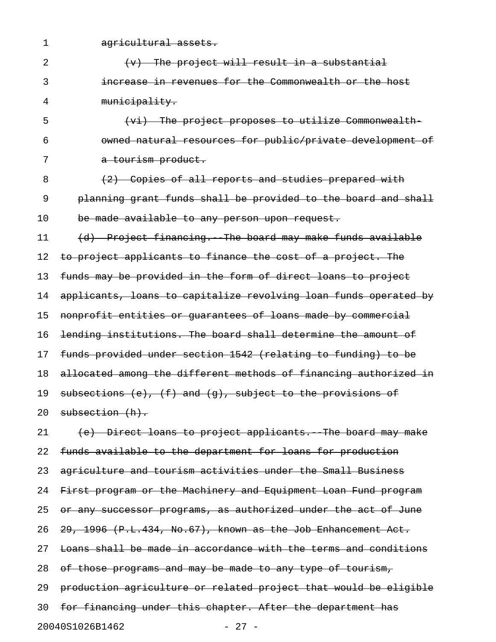1 agricultural assets. 2 (v) The project will result in a substantial 3 increase in revenues for the Commonwealth or the host 4 municipality. 5 (vi) The project proposes to utilize Commonwealth-6 owned natural resources for public/private development of 7 a tourism product. 8 (2) Copies of all reports and studies prepared with 9 planning grant funds shall be provided to the board and shall 10 be made available to any person upon request. 11 (d) Project financing. The board may make funds available 12 to project applicants to finance the cost of a project. The 13 funds may be provided in the form of direct loans to project 14 applicants, loans to capitalize revolving loan funds operated by 15 nonprofit entities or guarantees of loans made by commercial 16 lending institutions. The board shall determine the amount of 17 funds provided under section 1542 (relating to funding) to be 18 allocated among the different methods of financing authorized in 19 subsections  $(e)$ ,  $(f)$  and  $(g)$ , subject to the provisions of 20 subsection (h). 21 (e) Direct loans to project applicants. The board may make 22 funds available to the department for loans for production 23 agriculture and tourism activities under the Small Business 24 First program or the Machinery and Equipment Loan Fund program 25 or any successor programs, as authorized under the act of June 26  $29, 1996$  (P.L.434, No.67), known as the Job Enhancement Act. 27 Loans shall be made in accordance with the terms and conditions 28 of those programs and may be made to any type of tourism, 29 production agriculture or related project that would be eligible 30 for financing under this chapter. After the department has

20040S1026B1462 - 27 -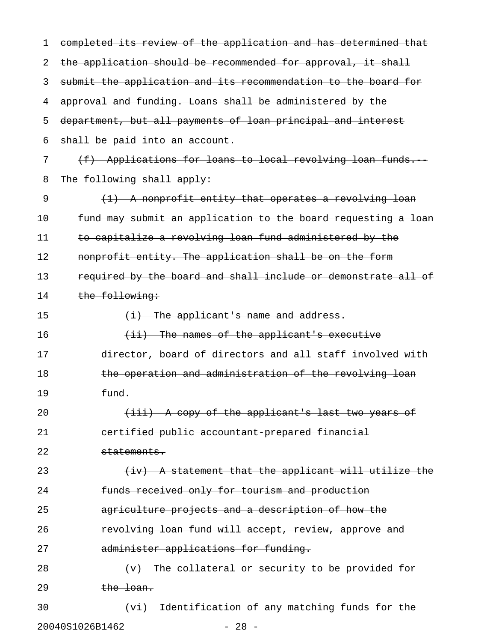| 1  | completed its review of the application and has determined that |
|----|-----------------------------------------------------------------|
| 2  | the application should be recommended for approval, it shall    |
| 3  | submit the application and its recommendation to the board for  |
| 4  | approval and funding. Loans shall be administered by the        |
| 5  | department, but all payments of loan principal and interest     |
| 6  | shall be paid into an account.                                  |
| 7  | (f) Applications for loans to local revolving loan funds.       |
| 8  | The following shall apply:                                      |
| 9  | (1) A nonprofit entity that operates a revolving loan           |
| 10 | fund may submit an application to the board requesting a loan   |
| 11 | to capitalize a revolving loan fund administered by the         |
| 12 | nonprofit entity. The application shall be on the form          |
| 13 | required by the board and shall include or demonstrate all of   |
| 14 | the following:                                                  |
| 15 | $(i)$ The applicant's name and address.                         |
| 16 | $(i)$ The names of the applicant's executive                    |
| 17 | director, board of directors and all staff involved with        |
| 18 | the operation and administration of the revolving loan          |
| 19 | fund.                                                           |
| 20 | (iii) A copy of the applicant's last two years of               |
| 21 | certified public accountant prepared financial                  |
| 22 | statements.                                                     |
| 23 | $(iv)$ A statement that the applicant will utilize the          |
| 24 | funds received only for tourism and production                  |
| 25 | agriculture projects and a description of how the               |
| 26 | revolving loan fund will accept, review, approve and            |
| 27 | administer applications for funding.                            |
| 28 | (v) The collateral or security to be provided for               |
| 29 | the loan.                                                       |
| 30 | (vi) Identification of any matching funds for the               |
|    | 20040S1026B1462<br>$-28 -$                                      |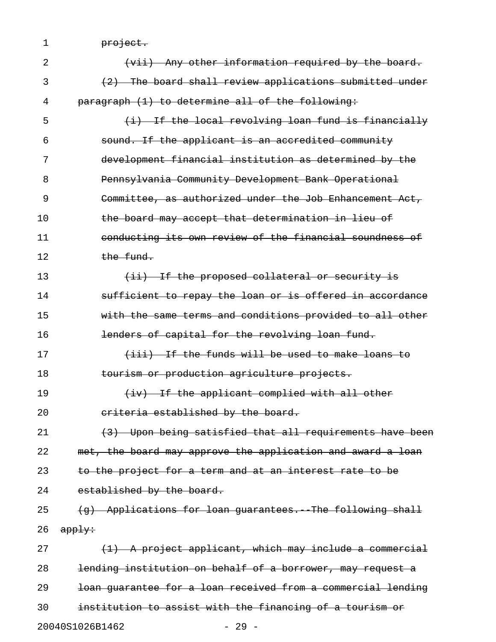1 <del>project.</del>

| 2  | (vii) Any other information required by the board.           |
|----|--------------------------------------------------------------|
| 3  | (2) The board shall review applications submitted under      |
| 4  | paragraph (1) to determine all of the following:             |
| 5  | (i) If the local revolving loan fund is financially          |
| 6  | sound. If the applicant is an accredited community           |
| 7  | development financial institution as determined by the       |
| 8  | Pennsylvania Community Development Bank Operational          |
| 9  | Committee, as authorized under the Job Enhancement Act,      |
| 10 | the board may accept that determination in lieu of           |
| 11 | conducting its own review of the financial soundness of      |
| 12 | the fund.                                                    |
| 13 | (ii) If the proposed collateral or security is               |
| 14 | sufficient to repay the loan or is offered in accordance     |
| 15 | with the same terms and conditions provided to all other     |
| 16 | lenders of capital for the revolving loan fund.              |
| 17 | (iii) If the funds will be used to make loans to             |
| 18 | tourism or production agriculture projects.                  |
| 19 | (iv) If the applicant complied with all other                |
| 20 | eriteria established by the board.                           |
| 21 | (3) Upon being satisfied that all requirements have been     |
| 22 | met, the board may approve the application and award a loan  |
| 23 | to the project for a term and at an interest rate to be      |
| 24 | established by the board.                                    |
| 25 | (g) Applications for loan guarantees. The following shall    |
| 26 | apply:                                                       |
| 27 | $(1)$ A project applicant, which may include a commercial    |
| 28 | lending institution on behalf of a borrower, may request a   |
| 29 | loan quarantee for a loan received from a commercial lending |
| 30 | institution to assist with the financing of a tourism or     |
|    | 20040S1026B1462<br>$-29 -$                                   |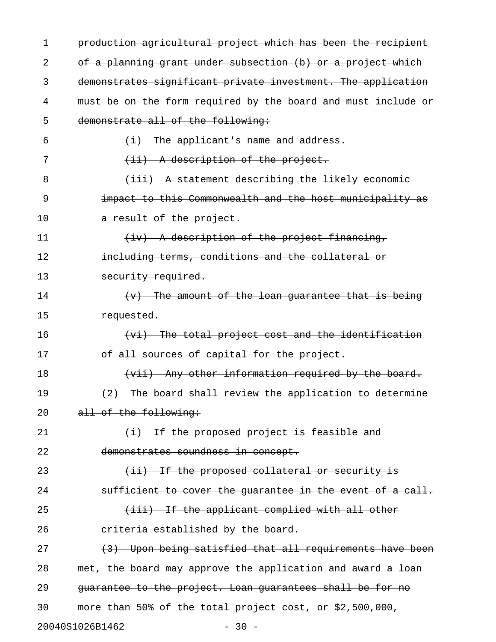| 1  | production agricultural project which has been the recipient  |
|----|---------------------------------------------------------------|
| 2  | of a planning grant under subsection (b) or a project which   |
| 3  | demonstrates significant private investment. The application  |
| 4  | must be on the form required by the board and must include or |
| 5  | demonstrate all of the following:                             |
| 6  | $(i)$ The applicant's name and address.                       |
| 7  | $(i)$ A description of the project.                           |
| 8  | (iii) A statement describing the likely economic              |
| 9  | impact to this Commonwealth and the host municipality as      |
| 10 | a result of the project.                                      |
| 11 | (iv) A description of the project financing,                  |
| 12 | including terms, conditions and the collateral or             |
| 13 | security required.                                            |
| 14 | $(v)$ The amount of the loan guarantee that is being          |
| 15 | requested.                                                    |
| 16 | (vi) The total project cost and the identification            |
| 17 | of all sources of capital for the project.                    |
| 18 | (vii) Any other information required by the board.            |
| 19 | (2) The board shall review the application to determine       |
| 20 | all of the following:                                         |
| 21 | $(i)$ If the proposed project is feasible and                 |
| 22 | demonstrates soundness in concept.                            |
| 23 | (ii) If the proposed collateral or security is                |
| 24 | sufficient to cover the quarantee in the event of a call.     |
| 25 | (iii) If the applicant complied with all other                |
| 26 | eriteria established by the board.                            |
| 27 | (3) Upon being satisfied that all requirements have been      |
| 28 | met, the board may approve the application and award a loan   |
| 29 | guarantee to the project. Loan guarantees shall be for no     |
| 30 | more than 50% of the total project cost, or \$2,500,000,      |
|    | 20040S1026B1462<br>$-30 -$                                    |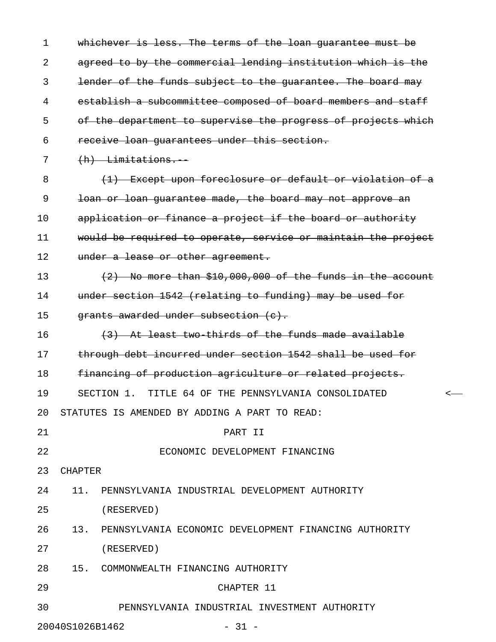1 whichever is less. The terms of the loan guarantee must be 2 agreed to by the commercial lending institution which is the 3 lender of the funds subject to the guarantee. The board may 4 establish a subcommittee composed of board members and staff 5 of the department to supervise the progress of projects which 6 receive loan guarantees under this section. 7 (h) Limitations. 8 (1) Except upon foreclosure or default or violation of a 9 loan or loan guarantee made, the board may not approve an 10 application or finance a project if the board or authority 11 would be required to operate, service or maintain the project 12 under a lease or other agreement. 13  $(2)$  No more than \$10,000,000 of the funds in the account 14 under section 1542 (relating to funding) may be used for 15  $q$  arants awarded under subsection  $(e)$ . 16 (3) At least two-thirds of the funds made available 17 through debt incurred under section 1542 shall be used for 18 financing of production agriculture or related projects. 19 SECTION 1. TITLE 64 OF THE PENNSYLVANIA CONSOLIDATED < 20 STATUTES IS AMENDED BY ADDING A PART TO READ: 21 PART II 22 ECONOMIC DEVELOPMENT FINANCING 23 CHAPTER 24 11. PENNSYLVANIA INDUSTRIAL DEVELOPMENT AUTHORITY 25 (RESERVED) 26 13. PENNSYLVANIA ECONOMIC DEVELOPMENT FINANCING AUTHORITY 27 (RESERVED) 28 15. COMMONWEALTH FINANCING AUTHORITY 29 CHAPTER 11 30 PENNSYLVANIA INDUSTRIAL INVESTMENT AUTHORITY

20040S1026B1462 - 31 -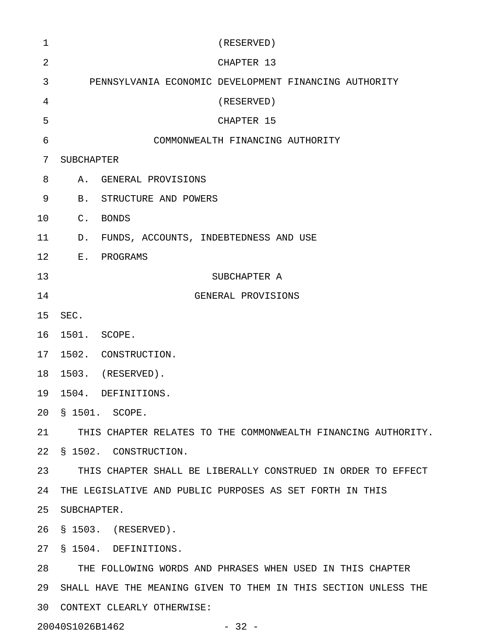| 1               | (RESERVED)                                                      |  |
|-----------------|-----------------------------------------------------------------|--|
| 2               | CHAPTER 13                                                      |  |
| 3               | PENNSYLVANIA ECONOMIC DEVELOPMENT FINANCING AUTHORITY           |  |
| 4               | (RESERVED)                                                      |  |
| 5               | CHAPTER 15                                                      |  |
| 6               | COMMONWEALTH FINANCING AUTHORITY                                |  |
| 7               | SUBCHAPTER                                                      |  |
| 8               | A. GENERAL PROVISIONS                                           |  |
| 9               | B. STRUCTURE AND POWERS                                         |  |
| 10              | C. BONDS                                                        |  |
| 11              | D. FUNDS, ACCOUNTS, INDEBTEDNESS AND USE                        |  |
| 12              | E. PROGRAMS                                                     |  |
| 13              | SUBCHAPTER A                                                    |  |
| 14              | GENERAL PROVISIONS                                              |  |
| 15              | SEC.                                                            |  |
| 16              | 1501. SCOPE.                                                    |  |
| 17 <sub>2</sub> | 1502. CONSTRUCTION.                                             |  |
| 18              | 1503. (RESERVED).                                               |  |
| 19              | 1504. DEFINITIONS.                                              |  |
| 20              | S 1501. SCOPE.                                                  |  |
| 21              | THIS CHAPTER RELATES TO THE COMMONWEALTH FINANCING AUTHORITY.   |  |
| 22              | § 1502. CONSTRUCTION.                                           |  |
| 23              | THIS CHAPTER SHALL BE LIBERALLY CONSTRUED IN ORDER TO EFFECT    |  |
| 24              | THE LEGISLATIVE AND PUBLIC PURPOSES AS SET FORTH IN THIS        |  |
| 25              | SUBCHAPTER.                                                     |  |
| 26              | § 1503. (RESERVED).                                             |  |
| 27              | § 1504. DEFINITIONS.                                            |  |
| 28              | THE FOLLOWING WORDS AND PHRASES WHEN USED IN THIS CHAPTER       |  |
| 29              | SHALL HAVE THE MEANING GIVEN TO THEM IN THIS SECTION UNLESS THE |  |
| 30              | CONTEXT CLEARLY OTHERWISE:                                      |  |

20040S1026B1462 - 32 -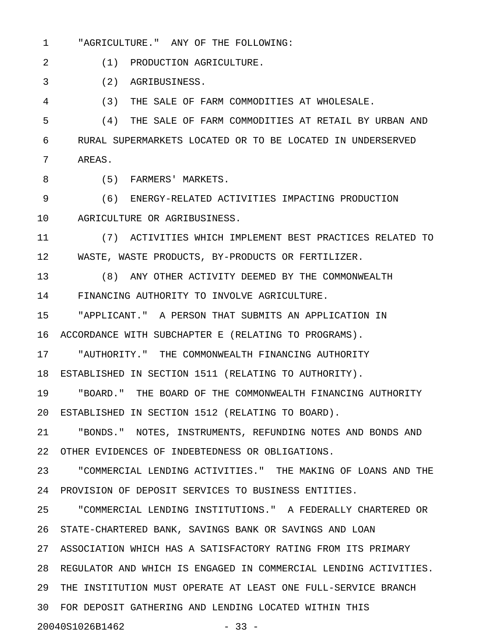1 "AGRICULTURE." ANY OF THE FOLLOWING:

2 (1) PRODUCTION AGRICULTURE.

3 (2) AGRIBUSINESS.

4 (3) THE SALE OF FARM COMMODITIES AT WHOLESALE.

5 (4) THE SALE OF FARM COMMODITIES AT RETAIL BY URBAN AND 6 RURAL SUPERMARKETS LOCATED OR TO BE LOCATED IN UNDERSERVED 7 AREAS.

8 (5) FARMERS' MARKETS.

9 (6) ENERGY-RELATED ACTIVITIES IMPACTING PRODUCTION 10 AGRICULTURE OR AGRIBUSINESS.

11 (7) ACTIVITIES WHICH IMPLEMENT BEST PRACTICES RELATED TO 12 WASTE, WASTE PRODUCTS, BY-PRODUCTS OR FERTILIZER.

13 (8) ANY OTHER ACTIVITY DEEMED BY THE COMMONWEALTH 14 FINANCING AUTHORITY TO INVOLVE AGRICULTURE.

15 "APPLICANT." A PERSON THAT SUBMITS AN APPLICATION IN

16 ACCORDANCE WITH SUBCHAPTER E (RELATING TO PROGRAMS).

17 "AUTHORITY." THE COMMONWEALTH FINANCING AUTHORITY

18 ESTABLISHED IN SECTION 1511 (RELATING TO AUTHORITY).

19 "BOARD." THE BOARD OF THE COMMONWEALTH FINANCING AUTHORITY 20 ESTABLISHED IN SECTION 1512 (RELATING TO BOARD).

21 "BONDS." NOTES, INSTRUMENTS, REFUNDING NOTES AND BONDS AND 22 OTHER EVIDENCES OF INDEBTEDNESS OR OBLIGATIONS.

23 "COMMERCIAL LENDING ACTIVITIES." THE MAKING OF LOANS AND THE 24 PROVISION OF DEPOSIT SERVICES TO BUSINESS ENTITIES.

25 "COMMERCIAL LENDING INSTITUTIONS." A FEDERALLY CHARTERED OR 26 STATE-CHARTERED BANK, SAVINGS BANK OR SAVINGS AND LOAN

27 ASSOCIATION WHICH HAS A SATISFACTORY RATING FROM ITS PRIMARY

28 REGULATOR AND WHICH IS ENGAGED IN COMMERCIAL LENDING ACTIVITIES.

29 THE INSTITUTION MUST OPERATE AT LEAST ONE FULL-SERVICE BRANCH

30 FOR DEPOSIT GATHERING AND LENDING LOCATED WITHIN THIS

20040S1026B1462 - 33 -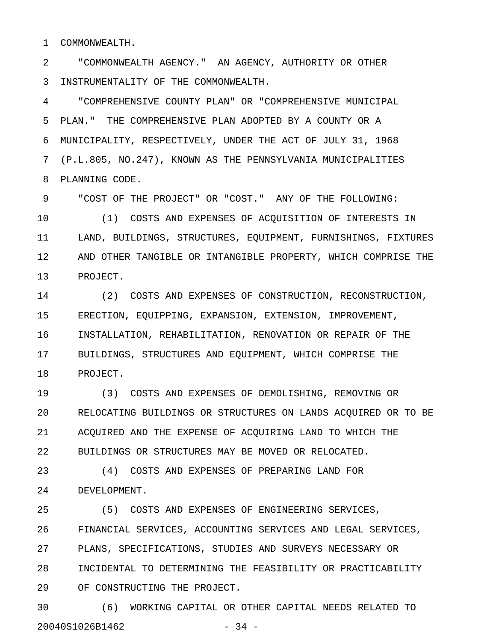1 COMMONWEALTH.

2 "COMMONWEALTH AGENCY." AN AGENCY, AUTHORITY OR OTHER 3 INSTRUMENTALITY OF THE COMMONWEALTH.

4 "COMPREHENSIVE COUNTY PLAN" OR "COMPREHENSIVE MUNICIPAL 5 PLAN." THE COMPREHENSIVE PLAN ADOPTED BY A COUNTY OR A 6 MUNICIPALITY, RESPECTIVELY, UNDER THE ACT OF JULY 31, 1968 7 (P.L.805, NO.247), KNOWN AS THE PENNSYLVANIA MUNICIPALITIES 8 PLANNING CODE.

9 "COST OF THE PROJECT" OR "COST." ANY OF THE FOLLOWING:

10 (1) COSTS AND EXPENSES OF ACQUISITION OF INTERESTS IN 11 LAND, BUILDINGS, STRUCTURES, EQUIPMENT, FURNISHINGS, FIXTURES 12 AND OTHER TANGIBLE OR INTANGIBLE PROPERTY, WHICH COMPRISE THE 13 PROJECT.

14 (2) COSTS AND EXPENSES OF CONSTRUCTION, RECONSTRUCTION, 15 ERECTION, EQUIPPING, EXPANSION, EXTENSION, IMPROVEMENT, 16 INSTALLATION, REHABILITATION, RENOVATION OR REPAIR OF THE 17 BUILDINGS, STRUCTURES AND EQUIPMENT, WHICH COMPRISE THE 18 PROJECT.

19 (3) COSTS AND EXPENSES OF DEMOLISHING, REMOVING OR 20 RELOCATING BUILDINGS OR STRUCTURES ON LANDS ACQUIRED OR TO BE 21 ACQUIRED AND THE EXPENSE OF ACQUIRING LAND TO WHICH THE 22 BUILDINGS OR STRUCTURES MAY BE MOVED OR RELOCATED.

23 (4) COSTS AND EXPENSES OF PREPARING LAND FOR 24 DEVELOPMENT.

25 (5) COSTS AND EXPENSES OF ENGINEERING SERVICES, 26 FINANCIAL SERVICES, ACCOUNTING SERVICES AND LEGAL SERVICES, 27 PLANS, SPECIFICATIONS, STUDIES AND SURVEYS NECESSARY OR 28 INCIDENTAL TO DETERMINING THE FEASIBILITY OR PRACTICABILITY 29 OF CONSTRUCTING THE PROJECT.

30 (6) WORKING CAPITAL OR OTHER CAPITAL NEEDS RELATED TO 20040S1026B1462 - 34 -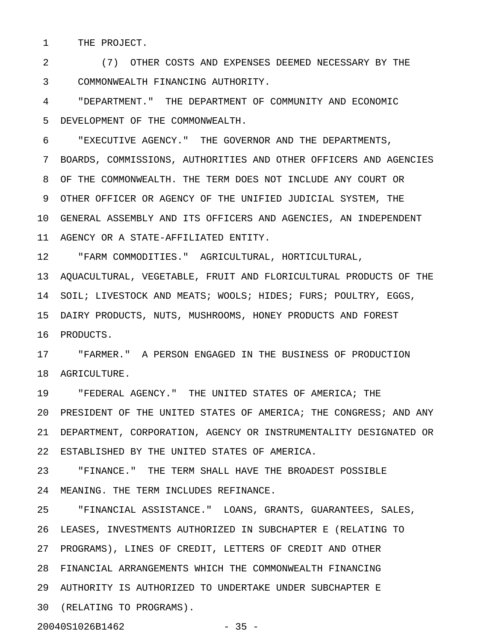1 THE PROJECT.

2 (7) OTHER COSTS AND EXPENSES DEEMED NECESSARY BY THE 3 COMMONWEALTH FINANCING AUTHORITY.

4 "DEPARTMENT." THE DEPARTMENT OF COMMUNITY AND ECONOMIC 5 DEVELOPMENT OF THE COMMONWEALTH.

6 "EXECUTIVE AGENCY." THE GOVERNOR AND THE DEPARTMENTS,

7 BOARDS, COMMISSIONS, AUTHORITIES AND OTHER OFFICERS AND AGENCIES 8 OF THE COMMONWEALTH. THE TERM DOES NOT INCLUDE ANY COURT OR 9 OTHER OFFICER OR AGENCY OF THE UNIFIED JUDICIAL SYSTEM, THE 10 GENERAL ASSEMBLY AND ITS OFFICERS AND AGENCIES, AN INDEPENDENT 11 AGENCY OR A STATE-AFFILIATED ENTITY.

12 "FARM COMMODITIES." AGRICULTURAL, HORTICULTURAL,

13 AQUACULTURAL, VEGETABLE, FRUIT AND FLORICULTURAL PRODUCTS OF THE 14 SOIL; LIVESTOCK AND MEATS; WOOLS; HIDES; FURS; POULTRY, EGGS, 15 DAIRY PRODUCTS, NUTS, MUSHROOMS, HONEY PRODUCTS AND FOREST 16 PRODUCTS.

17 "FARMER." A PERSON ENGAGED IN THE BUSINESS OF PRODUCTION 18 AGRICULTURE.

19 "FEDERAL AGENCY." THE UNITED STATES OF AMERICA; THE 20 PRESIDENT OF THE UNITED STATES OF AMERICA; THE CONGRESS; AND ANY 21 DEPARTMENT, CORPORATION, AGENCY OR INSTRUMENTALITY DESIGNATED OR 22 ESTABLISHED BY THE UNITED STATES OF AMERICA.

23 "FINANCE." THE TERM SHALL HAVE THE BROADEST POSSIBLE 24 MEANING. THE TERM INCLUDES REFINANCE.

25 "FINANCIAL ASSISTANCE." LOANS, GRANTS, GUARANTEES, SALES, 26 LEASES, INVESTMENTS AUTHORIZED IN SUBCHAPTER E (RELATING TO 27 PROGRAMS), LINES OF CREDIT, LETTERS OF CREDIT AND OTHER 28 FINANCIAL ARRANGEMENTS WHICH THE COMMONWEALTH FINANCING 29 AUTHORITY IS AUTHORIZED TO UNDERTAKE UNDER SUBCHAPTER E 30 (RELATING TO PROGRAMS).

20040S1026B1462 - 35 -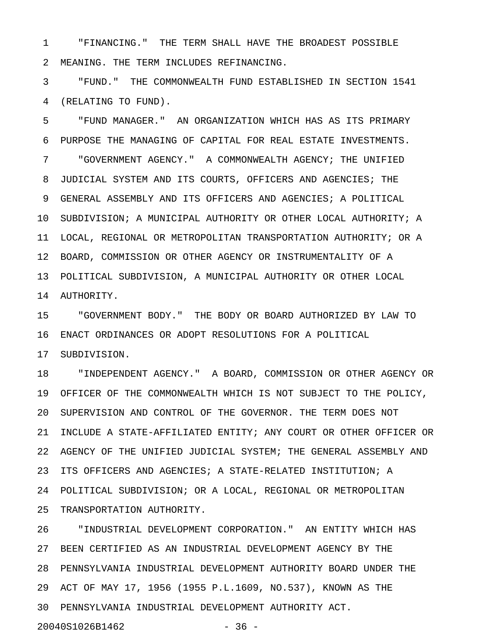1 "FINANCING." THE TERM SHALL HAVE THE BROADEST POSSIBLE 2 MEANING. THE TERM INCLUDES REFINANCING.

3 "FUND." THE COMMONWEALTH FUND ESTABLISHED IN SECTION 1541 4 (RELATING TO FUND).

5 "FUND MANAGER." AN ORGANIZATION WHICH HAS AS ITS PRIMARY 6 PURPOSE THE MANAGING OF CAPITAL FOR REAL ESTATE INVESTMENTS. 7 "GOVERNMENT AGENCY." A COMMONWEALTH AGENCY; THE UNIFIED 8 JUDICIAL SYSTEM AND ITS COURTS, OFFICERS AND AGENCIES; THE 9 GENERAL ASSEMBLY AND ITS OFFICERS AND AGENCIES; A POLITICAL 10 SUBDIVISION; A MUNICIPAL AUTHORITY OR OTHER LOCAL AUTHORITY; A 11 LOCAL, REGIONAL OR METROPOLITAN TRANSPORTATION AUTHORITY; OR A 12 BOARD, COMMISSION OR OTHER AGENCY OR INSTRUMENTALITY OF A 13 POLITICAL SUBDIVISION, A MUNICIPAL AUTHORITY OR OTHER LOCAL 14 AUTHORITY.

15 "GOVERNMENT BODY." THE BODY OR BOARD AUTHORIZED BY LAW TO 16 ENACT ORDINANCES OR ADOPT RESOLUTIONS FOR A POLITICAL 17 SUBDIVISION.

18 "INDEPENDENT AGENCY." A BOARD, COMMISSION OR OTHER AGENCY OR 19 OFFICER OF THE COMMONWEALTH WHICH IS NOT SUBJECT TO THE POLICY, 20 SUPERVISION AND CONTROL OF THE GOVERNOR. THE TERM DOES NOT 21 INCLUDE A STATE-AFFILIATED ENTITY; ANY COURT OR OTHER OFFICER OR 22 AGENCY OF THE UNIFIED JUDICIAL SYSTEM; THE GENERAL ASSEMBLY AND 23 ITS OFFICERS AND AGENCIES; A STATE-RELATED INSTITUTION; A 24 POLITICAL SUBDIVISION; OR A LOCAL, REGIONAL OR METROPOLITAN 25 TRANSPORTATION AUTHORITY.

26 "INDUSTRIAL DEVELOPMENT CORPORATION." AN ENTITY WHICH HAS 27 BEEN CERTIFIED AS AN INDUSTRIAL DEVELOPMENT AGENCY BY THE 28 PENNSYLVANIA INDUSTRIAL DEVELOPMENT AUTHORITY BOARD UNDER THE 29 ACT OF MAY 17, 1956 (1955 P.L.1609, NO.537), KNOWN AS THE 30 PENNSYLVANIA INDUSTRIAL DEVELOPMENT AUTHORITY ACT. 20040S1026B1462 - 36 -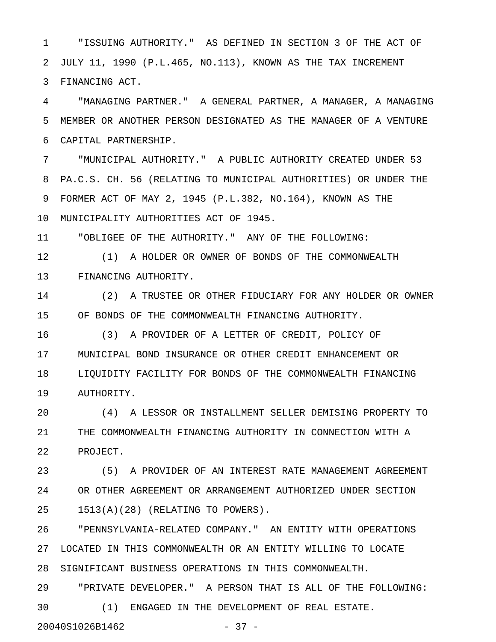1 "ISSUING AUTHORITY." AS DEFINED IN SECTION 3 OF THE ACT OF 2 JULY 11, 1990 (P.L.465, NO.113), KNOWN AS THE TAX INCREMENT 3 FINANCING ACT.

4 "MANAGING PARTNER." A GENERAL PARTNER, A MANAGER, A MANAGING 5 MEMBER OR ANOTHER PERSON DESIGNATED AS THE MANAGER OF A VENTURE 6 CAPITAL PARTNERSHIP.

7 "MUNICIPAL AUTHORITY." A PUBLIC AUTHORITY CREATED UNDER 53 8 PA.C.S. CH. 56 (RELATING TO MUNICIPAL AUTHORITIES) OR UNDER THE 9 FORMER ACT OF MAY 2, 1945 (P.L.382, NO.164), KNOWN AS THE 10 MUNICIPALITY AUTHORITIES ACT OF 1945.

11 "OBLIGEE OF THE AUTHORITY." ANY OF THE FOLLOWING:

12 (1) A HOLDER OR OWNER OF BONDS OF THE COMMONWEALTH 13 FINANCING AUTHORITY.

14 (2) A TRUSTEE OR OTHER FIDUCIARY FOR ANY HOLDER OR OWNER 15 OF BONDS OF THE COMMONWEALTH FINANCING AUTHORITY.

16 (3) A PROVIDER OF A LETTER OF CREDIT, POLICY OF 17 MUNICIPAL BOND INSURANCE OR OTHER CREDIT ENHANCEMENT OR 18 LIQUIDITY FACILITY FOR BONDS OF THE COMMONWEALTH FINANCING 19 AUTHORITY.

20 (4) A LESSOR OR INSTALLMENT SELLER DEMISING PROPERTY TO 21 THE COMMONWEALTH FINANCING AUTHORITY IN CONNECTION WITH A 22 PROJECT.

23 (5) A PROVIDER OF AN INTEREST RATE MANAGEMENT AGREEMENT 24 OR OTHER AGREEMENT OR ARRANGEMENT AUTHORIZED UNDER SECTION 25 1513(A)(28) (RELATING TO POWERS).

26 "PENNSYLVANIA-RELATED COMPANY." AN ENTITY WITH OPERATIONS 27 LOCATED IN THIS COMMONWEALTH OR AN ENTITY WILLING TO LOCATE 28 SIGNIFICANT BUSINESS OPERATIONS IN THIS COMMONWEALTH.

29 "PRIVATE DEVELOPER." A PERSON THAT IS ALL OF THE FOLLOWING: 30 (1) ENGAGED IN THE DEVELOPMENT OF REAL ESTATE.

20040S1026B1462 - 37 -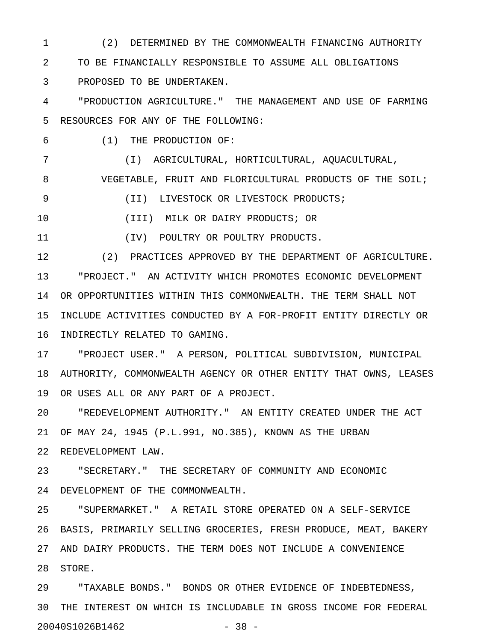1 (2) DETERMINED BY THE COMMONWEALTH FINANCING AUTHORITY 2 TO BE FINANCIALLY RESPONSIBLE TO ASSUME ALL OBLIGATIONS 3 PROPOSED TO BE UNDERTAKEN.

4 "PRODUCTION AGRICULTURE." THE MANAGEMENT AND USE OF FARMING 5 RESOURCES FOR ANY OF THE FOLLOWING:

6 (1) THE PRODUCTION OF:

7 (I) AGRICULTURAL, HORTICULTURAL, AQUACULTURAL, 8 VEGETABLE, FRUIT AND FLORICULTURAL PRODUCTS OF THE SOIL;

9 (II) LIVESTOCK OR LIVESTOCK PRODUCTS;

10 (III) MILK OR DAIRY PRODUCTS; OR

11 (IV) POULTRY OR POULTRY PRODUCTS.

12 (2) PRACTICES APPROVED BY THE DEPARTMENT OF AGRICULTURE. 13 "PROJECT." AN ACTIVITY WHICH PROMOTES ECONOMIC DEVELOPMENT 14 OR OPPORTUNITIES WITHIN THIS COMMONWEALTH. THE TERM SHALL NOT 15 INCLUDE ACTIVITIES CONDUCTED BY A FOR-PROFIT ENTITY DIRECTLY OR 16 INDIRECTLY RELATED TO GAMING.

17 "PROJECT USER." A PERSON, POLITICAL SUBDIVISION, MUNICIPAL 18 AUTHORITY, COMMONWEALTH AGENCY OR OTHER ENTITY THAT OWNS, LEASES 19 OR USES ALL OR ANY PART OF A PROJECT.

20 "REDEVELOPMENT AUTHORITY." AN ENTITY CREATED UNDER THE ACT 21 OF MAY 24, 1945 (P.L.991, NO.385), KNOWN AS THE URBAN 22 REDEVELOPMENT LAW.

23 "SECRETARY." THE SECRETARY OF COMMUNITY AND ECONOMIC 24 DEVELOPMENT OF THE COMMONWEALTH.

25 "SUPERMARKET." A RETAIL STORE OPERATED ON A SELF-SERVICE 26 BASIS, PRIMARILY SELLING GROCERIES, FRESH PRODUCE, MEAT, BAKERY 27 AND DAIRY PRODUCTS. THE TERM DOES NOT INCLUDE A CONVENIENCE 28 STORE.

29 "TAXABLE BONDS." BONDS OR OTHER EVIDENCE OF INDEBTEDNESS, 30 THE INTEREST ON WHICH IS INCLUDABLE IN GROSS INCOME FOR FEDERAL 20040S1026B1462 - 38 -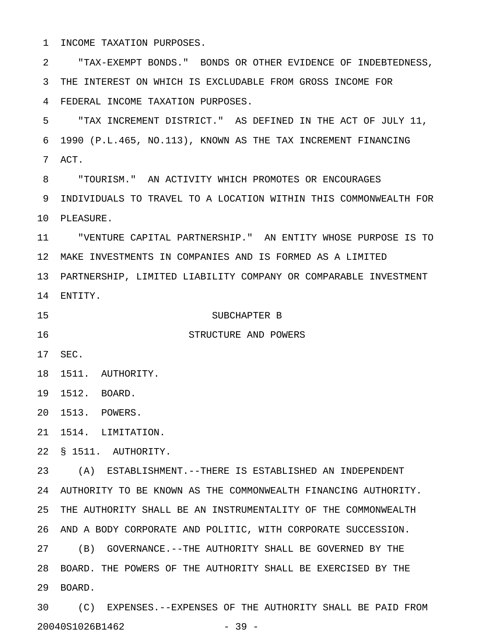1 INCOME TAXATION PURPOSES. 2 "TAX-EXEMPT BONDS." BONDS OR OTHER EVIDENCE OF INDEBTEDNESS, 3 THE INTEREST ON WHICH IS EXCLUDABLE FROM GROSS INCOME FOR 4 FEDERAL INCOME TAXATION PURPOSES. 5 "TAX INCREMENT DISTRICT." AS DEFINED IN THE ACT OF JULY 11, 6 1990 (P.L.465, NO.113), KNOWN AS THE TAX INCREMENT FINANCING 7 ACT. 8 "TOURISM." AN ACTIVITY WHICH PROMOTES OR ENCOURAGES 9 INDIVIDUALS TO TRAVEL TO A LOCATION WITHIN THIS COMMONWEALTH FOR 10 PLEASURE. 11 "VENTURE CAPITAL PARTNERSHIP." AN ENTITY WHOSE PURPOSE IS TO 12 MAKE INVESTMENTS IN COMPANIES AND IS FORMED AS A LIMITED 13 PARTNERSHIP, LIMITED LIABILITY COMPANY OR COMPARABLE INVESTMENT 14 ENTITY. 15 SUBCHAPTER B 16 STRUCTURE AND POWERS 17 SEC. 18 1511. AUTHORITY. 19 1512. BOARD. 20 1513. POWERS. 21 1514. LIMITATION. 22 § 1511. AUTHORITY. 23 (A) ESTABLISHMENT.--THERE IS ESTABLISHED AN INDEPENDENT

24 AUTHORITY TO BE KNOWN AS THE COMMONWEALTH FINANCING AUTHORITY. 25 THE AUTHORITY SHALL BE AN INSTRUMENTALITY OF THE COMMONWEALTH 26 AND A BODY CORPORATE AND POLITIC, WITH CORPORATE SUCCESSION. 27 (B) GOVERNANCE.--THE AUTHORITY SHALL BE GOVERNED BY THE 28 BOARD. THE POWERS OF THE AUTHORITY SHALL BE EXERCISED BY THE 29 BOARD. 30 (C) EXPENSES.--EXPENSES OF THE AUTHORITY SHALL BE PAID FROM

20040S1026B1462 - 39 -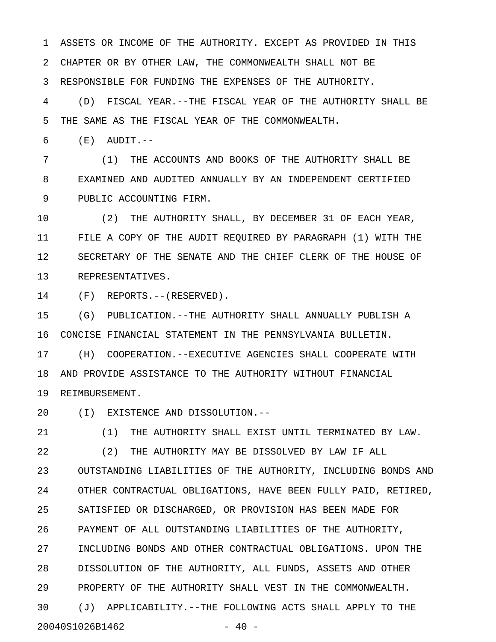1 ASSETS OR INCOME OF THE AUTHORITY. EXCEPT AS PROVIDED IN THIS 2 CHAPTER OR BY OTHER LAW, THE COMMONWEALTH SHALL NOT BE 3 RESPONSIBLE FOR FUNDING THE EXPENSES OF THE AUTHORITY.

4 (D) FISCAL YEAR.--THE FISCAL YEAR OF THE AUTHORITY SHALL BE 5 THE SAME AS THE FISCAL YEAR OF THE COMMONWEALTH.

 $6$   $(E)$  AUDIT.--

7 (1) THE ACCOUNTS AND BOOKS OF THE AUTHORITY SHALL BE 8 EXAMINED AND AUDITED ANNUALLY BY AN INDEPENDENT CERTIFIED 9 PUBLIC ACCOUNTING FIRM.

10 (2) THE AUTHORITY SHALL, BY DECEMBER 31 OF EACH YEAR, 11 FILE A COPY OF THE AUDIT REQUIRED BY PARAGRAPH (1) WITH THE 12 SECRETARY OF THE SENATE AND THE CHIEF CLERK OF THE HOUSE OF 13 REPRESENTATIVES.

14 (F) REPORTS.--(RESERVED).

15 (G) PUBLICATION.--THE AUTHORITY SHALL ANNUALLY PUBLISH A 16 CONCISE FINANCIAL STATEMENT IN THE PENNSYLVANIA BULLETIN.

17 (H) COOPERATION.--EXECUTIVE AGENCIES SHALL COOPERATE WITH 18 AND PROVIDE ASSISTANCE TO THE AUTHORITY WITHOUT FINANCIAL 19 REIMBURSEMENT.

20 (I) EXISTENCE AND DISSOLUTION.--

21 (1) THE AUTHORITY SHALL EXIST UNTIL TERMINATED BY LAW. 22 (2) THE AUTHORITY MAY BE DISSOLVED BY LAW IF ALL 23 OUTSTANDING LIABILITIES OF THE AUTHORITY, INCLUDING BONDS AND 24 OTHER CONTRACTUAL OBLIGATIONS, HAVE BEEN FULLY PAID, RETIRED, 25 SATISFIED OR DISCHARGED, OR PROVISION HAS BEEN MADE FOR 26 PAYMENT OF ALL OUTSTANDING LIABILITIES OF THE AUTHORITY, 27 INCLUDING BONDS AND OTHER CONTRACTUAL OBLIGATIONS. UPON THE 28 DISSOLUTION OF THE AUTHORITY, ALL FUNDS, ASSETS AND OTHER 29 PROPERTY OF THE AUTHORITY SHALL VEST IN THE COMMONWEALTH. 30 (J) APPLICABILITY.--THE FOLLOWING ACTS SHALL APPLY TO THE 20040S1026B1462 - 40 -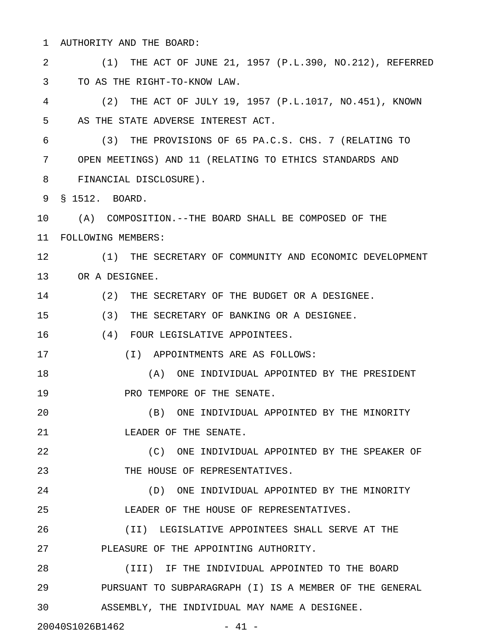1 AUTHORITY AND THE BOARD:

2 (1) THE ACT OF JUNE 21, 1957 (P.L.390, NO.212), REFERRED 3 TO AS THE RIGHT-TO-KNOW LAW.

4 (2) THE ACT OF JULY 19, 1957 (P.L.1017, NO.451), KNOWN 5 AS THE STATE ADVERSE INTEREST ACT.

6 (3) THE PROVISIONS OF 65 PA.C.S. CHS. 7 (RELATING TO 7 OPEN MEETINGS) AND 11 (RELATING TO ETHICS STANDARDS AND 8 FINANCIAL DISCLOSURE).

9 § 1512. BOARD.

10 (A) COMPOSITION.--THE BOARD SHALL BE COMPOSED OF THE 11 FOLLOWING MEMBERS:

12 (1) THE SECRETARY OF COMMUNITY AND ECONOMIC DEVELOPMENT 13 OR A DESIGNEE.

14 (2) THE SECRETARY OF THE BUDGET OR A DESIGNEE.

15 (3) THE SECRETARY OF BANKING OR A DESIGNEE.

16 (4) FOUR LEGISLATIVE APPOINTEES.

17 (I) APPOINTMENTS ARE AS FOLLOWS:

18 (A) ONE INDIVIDUAL APPOINTED BY THE PRESIDENT 19 **PRO TEMPORE OF THE SENATE.** 

20 (B) ONE INDIVIDUAL APPOINTED BY THE MINORITY 21 **LEADER OF THE SENATE.** 

22 (C) ONE INDIVIDUAL APPOINTED BY THE SPEAKER OF 23 THE HOUSE OF REPRESENTATIVES.

24 (D) ONE INDIVIDUAL APPOINTED BY THE MINORITY 25 LEADER OF THE HOUSE OF REPRESENTATIVES.

26 (II) LEGISLATIVE APPOINTEES SHALL SERVE AT THE 27 PLEASURE OF THE APPOINTING AUTHORITY.

28 (III) IF THE INDIVIDUAL APPOINTED TO THE BOARD 29 PURSUANT TO SUBPARAGRAPH (I) IS A MEMBER OF THE GENERAL 30 ASSEMBLY, THE INDIVIDUAL MAY NAME A DESIGNEE.

20040S1026B1462 - 41 -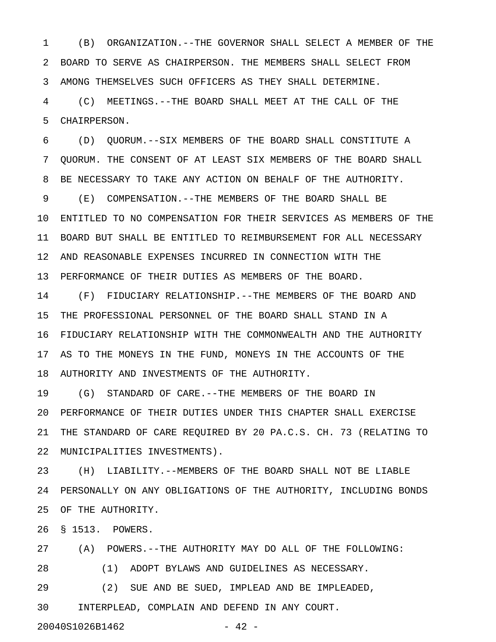1 (B) ORGANIZATION.--THE GOVERNOR SHALL SELECT A MEMBER OF THE 2 BOARD TO SERVE AS CHAIRPERSON. THE MEMBERS SHALL SELECT FROM 3 AMONG THEMSELVES SUCH OFFICERS AS THEY SHALL DETERMINE.

4 (C) MEETINGS.--THE BOARD SHALL MEET AT THE CALL OF THE 5 CHAIRPERSON.

6 (D) QUORUM.--SIX MEMBERS OF THE BOARD SHALL CONSTITUTE A 7 QUORUM. THE CONSENT OF AT LEAST SIX MEMBERS OF THE BOARD SHALL 8 BE NECESSARY TO TAKE ANY ACTION ON BEHALF OF THE AUTHORITY. 9 (E) COMPENSATION.--THE MEMBERS OF THE BOARD SHALL BE 10 ENTITLED TO NO COMPENSATION FOR THEIR SERVICES AS MEMBERS OF THE 11 BOARD BUT SHALL BE ENTITLED TO REIMBURSEMENT FOR ALL NECESSARY 12 AND REASONABLE EXPENSES INCURRED IN CONNECTION WITH THE 13 PERFORMANCE OF THEIR DUTIES AS MEMBERS OF THE BOARD.

14 (F) FIDUCIARY RELATIONSHIP.--THE MEMBERS OF THE BOARD AND 15 THE PROFESSIONAL PERSONNEL OF THE BOARD SHALL STAND IN A 16 FIDUCIARY RELATIONSHIP WITH THE COMMONWEALTH AND THE AUTHORITY 17 AS TO THE MONEYS IN THE FUND, MONEYS IN THE ACCOUNTS OF THE 18 AUTHORITY AND INVESTMENTS OF THE AUTHORITY.

19 (G) STANDARD OF CARE.--THE MEMBERS OF THE BOARD IN 20 PERFORMANCE OF THEIR DUTIES UNDER THIS CHAPTER SHALL EXERCISE 21 THE STANDARD OF CARE REQUIRED BY 20 PA.C.S. CH. 73 (RELATING TO 22 MUNICIPALITIES INVESTMENTS).

23 (H) LIABILITY.--MEMBERS OF THE BOARD SHALL NOT BE LIABLE 24 PERSONALLY ON ANY OBLIGATIONS OF THE AUTHORITY, INCLUDING BONDS 25 OF THE AUTHORITY.

26 § 1513. POWERS.

27 (A) POWERS.--THE AUTHORITY MAY DO ALL OF THE FOLLOWING:

28 (1) ADOPT BYLAWS AND GUIDELINES AS NECESSARY.

29 (2) SUE AND BE SUED, IMPLEAD AND BE IMPLEADED, 30 INTERPLEAD, COMPLAIN AND DEFEND IN ANY COURT.

20040S1026B1462 - 42 -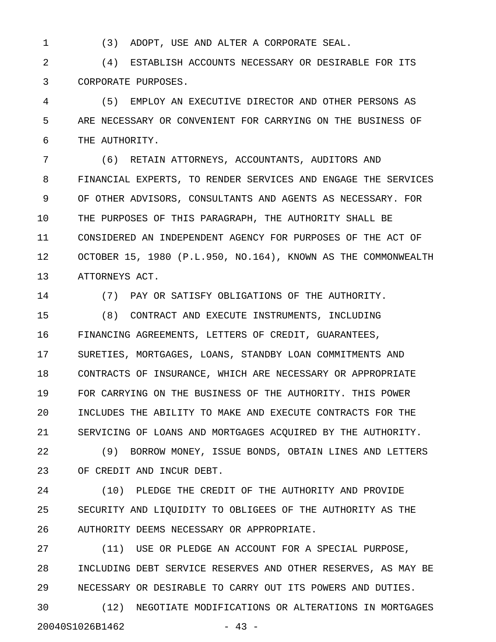1 (3) ADOPT, USE AND ALTER A CORPORATE SEAL.

2 (4) ESTABLISH ACCOUNTS NECESSARY OR DESIRABLE FOR ITS 3 CORPORATE PURPOSES.

4 (5) EMPLOY AN EXECUTIVE DIRECTOR AND OTHER PERSONS AS 5 ARE NECESSARY OR CONVENIENT FOR CARRYING ON THE BUSINESS OF 6 THE AUTHORITY.

7 (6) RETAIN ATTORNEYS, ACCOUNTANTS, AUDITORS AND 8 FINANCIAL EXPERTS, TO RENDER SERVICES AND ENGAGE THE SERVICES 9 OF OTHER ADVISORS, CONSULTANTS AND AGENTS AS NECESSARY. FOR 10 THE PURPOSES OF THIS PARAGRAPH, THE AUTHORITY SHALL BE 11 CONSIDERED AN INDEPENDENT AGENCY FOR PURPOSES OF THE ACT OF 12 OCTOBER 15, 1980 (P.L.950, NO.164), KNOWN AS THE COMMONWEALTH 13 ATTORNEYS ACT.

14 (7) PAY OR SATISFY OBLIGATIONS OF THE AUTHORITY.

15 (8) CONTRACT AND EXECUTE INSTRUMENTS, INCLUDING 16 FINANCING AGREEMENTS, LETTERS OF CREDIT, GUARANTEES, 17 SURETIES, MORTGAGES, LOANS, STANDBY LOAN COMMITMENTS AND 18 CONTRACTS OF INSURANCE, WHICH ARE NECESSARY OR APPROPRIATE 19 FOR CARRYING ON THE BUSINESS OF THE AUTHORITY. THIS POWER 20 INCLUDES THE ABILITY TO MAKE AND EXECUTE CONTRACTS FOR THE 21 SERVICING OF LOANS AND MORTGAGES ACQUIRED BY THE AUTHORITY.

22 (9) BORROW MONEY, ISSUE BONDS, OBTAIN LINES AND LETTERS 23 OF CREDIT AND INCUR DEBT.

24 (10) PLEDGE THE CREDIT OF THE AUTHORITY AND PROVIDE 25 SECURITY AND LIQUIDITY TO OBLIGEES OF THE AUTHORITY AS THE 26 AUTHORITY DEEMS NECESSARY OR APPROPRIATE.

27 (11) USE OR PLEDGE AN ACCOUNT FOR A SPECIAL PURPOSE, 28 INCLUDING DEBT SERVICE RESERVES AND OTHER RESERVES, AS MAY BE 29 NECESSARY OR DESIRABLE TO CARRY OUT ITS POWERS AND DUTIES.

30 (12) NEGOTIATE MODIFICATIONS OR ALTERATIONS IN MORTGAGES 20040S1026B1462 - 43 -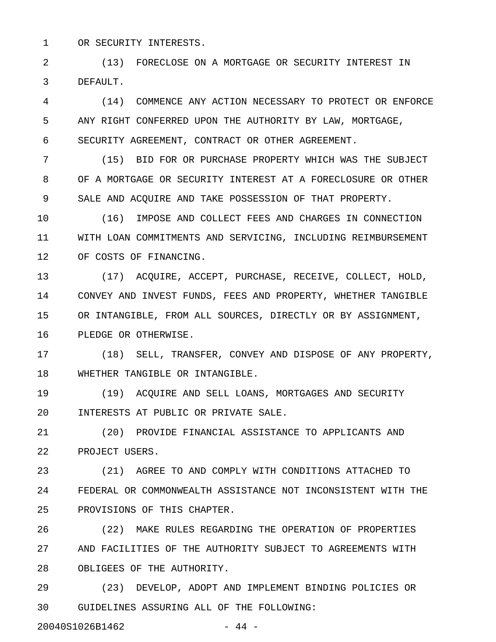1 OR SECURITY INTERESTS.

2 (13) FORECLOSE ON A MORTGAGE OR SECURITY INTEREST IN 3 DEFAULT.

4 (14) COMMENCE ANY ACTION NECESSARY TO PROTECT OR ENFORCE 5 ANY RIGHT CONFERRED UPON THE AUTHORITY BY LAW, MORTGAGE, 6 SECURITY AGREEMENT, CONTRACT OR OTHER AGREEMENT.

7 (15) BID FOR OR PURCHASE PROPERTY WHICH WAS THE SUBJECT 8 OF A MORTGAGE OR SECURITY INTEREST AT A FORECLOSURE OR OTHER 9 SALE AND ACQUIRE AND TAKE POSSESSION OF THAT PROPERTY.

10 (16) IMPOSE AND COLLECT FEES AND CHARGES IN CONNECTION 11 WITH LOAN COMMITMENTS AND SERVICING, INCLUDING REIMBURSEMENT 12 OF COSTS OF FINANCING.

13 (17) ACQUIRE, ACCEPT, PURCHASE, RECEIVE, COLLECT, HOLD, 14 CONVEY AND INVEST FUNDS, FEES AND PROPERTY, WHETHER TANGIBLE 15 OR INTANGIBLE, FROM ALL SOURCES, DIRECTLY OR BY ASSIGNMENT, 16 PLEDGE OR OTHERWISE.

17 (18) SELL, TRANSFER, CONVEY AND DISPOSE OF ANY PROPERTY, 18 WHETHER TANGIBLE OR INTANGIBLE.

19 (19) ACQUIRE AND SELL LOANS, MORTGAGES AND SECURITY 20 INTERESTS AT PUBLIC OR PRIVATE SALE.

21 (20) PROVIDE FINANCIAL ASSISTANCE TO APPLICANTS AND 22 PROJECT USERS.

23 (21) AGREE TO AND COMPLY WITH CONDITIONS ATTACHED TO 24 FEDERAL OR COMMONWEALTH ASSISTANCE NOT INCONSISTENT WITH THE 25 PROVISIONS OF THIS CHAPTER.

26 (22) MAKE RULES REGARDING THE OPERATION OF PROPERTIES 27 AND FACILITIES OF THE AUTHORITY SUBJECT TO AGREEMENTS WITH 28 OBLIGEES OF THE AUTHORITY.

29 (23) DEVELOP, ADOPT AND IMPLEMENT BINDING POLICIES OR 30 GUIDELINES ASSURING ALL OF THE FOLLOWING:

20040S1026B1462 - 44 -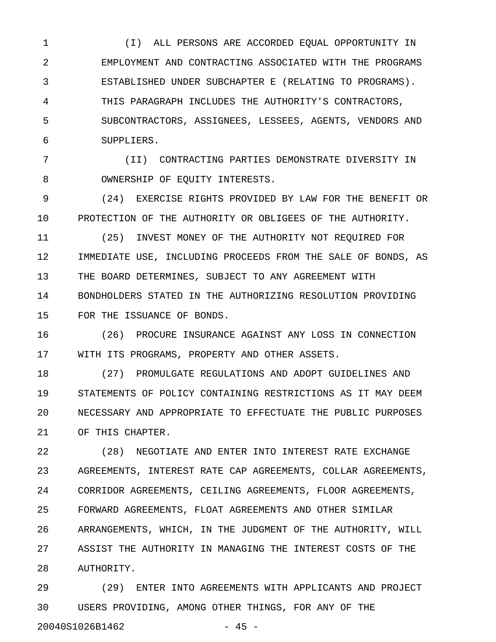1 (I) ALL PERSONS ARE ACCORDED EQUAL OPPORTUNITY IN 2 EMPLOYMENT AND CONTRACTING ASSOCIATED WITH THE PROGRAMS 3 ESTABLISHED UNDER SUBCHAPTER E (RELATING TO PROGRAMS). 4 THIS PARAGRAPH INCLUDES THE AUTHORITY'S CONTRACTORS, 5 SUBCONTRACTORS, ASSIGNEES, LESSEES, AGENTS, VENDORS AND 6 SUPPLIERS.

7 (II) CONTRACTING PARTIES DEMONSTRATE DIVERSITY IN 8 OWNERSHIP OF EQUITY INTERESTS.

9 (24) EXERCISE RIGHTS PROVIDED BY LAW FOR THE BENEFIT OR 10 PROTECTION OF THE AUTHORITY OR OBLIGEES OF THE AUTHORITY.

11 (25) INVEST MONEY OF THE AUTHORITY NOT REQUIRED FOR 12 IMMEDIATE USE, INCLUDING PROCEEDS FROM THE SALE OF BONDS, AS 13 THE BOARD DETERMINES, SUBJECT TO ANY AGREEMENT WITH 14 BONDHOLDERS STATED IN THE AUTHORIZING RESOLUTION PROVIDING 15 FOR THE ISSUANCE OF BONDS.

16 (26) PROCURE INSURANCE AGAINST ANY LOSS IN CONNECTION 17 WITH ITS PROGRAMS, PROPERTY AND OTHER ASSETS.

18 (27) PROMULGATE REGULATIONS AND ADOPT GUIDELINES AND 19 STATEMENTS OF POLICY CONTAINING RESTRICTIONS AS IT MAY DEEM 20 NECESSARY AND APPROPRIATE TO EFFECTUATE THE PUBLIC PURPOSES 21 OF THIS CHAPTER.

22 (28) NEGOTIATE AND ENTER INTO INTEREST RATE EXCHANGE 23 AGREEMENTS, INTEREST RATE CAP AGREEMENTS, COLLAR AGREEMENTS, 24 CORRIDOR AGREEMENTS, CEILING AGREEMENTS, FLOOR AGREEMENTS, 25 FORWARD AGREEMENTS, FLOAT AGREEMENTS AND OTHER SIMILAR 26 ARRANGEMENTS, WHICH, IN THE JUDGMENT OF THE AUTHORITY, WILL 27 ASSIST THE AUTHORITY IN MANAGING THE INTEREST COSTS OF THE 28 AUTHORITY.

29 (29) ENTER INTO AGREEMENTS WITH APPLICANTS AND PROJECT 30 USERS PROVIDING, AMONG OTHER THINGS, FOR ANY OF THE 20040S1026B1462 - 45 -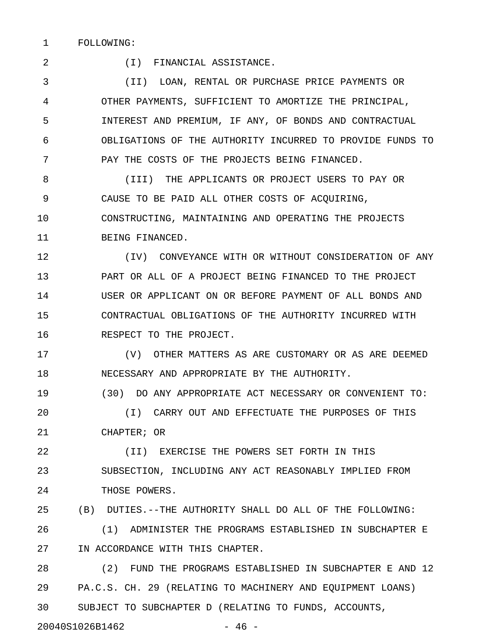1 FOLLOWING:

2 (I) FINANCIAL ASSISTANCE.

3 (II) LOAN, RENTAL OR PURCHASE PRICE PAYMENTS OR 4 OTHER PAYMENTS, SUFFICIENT TO AMORTIZE THE PRINCIPAL, 5 INTEREST AND PREMIUM, IF ANY, OF BONDS AND CONTRACTUAL 6 OBLIGATIONS OF THE AUTHORITY INCURRED TO PROVIDE FUNDS TO 7 PAY THE COSTS OF THE PROJECTS BEING FINANCED.

8 (III) THE APPLICANTS OR PROJECT USERS TO PAY OR 9 CAUSE TO BE PAID ALL OTHER COSTS OF ACQUIRING, 10 CONSTRUCTING, MAINTAINING AND OPERATING THE PROJECTS 11 BEING FINANCED.

12 (IV) CONVEYANCE WITH OR WITHOUT CONSIDERATION OF ANY 13 PART OR ALL OF A PROJECT BEING FINANCED TO THE PROJECT 14 USER OR APPLICANT ON OR BEFORE PAYMENT OF ALL BONDS AND 15 CONTRACTUAL OBLIGATIONS OF THE AUTHORITY INCURRED WITH 16 RESPECT TO THE PROJECT.

17 (V) OTHER MATTERS AS ARE CUSTOMARY OR AS ARE DEEMED 18 NECESSARY AND APPROPRIATE BY THE AUTHORITY.

19 (30) DO ANY APPROPRIATE ACT NECESSARY OR CONVENIENT TO: 20 (I) CARRY OUT AND EFFECTUATE THE PURPOSES OF THIS 21 CHAPTER; OR

22 (II) EXERCISE THE POWERS SET FORTH IN THIS 23 SUBSECTION, INCLUDING ANY ACT REASONABLY IMPLIED FROM 24 THOSE POWERS.

25 (B) DUTIES.--THE AUTHORITY SHALL DO ALL OF THE FOLLOWING:

26 (1) ADMINISTER THE PROGRAMS ESTABLISHED IN SUBCHAPTER E 27 IN ACCORDANCE WITH THIS CHAPTER.

28 (2) FUND THE PROGRAMS ESTABLISHED IN SUBCHAPTER E AND 12 29 PA.C.S. CH. 29 (RELATING TO MACHINERY AND EQUIPMENT LOANS) 30 SUBJECT TO SUBCHAPTER D (RELATING TO FUNDS, ACCOUNTS,

20040S1026B1462 - 46 -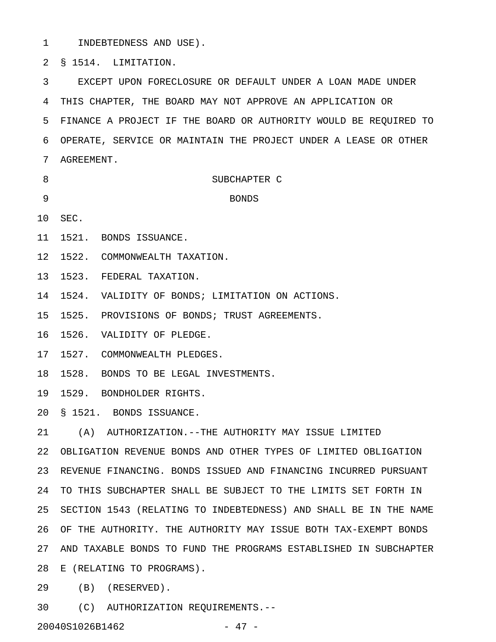1 INDEBTEDNESS AND USE).

2 § 1514. LIMITATION.

3 EXCEPT UPON FORECLOSURE OR DEFAULT UNDER A LOAN MADE UNDER 4 THIS CHAPTER, THE BOARD MAY NOT APPROVE AN APPLICATION OR 5 FINANCE A PROJECT IF THE BOARD OR AUTHORITY WOULD BE REQUIRED TO 6 OPERATE, SERVICE OR MAINTAIN THE PROJECT UNDER A LEASE OR OTHER 7 AGREEMENT.

- 8 SUBCHAPTER C 9 BONDS
- 10 SEC.
- 11 1521. BONDS ISSUANCE.
- 12 1522. COMMONWEALTH TAXATION.
- 13 1523. FEDERAL TAXATION.

14 1524. VALIDITY OF BONDS; LIMITATION ON ACTIONS.

15 1525. PROVISIONS OF BONDS; TRUST AGREEMENTS.

16 1526. VALIDITY OF PLEDGE.

17 1527. COMMONWEALTH PLEDGES.

18 1528. BONDS TO BE LEGAL INVESTMENTS.

19 1529. BONDHOLDER RIGHTS.

20 § 1521. BONDS ISSUANCE.

21 (A) AUTHORIZATION.--THE AUTHORITY MAY ISSUE LIMITED

22 OBLIGATION REVENUE BONDS AND OTHER TYPES OF LIMITED OBLIGATION 23 REVENUE FINANCING. BONDS ISSUED AND FINANCING INCURRED PURSUANT 24 TO THIS SUBCHAPTER SHALL BE SUBJECT TO THE LIMITS SET FORTH IN 25 SECTION 1543 (RELATING TO INDEBTEDNESS) AND SHALL BE IN THE NAME 26 OF THE AUTHORITY. THE AUTHORITY MAY ISSUE BOTH TAX-EXEMPT BONDS 27 AND TAXABLE BONDS TO FUND THE PROGRAMS ESTABLISHED IN SUBCHAPTER 28 E (RELATING TO PROGRAMS).

29 (B) (RESERVED).

30 (C) AUTHORIZATION REQUIREMENTS.--

20040S1026B1462 - 47 -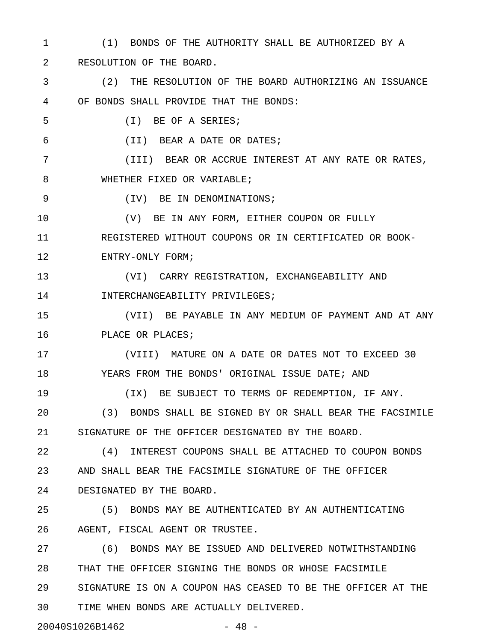1 (1) BONDS OF THE AUTHORITY SHALL BE AUTHORIZED BY A 2 RESOLUTION OF THE BOARD. 3 (2) THE RESOLUTION OF THE BOARD AUTHORIZING AN ISSUANCE 4 OF BONDS SHALL PROVIDE THAT THE BONDS: 5 (I) BE OF A SERIES; 6 (II) BEAR A DATE OR DATES; 7 (III) BEAR OR ACCRUE INTEREST AT ANY RATE OR RATES, 8 WHETHER FIXED OR VARIABLE; 9 (IV) BE IN DENOMINATIONS; 10 (V) BE IN ANY FORM, EITHER COUPON OR FULLY 11 REGISTERED WITHOUT COUPONS OR IN CERTIFICATED OR BOOK-12 ENTRY-ONLY FORM; 13 (VI) CARRY REGISTRATION, EXCHANGEABILITY AND 14 **INTERCHANGEABILITY PRIVILEGES;** 15 (VII) BE PAYABLE IN ANY MEDIUM OF PAYMENT AND AT ANY 16 PLACE OR PLACES; 17 (VIII) MATURE ON A DATE OR DATES NOT TO EXCEED 30 18 YEARS FROM THE BONDS' ORIGINAL ISSUE DATE; AND 19 (IX) BE SUBJECT TO TERMS OF REDEMPTION, IF ANY. 20 (3) BONDS SHALL BE SIGNED BY OR SHALL BEAR THE FACSIMILE 21 SIGNATURE OF THE OFFICER DESIGNATED BY THE BOARD. 22 (4) INTEREST COUPONS SHALL BE ATTACHED TO COUPON BONDS 23 AND SHALL BEAR THE FACSIMILE SIGNATURE OF THE OFFICER 24 DESIGNATED BY THE BOARD. 25 (5) BONDS MAY BE AUTHENTICATED BY AN AUTHENTICATING 26 AGENT, FISCAL AGENT OR TRUSTEE. 27 (6) BONDS MAY BE ISSUED AND DELIVERED NOTWITHSTANDING 28 THAT THE OFFICER SIGNING THE BONDS OR WHOSE FACSIMILE

29 SIGNATURE IS ON A COUPON HAS CEASED TO BE THE OFFICER AT THE 30 TIME WHEN BONDS ARE ACTUALLY DELIVERED.

20040S1026B1462 - 48 -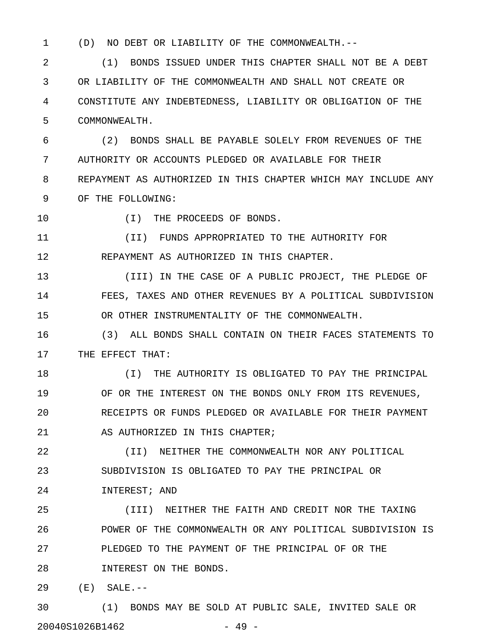- 
- 1 (D) NO DEBT OR LIABILITY OF THE COMMONWEALTH.--

2 (1) BONDS ISSUED UNDER THIS CHAPTER SHALL NOT BE A DEBT 3 OR LIABILITY OF THE COMMONWEALTH AND SHALL NOT CREATE OR 4 CONSTITUTE ANY INDEBTEDNESS, LIABILITY OR OBLIGATION OF THE 5 COMMONWEALTH.

6 (2) BONDS SHALL BE PAYABLE SOLELY FROM REVENUES OF THE 7 AUTHORITY OR ACCOUNTS PLEDGED OR AVAILABLE FOR THEIR 8 REPAYMENT AS AUTHORIZED IN THIS CHAPTER WHICH MAY INCLUDE ANY 9 OF THE FOLLOWING:

10 (I) THE PROCEEDS OF BONDS.

11 (II) FUNDS APPROPRIATED TO THE AUTHORITY FOR 12 REPAYMENT AS AUTHORIZED IN THIS CHAPTER.

13 (III) IN THE CASE OF A PUBLIC PROJECT, THE PLEDGE OF 14 FEES, TAXES AND OTHER REVENUES BY A POLITICAL SUBDIVISION 15 OR OTHER INSTRUMENTALITY OF THE COMMONWEALTH.

16 (3) ALL BONDS SHALL CONTAIN ON THEIR FACES STATEMENTS TO 17 THE EFFECT THAT:

18 (I) THE AUTHORITY IS OBLIGATED TO PAY THE PRINCIPAL 19 OF OR THE INTEREST ON THE BONDS ONLY FROM ITS REVENUES, 20 RECEIPTS OR FUNDS PLEDGED OR AVAILABLE FOR THEIR PAYMENT 21 AS AUTHORIZED IN THIS CHAPTER;

22 (II) NEITHER THE COMMONWEALTH NOR ANY POLITICAL 23 SUBDIVISION IS OBLIGATED TO PAY THE PRINCIPAL OR

24 INTEREST; AND

25 (III) NEITHER THE FAITH AND CREDIT NOR THE TAXING 26 POWER OF THE COMMONWEALTH OR ANY POLITICAL SUBDIVISION IS 27 PLEDGED TO THE PAYMENT OF THE PRINCIPAL OF OR THE 28 INTEREST ON THE BONDS.

29 (E) SALE.--

30 (1) BONDS MAY BE SOLD AT PUBLIC SALE, INVITED SALE OR 20040S1026B1462 - 49 -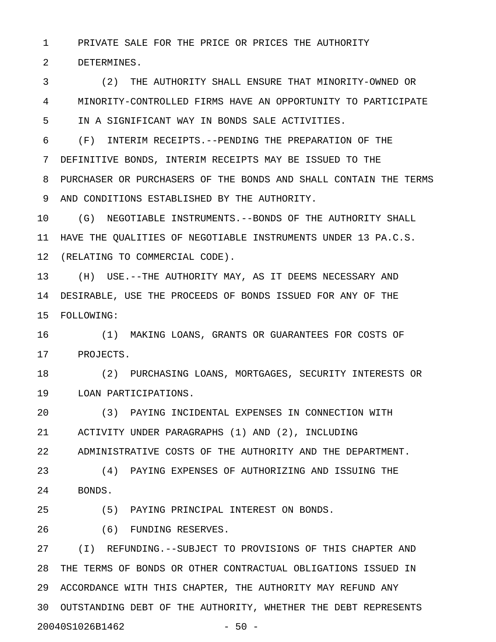1 PRIVATE SALE FOR THE PRICE OR PRICES THE AUTHORITY

2 DETERMINES.

3 (2) THE AUTHORITY SHALL ENSURE THAT MINORITY-OWNED OR 4 MINORITY-CONTROLLED FIRMS HAVE AN OPPORTUNITY TO PARTICIPATE 5 IN A SIGNIFICANT WAY IN BONDS SALE ACTIVITIES.

6 (F) INTERIM RECEIPTS.--PENDING THE PREPARATION OF THE 7 DEFINITIVE BONDS, INTERIM RECEIPTS MAY BE ISSUED TO THE 8 PURCHASER OR PURCHASERS OF THE BONDS AND SHALL CONTAIN THE TERMS 9 AND CONDITIONS ESTABLISHED BY THE AUTHORITY.

10 (G) NEGOTIABLE INSTRUMENTS.--BONDS OF THE AUTHORITY SHALL 11 HAVE THE QUALITIES OF NEGOTIABLE INSTRUMENTS UNDER 13 PA.C.S. 12 (RELATING TO COMMERCIAL CODE).

13 (H) USE.--THE AUTHORITY MAY, AS IT DEEMS NECESSARY AND 14 DESIRABLE, USE THE PROCEEDS OF BONDS ISSUED FOR ANY OF THE 15 FOLLOWING:

16 (1) MAKING LOANS, GRANTS OR GUARANTEES FOR COSTS OF 17 PROJECTS.

18 (2) PURCHASING LOANS, MORTGAGES, SECURITY INTERESTS OR 19 LOAN PARTICIPATIONS.

20 (3) PAYING INCIDENTAL EXPENSES IN CONNECTION WITH 21 ACTIVITY UNDER PARAGRAPHS (1) AND (2), INCLUDING 22 ADMINISTRATIVE COSTS OF THE AUTHORITY AND THE DEPARTMENT.

23 (4) PAYING EXPENSES OF AUTHORIZING AND ISSUING THE 24 BONDS.

25 (5) PAYING PRINCIPAL INTEREST ON BONDS.

26 (6) FUNDING RESERVES.

27 (I) REFUNDING.--SUBJECT TO PROVISIONS OF THIS CHAPTER AND 28 THE TERMS OF BONDS OR OTHER CONTRACTUAL OBLIGATIONS ISSUED IN 29 ACCORDANCE WITH THIS CHAPTER, THE AUTHORITY MAY REFUND ANY 30 OUTSTANDING DEBT OF THE AUTHORITY, WHETHER THE DEBT REPRESENTS 20040S1026B1462 - 50 -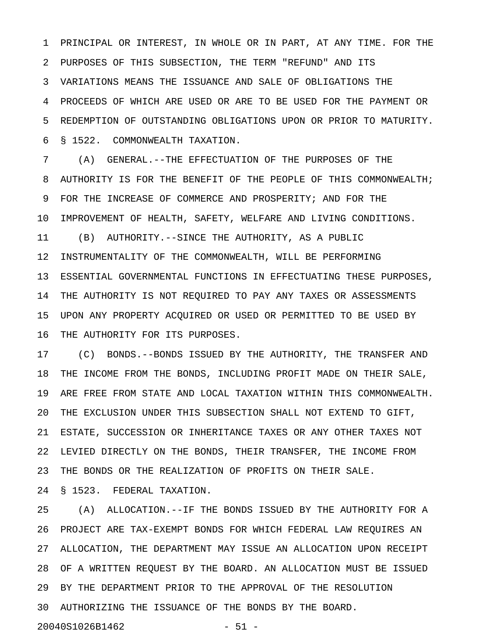1 PRINCIPAL OR INTEREST, IN WHOLE OR IN PART, AT ANY TIME. FOR THE 2 PURPOSES OF THIS SUBSECTION, THE TERM "REFUND" AND ITS 3 VARIATIONS MEANS THE ISSUANCE AND SALE OF OBLIGATIONS THE 4 PROCEEDS OF WHICH ARE USED OR ARE TO BE USED FOR THE PAYMENT OR 5 REDEMPTION OF OUTSTANDING OBLIGATIONS UPON OR PRIOR TO MATURITY. 6 § 1522. COMMONWEALTH TAXATION.

7 (A) GENERAL.--THE EFFECTUATION OF THE PURPOSES OF THE 8 AUTHORITY IS FOR THE BENEFIT OF THE PEOPLE OF THIS COMMONWEALTH; 9 FOR THE INCREASE OF COMMERCE AND PROSPERITY; AND FOR THE 10 IMPROVEMENT OF HEALTH, SAFETY, WELFARE AND LIVING CONDITIONS. 11 (B) AUTHORITY.--SINCE THE AUTHORITY, AS A PUBLIC 12 INSTRUMENTALITY OF THE COMMONWEALTH, WILL BE PERFORMING 13 ESSENTIAL GOVERNMENTAL FUNCTIONS IN EFFECTUATING THESE PURPOSES, 14 THE AUTHORITY IS NOT REQUIRED TO PAY ANY TAXES OR ASSESSMENTS 15 UPON ANY PROPERTY ACQUIRED OR USED OR PERMITTED TO BE USED BY 16 THE AUTHORITY FOR ITS PURPOSES.

17 (C) BONDS.--BONDS ISSUED BY THE AUTHORITY, THE TRANSFER AND 18 THE INCOME FROM THE BONDS, INCLUDING PROFIT MADE ON THEIR SALE, 19 ARE FREE FROM STATE AND LOCAL TAXATION WITHIN THIS COMMONWEALTH. 20 THE EXCLUSION UNDER THIS SUBSECTION SHALL NOT EXTEND TO GIFT, 21 ESTATE, SUCCESSION OR INHERITANCE TAXES OR ANY OTHER TAXES NOT 22 LEVIED DIRECTLY ON THE BONDS, THEIR TRANSFER, THE INCOME FROM 23 THE BONDS OR THE REALIZATION OF PROFITS ON THEIR SALE.

24 § 1523. FEDERAL TAXATION.

25 (A) ALLOCATION.--IF THE BONDS ISSUED BY THE AUTHORITY FOR A 26 PROJECT ARE TAX-EXEMPT BONDS FOR WHICH FEDERAL LAW REQUIRES AN 27 ALLOCATION, THE DEPARTMENT MAY ISSUE AN ALLOCATION UPON RECEIPT 28 OF A WRITTEN REQUEST BY THE BOARD. AN ALLOCATION MUST BE ISSUED 29 BY THE DEPARTMENT PRIOR TO THE APPROVAL OF THE RESOLUTION 30 AUTHORIZING THE ISSUANCE OF THE BONDS BY THE BOARD.

20040S1026B1462 - 51 -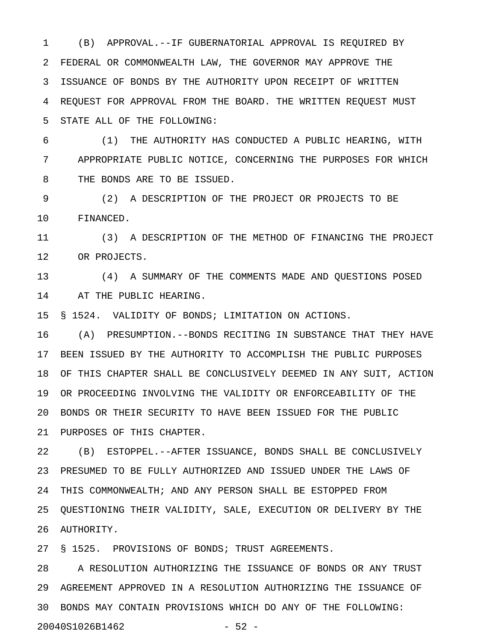1 (B) APPROVAL.--IF GUBERNATORIAL APPROVAL IS REQUIRED BY 2 FEDERAL OR COMMONWEALTH LAW, THE GOVERNOR MAY APPROVE THE 3 ISSUANCE OF BONDS BY THE AUTHORITY UPON RECEIPT OF WRITTEN 4 REQUEST FOR APPROVAL FROM THE BOARD. THE WRITTEN REQUEST MUST 5 STATE ALL OF THE FOLLOWING:

6 (1) THE AUTHORITY HAS CONDUCTED A PUBLIC HEARING, WITH 7 APPROPRIATE PUBLIC NOTICE, CONCERNING THE PURPOSES FOR WHICH 8 THE BONDS ARE TO BE ISSUED.

9 (2) A DESCRIPTION OF THE PROJECT OR PROJECTS TO BE 10 FINANCED.

11 (3) A DESCRIPTION OF THE METHOD OF FINANCING THE PROJECT 12 OR PROJECTS.

13 (4) A SUMMARY OF THE COMMENTS MADE AND QUESTIONS POSED 14 AT THE PUBLIC HEARING.

15 § 1524. VALIDITY OF BONDS; LIMITATION ON ACTIONS.

16 (A) PRESUMPTION.--BONDS RECITING IN SUBSTANCE THAT THEY HAVE 17 BEEN ISSUED BY THE AUTHORITY TO ACCOMPLISH THE PUBLIC PURPOSES 18 OF THIS CHAPTER SHALL BE CONCLUSIVELY DEEMED IN ANY SUIT, ACTION 19 OR PROCEEDING INVOLVING THE VALIDITY OR ENFORCEABILITY OF THE 20 BONDS OR THEIR SECURITY TO HAVE BEEN ISSUED FOR THE PUBLIC 21 PURPOSES OF THIS CHAPTER.

22 (B) ESTOPPEL.--AFTER ISSUANCE, BONDS SHALL BE CONCLUSIVELY 23 PRESUMED TO BE FULLY AUTHORIZED AND ISSUED UNDER THE LAWS OF 24 THIS COMMONWEALTH; AND ANY PERSON SHALL BE ESTOPPED FROM 25 QUESTIONING THEIR VALIDITY, SALE, EXECUTION OR DELIVERY BY THE 26 AUTHORITY.

27 § 1525. PROVISIONS OF BONDS; TRUST AGREEMENTS.

28 A RESOLUTION AUTHORIZING THE ISSUANCE OF BONDS OR ANY TRUST 29 AGREEMENT APPROVED IN A RESOLUTION AUTHORIZING THE ISSUANCE OF 30 BONDS MAY CONTAIN PROVISIONS WHICH DO ANY OF THE FOLLOWING: 20040S1026B1462 - 52 -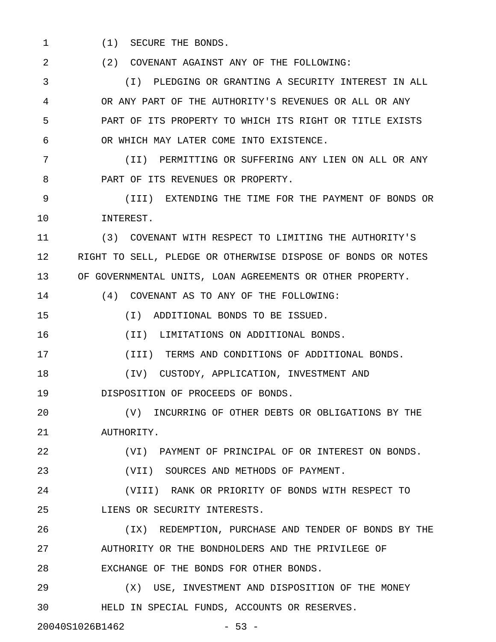1 (1) SECURE THE BONDS.

2 (2) COVENANT AGAINST ANY OF THE FOLLOWING:

3 (I) PLEDGING OR GRANTING A SECURITY INTEREST IN ALL 4 OR ANY PART OF THE AUTHORITY'S REVENUES OR ALL OR ANY 5 PART OF ITS PROPERTY TO WHICH ITS RIGHT OR TITLE EXISTS 6 OR WHICH MAY LATER COME INTO EXISTENCE.

7 (II) PERMITTING OR SUFFERING ANY LIEN ON ALL OR ANY 8 **PART OF ITS REVENUES OR PROPERTY.** 

9 (III) EXTENDING THE TIME FOR THE PAYMENT OF BONDS OR 10 INTEREST.

11 (3) COVENANT WITH RESPECT TO LIMITING THE AUTHORITY'S 12 RIGHT TO SELL, PLEDGE OR OTHERWISE DISPOSE OF BONDS OR NOTES 13 OF GOVERNMENTAL UNITS, LOAN AGREEMENTS OR OTHER PROPERTY.

14 (4) COVENANT AS TO ANY OF THE FOLLOWING:

15 (I) ADDITIONAL BONDS TO BE ISSUED.

16 (II) LIMITATIONS ON ADDITIONAL BONDS.

17 (III) TERMS AND CONDITIONS OF ADDITIONAL BONDS.

18 (IV) CUSTODY, APPLICATION, INVESTMENT AND

19 DISPOSITION OF PROCEEDS OF BONDS.

20 (V) INCURRING OF OTHER DEBTS OR OBLIGATIONS BY THE 21 AUTHORITY.

22 (VI) PAYMENT OF PRINCIPAL OF OR INTEREST ON BONDS.

23 (VII) SOURCES AND METHODS OF PAYMENT.

24 (VIII) RANK OR PRIORITY OF BONDS WITH RESPECT TO 25 LIENS OR SECURITY INTERESTS.

26 (IX) REDEMPTION, PURCHASE AND TENDER OF BONDS BY THE 27 AUTHORITY OR THE BONDHOLDERS AND THE PRIVILEGE OF 28 EXCHANGE OF THE BONDS FOR OTHER BONDS.

29 (X) USE, INVESTMENT AND DISPOSITION OF THE MONEY 30 HELD IN SPECIAL FUNDS, ACCOUNTS OR RESERVES.

20040S1026B1462 - 53 -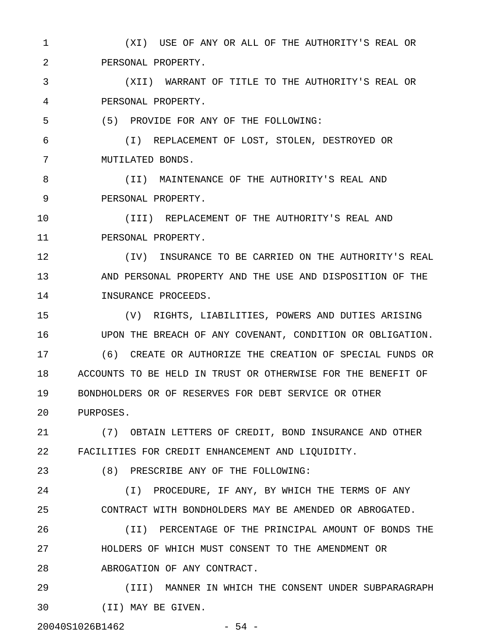1 (XI) USE OF ANY OR ALL OF THE AUTHORITY'S REAL OR 2 PERSONAL PROPERTY.

3 (XII) WARRANT OF TITLE TO THE AUTHORITY'S REAL OR 4 PERSONAL PROPERTY.

5 (5) PROVIDE FOR ANY OF THE FOLLOWING:

6 (I) REPLACEMENT OF LOST, STOLEN, DESTROYED OR 7 MUTILATED BONDS.

8 (II) MAINTENANCE OF THE AUTHORITY'S REAL AND 9 PERSONAL PROPERTY.

10 (III) REPLACEMENT OF THE AUTHORITY'S REAL AND 11 PERSONAL PROPERTY.

12 (IV) INSURANCE TO BE CARRIED ON THE AUTHORITY'S REAL 13 AND PERSONAL PROPERTY AND THE USE AND DISPOSITION OF THE 14 INSURANCE PROCEEDS.

15 (V) RIGHTS, LIABILITIES, POWERS AND DUTIES ARISING 16 UPON THE BREACH OF ANY COVENANT, CONDITION OR OBLIGATION. 17 (6) CREATE OR AUTHORIZE THE CREATION OF SPECIAL FUNDS OR 18 ACCOUNTS TO BE HELD IN TRUST OR OTHERWISE FOR THE BENEFIT OF 19 BONDHOLDERS OR OF RESERVES FOR DEBT SERVICE OR OTHER 20 PURPOSES.

21 (7) OBTAIN LETTERS OF CREDIT, BOND INSURANCE AND OTHER 22 FACILITIES FOR CREDIT ENHANCEMENT AND LIQUIDITY.

23 (8) PRESCRIBE ANY OF THE FOLLOWING:

24 (I) PROCEDURE, IF ANY, BY WHICH THE TERMS OF ANY 25 CONTRACT WITH BONDHOLDERS MAY BE AMENDED OR ABROGATED.

26 (II) PERCENTAGE OF THE PRINCIPAL AMOUNT OF BONDS THE 27 HOLDERS OF WHICH MUST CONSENT TO THE AMENDMENT OR 28 ABROGATION OF ANY CONTRACT.

29 (III) MANNER IN WHICH THE CONSENT UNDER SUBPARAGRAPH 30 (II) MAY BE GIVEN.

20040S1026B1462 - 54 -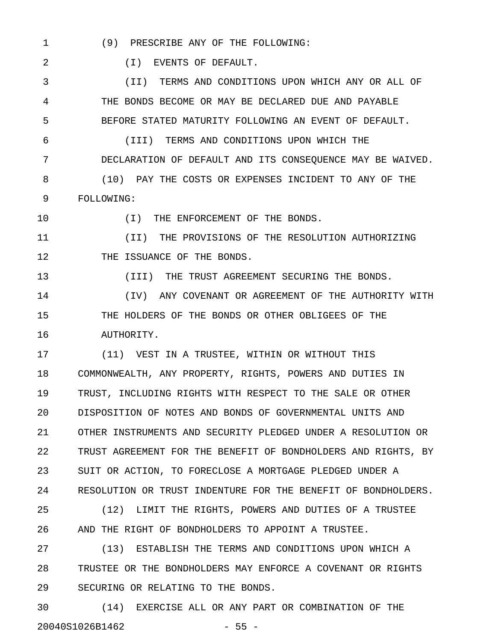1 (9) PRESCRIBE ANY OF THE FOLLOWING:

2 (I) EVENTS OF DEFAULT.

3 (II) TERMS AND CONDITIONS UPON WHICH ANY OR ALL OF 4 THE BONDS BECOME OR MAY BE DECLARED DUE AND PAYABLE 5 BEFORE STATED MATURITY FOLLOWING AN EVENT OF DEFAULT.

6 (III) TERMS AND CONDITIONS UPON WHICH THE 7 DECLARATION OF DEFAULT AND ITS CONSEQUENCE MAY BE WAIVED. 8 (10) PAY THE COSTS OR EXPENSES INCIDENT TO ANY OF THE 9 FOLLOWING:

10  $(I)$  THE ENFORCEMENT OF THE BONDS.

11 (II) THE PROVISIONS OF THE RESOLUTION AUTHORIZING 12 THE ISSUANCE OF THE BONDS.

13 (III) THE TRUST AGREEMENT SECURING THE BONDS.

14 (IV) ANY COVENANT OR AGREEMENT OF THE AUTHORITY WITH 15 THE HOLDERS OF THE BONDS OR OTHER OBLIGEES OF THE 16 AUTHORITY.

17 (11) VEST IN A TRUSTEE, WITHIN OR WITHOUT THIS 18 COMMONWEALTH, ANY PROPERTY, RIGHTS, POWERS AND DUTIES IN 19 TRUST, INCLUDING RIGHTS WITH RESPECT TO THE SALE OR OTHER 20 DISPOSITION OF NOTES AND BONDS OF GOVERNMENTAL UNITS AND 21 OTHER INSTRUMENTS AND SECURITY PLEDGED UNDER A RESOLUTION OR 22 TRUST AGREEMENT FOR THE BENEFIT OF BONDHOLDERS AND RIGHTS, BY 23 SUIT OR ACTION, TO FORECLOSE A MORTGAGE PLEDGED UNDER A 24 RESOLUTION OR TRUST INDENTURE FOR THE BENEFIT OF BONDHOLDERS.

25 (12) LIMIT THE RIGHTS, POWERS AND DUTIES OF A TRUSTEE 26 AND THE RIGHT OF BONDHOLDERS TO APPOINT A TRUSTEE.

27 (13) ESTABLISH THE TERMS AND CONDITIONS UPON WHICH A 28 TRUSTEE OR THE BONDHOLDERS MAY ENFORCE A COVENANT OR RIGHTS 29 SECURING OR RELATING TO THE BONDS.

30 (14) EXERCISE ALL OR ANY PART OR COMBINATION OF THE 20040S1026B1462 - 55 -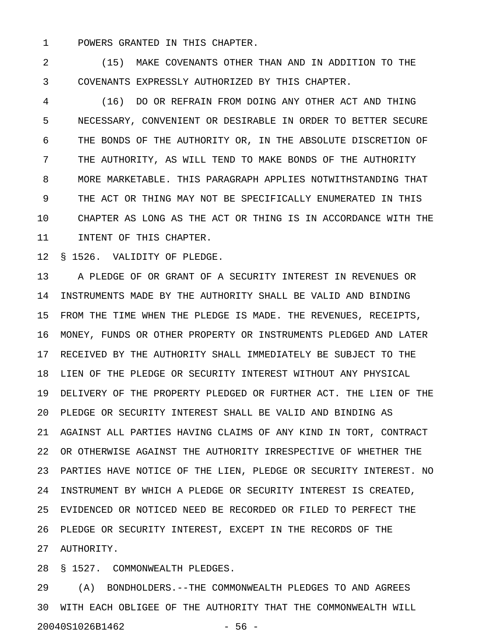1 POWERS GRANTED IN THIS CHAPTER.

2 (15) MAKE COVENANTS OTHER THAN AND IN ADDITION TO THE 3 COVENANTS EXPRESSLY AUTHORIZED BY THIS CHAPTER.

4 (16) DO OR REFRAIN FROM DOING ANY OTHER ACT AND THING 5 NECESSARY, CONVENIENT OR DESIRABLE IN ORDER TO BETTER SECURE 6 THE BONDS OF THE AUTHORITY OR, IN THE ABSOLUTE DISCRETION OF 7 THE AUTHORITY, AS WILL TEND TO MAKE BONDS OF THE AUTHORITY 8 MORE MARKETABLE. THIS PARAGRAPH APPLIES NOTWITHSTANDING THAT 9 THE ACT OR THING MAY NOT BE SPECIFICALLY ENUMERATED IN THIS 10 CHAPTER AS LONG AS THE ACT OR THING IS IN ACCORDANCE WITH THE 11 INTENT OF THIS CHAPTER.

12 § 1526. VALIDITY OF PLEDGE.

13 A PLEDGE OF OR GRANT OF A SECURITY INTEREST IN REVENUES OR 14 INSTRUMENTS MADE BY THE AUTHORITY SHALL BE VALID AND BINDING 15 FROM THE TIME WHEN THE PLEDGE IS MADE. THE REVENUES, RECEIPTS, 16 MONEY, FUNDS OR OTHER PROPERTY OR INSTRUMENTS PLEDGED AND LATER 17 RECEIVED BY THE AUTHORITY SHALL IMMEDIATELY BE SUBJECT TO THE 18 LIEN OF THE PLEDGE OR SECURITY INTEREST WITHOUT ANY PHYSICAL 19 DELIVERY OF THE PROPERTY PLEDGED OR FURTHER ACT. THE LIEN OF THE 20 PLEDGE OR SECURITY INTEREST SHALL BE VALID AND BINDING AS 21 AGAINST ALL PARTIES HAVING CLAIMS OF ANY KIND IN TORT, CONTRACT 22 OR OTHERWISE AGAINST THE AUTHORITY IRRESPECTIVE OF WHETHER THE 23 PARTIES HAVE NOTICE OF THE LIEN, PLEDGE OR SECURITY INTEREST. NO 24 INSTRUMENT BY WHICH A PLEDGE OR SECURITY INTEREST IS CREATED, 25 EVIDENCED OR NOTICED NEED BE RECORDED OR FILED TO PERFECT THE 26 PLEDGE OR SECURITY INTEREST, EXCEPT IN THE RECORDS OF THE 27 AUTHORITY.

28 § 1527. COMMONWEALTH PLEDGES.

29 (A) BONDHOLDERS.--THE COMMONWEALTH PLEDGES TO AND AGREES 30 WITH EACH OBLIGEE OF THE AUTHORITY THAT THE COMMONWEALTH WILL 20040S1026B1462 - 56 -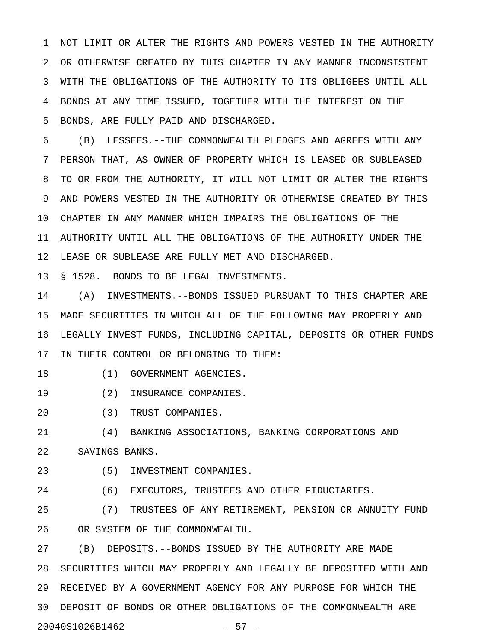1 NOT LIMIT OR ALTER THE RIGHTS AND POWERS VESTED IN THE AUTHORITY 2 OR OTHERWISE CREATED BY THIS CHAPTER IN ANY MANNER INCONSISTENT 3 WITH THE OBLIGATIONS OF THE AUTHORITY TO ITS OBLIGEES UNTIL ALL 4 BONDS AT ANY TIME ISSUED, TOGETHER WITH THE INTEREST ON THE 5 BONDS, ARE FULLY PAID AND DISCHARGED.

6 (B) LESSEES.--THE COMMONWEALTH PLEDGES AND AGREES WITH ANY 7 PERSON THAT, AS OWNER OF PROPERTY WHICH IS LEASED OR SUBLEASED 8 TO OR FROM THE AUTHORITY, IT WILL NOT LIMIT OR ALTER THE RIGHTS 9 AND POWERS VESTED IN THE AUTHORITY OR OTHERWISE CREATED BY THIS 10 CHAPTER IN ANY MANNER WHICH IMPAIRS THE OBLIGATIONS OF THE 11 AUTHORITY UNTIL ALL THE OBLIGATIONS OF THE AUTHORITY UNDER THE 12 LEASE OR SUBLEASE ARE FULLY MET AND DISCHARGED.

13 § 1528. BONDS TO BE LEGAL INVESTMENTS.

14 (A) INVESTMENTS.--BONDS ISSUED PURSUANT TO THIS CHAPTER ARE 15 MADE SECURITIES IN WHICH ALL OF THE FOLLOWING MAY PROPERLY AND 16 LEGALLY INVEST FUNDS, INCLUDING CAPITAL, DEPOSITS OR OTHER FUNDS 17 IN THEIR CONTROL OR BELONGING TO THEM:

- 18 (1) GOVERNMENT AGENCIES.
- 19 (2) INSURANCE COMPANIES.
- 20 (3) TRUST COMPANIES.

21 (4) BANKING ASSOCIATIONS, BANKING CORPORATIONS AND 22 SAVINGS BANKS.

23 (5) INVESTMENT COMPANIES.

24 (6) EXECUTORS, TRUSTEES AND OTHER FIDUCIARIES.

25 (7) TRUSTEES OF ANY RETIREMENT, PENSION OR ANNUITY FUND 26 OR SYSTEM OF THE COMMONWEALTH.

27 (B) DEPOSITS.--BONDS ISSUED BY THE AUTHORITY ARE MADE 28 SECURITIES WHICH MAY PROPERLY AND LEGALLY BE DEPOSITED WITH AND 29 RECEIVED BY A GOVERNMENT AGENCY FOR ANY PURPOSE FOR WHICH THE 30 DEPOSIT OF BONDS OR OTHER OBLIGATIONS OF THE COMMONWEALTH ARE 20040S1026B1462 - 57 -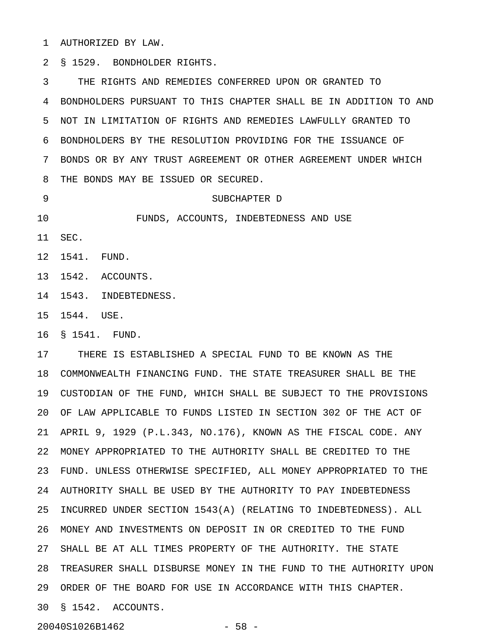1 AUTHORIZED BY LAW.

2 § 1529. BONDHOLDER RIGHTS.

3 THE RIGHTS AND REMEDIES CONFERRED UPON OR GRANTED TO 4 BONDHOLDERS PURSUANT TO THIS CHAPTER SHALL BE IN ADDITION TO AND 5 NOT IN LIMITATION OF RIGHTS AND REMEDIES LAWFULLY GRANTED TO 6 BONDHOLDERS BY THE RESOLUTION PROVIDING FOR THE ISSUANCE OF 7 BONDS OR BY ANY TRUST AGREEMENT OR OTHER AGREEMENT UNDER WHICH 8 THE BONDS MAY BE ISSUED OR SECURED.

9 SUBCHAPTER D

10 FUNDS, ACCOUNTS, INDEBTEDNESS AND USE

11 SEC.

12 1541. FUND.

13 1542. ACCOUNTS.

14 1543. INDEBTEDNESS.

15 1544. USE.

16 § 1541. FUND.

17 THERE IS ESTABLISHED A SPECIAL FUND TO BE KNOWN AS THE 18 COMMONWEALTH FINANCING FUND. THE STATE TREASURER SHALL BE THE 19 CUSTODIAN OF THE FUND, WHICH SHALL BE SUBJECT TO THE PROVISIONS 20 OF LAW APPLICABLE TO FUNDS LISTED IN SECTION 302 OF THE ACT OF 21 APRIL 9, 1929 (P.L.343, NO.176), KNOWN AS THE FISCAL CODE. ANY 22 MONEY APPROPRIATED TO THE AUTHORITY SHALL BE CREDITED TO THE 23 FUND. UNLESS OTHERWISE SPECIFIED, ALL MONEY APPROPRIATED TO THE 24 AUTHORITY SHALL BE USED BY THE AUTHORITY TO PAY INDEBTEDNESS 25 INCURRED UNDER SECTION 1543(A) (RELATING TO INDEBTEDNESS). ALL 26 MONEY AND INVESTMENTS ON DEPOSIT IN OR CREDITED TO THE FUND 27 SHALL BE AT ALL TIMES PROPERTY OF THE AUTHORITY. THE STATE 28 TREASURER SHALL DISBURSE MONEY IN THE FUND TO THE AUTHORITY UPON 29 ORDER OF THE BOARD FOR USE IN ACCORDANCE WITH THIS CHAPTER. 30 § 1542. ACCOUNTS.

20040S1026B1462 - 58 -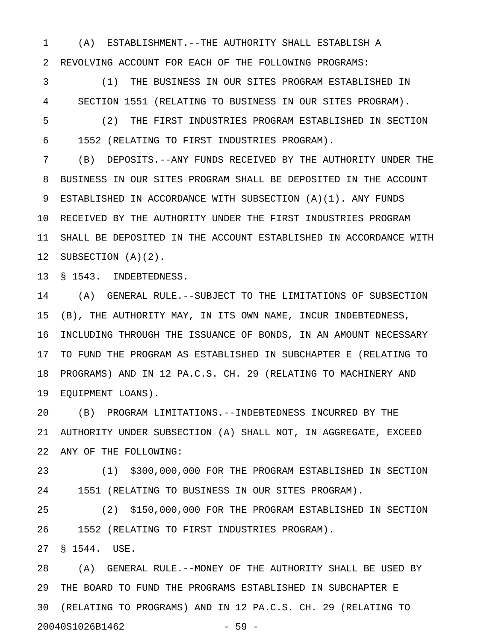1 (A) ESTABLISHMENT.--THE AUTHORITY SHALL ESTABLISH A 2 REVOLVING ACCOUNT FOR EACH OF THE FOLLOWING PROGRAMS:

3 (1) THE BUSINESS IN OUR SITES PROGRAM ESTABLISHED IN 4 SECTION 1551 (RELATING TO BUSINESS IN OUR SITES PROGRAM).

5 (2) THE FIRST INDUSTRIES PROGRAM ESTABLISHED IN SECTION 6 1552 (RELATING TO FIRST INDUSTRIES PROGRAM).

7 (B) DEPOSITS.--ANY FUNDS RECEIVED BY THE AUTHORITY UNDER THE 8 BUSINESS IN OUR SITES PROGRAM SHALL BE DEPOSITED IN THE ACCOUNT 9 ESTABLISHED IN ACCORDANCE WITH SUBSECTION (A)(1). ANY FUNDS 10 RECEIVED BY THE AUTHORITY UNDER THE FIRST INDUSTRIES PROGRAM 11 SHALL BE DEPOSITED IN THE ACCOUNT ESTABLISHED IN ACCORDANCE WITH 12 SUBSECTION (A)(2).

13 § 1543. INDEBTEDNESS.

14 (A) GENERAL RULE.--SUBJECT TO THE LIMITATIONS OF SUBSECTION 15 (B), THE AUTHORITY MAY, IN ITS OWN NAME, INCUR INDEBTEDNESS, 16 INCLUDING THROUGH THE ISSUANCE OF BONDS, IN AN AMOUNT NECESSARY 17 TO FUND THE PROGRAM AS ESTABLISHED IN SUBCHAPTER E (RELATING TO 18 PROGRAMS) AND IN 12 PA.C.S. CH. 29 (RELATING TO MACHINERY AND 19 EQUIPMENT LOANS).

20 (B) PROGRAM LIMITATIONS.--INDEBTEDNESS INCURRED BY THE 21 AUTHORITY UNDER SUBSECTION (A) SHALL NOT, IN AGGREGATE, EXCEED 22 ANY OF THE FOLLOWING:

23 (1) \$300,000,000 FOR THE PROGRAM ESTABLISHED IN SECTION 24 1551 (RELATING TO BUSINESS IN OUR SITES PROGRAM).

25 (2) \$150,000,000 FOR THE PROGRAM ESTABLISHED IN SECTION 26 1552 (RELATING TO FIRST INDUSTRIES PROGRAM).

27 § 1544. USE.

28 (A) GENERAL RULE.--MONEY OF THE AUTHORITY SHALL BE USED BY 29 THE BOARD TO FUND THE PROGRAMS ESTABLISHED IN SUBCHAPTER E 30 (RELATING TO PROGRAMS) AND IN 12 PA.C.S. CH. 29 (RELATING TO 20040S1026B1462 - 59 -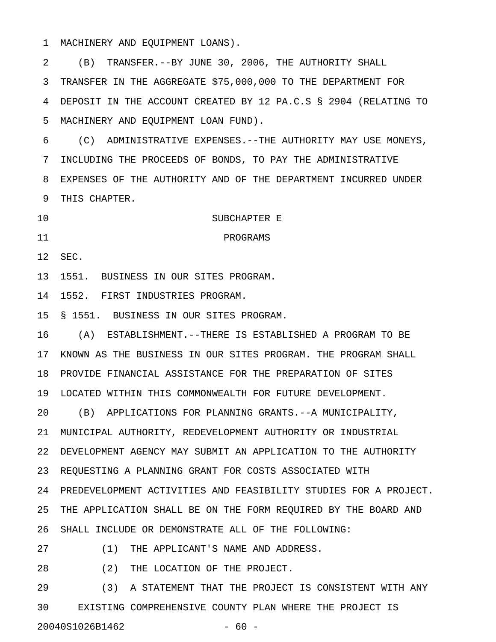1 MACHINERY AND EQUIPMENT LOANS).

2 (B) TRANSFER.--BY JUNE 30, 2006, THE AUTHORITY SHALL 3 TRANSFER IN THE AGGREGATE \$75,000,000 TO THE DEPARTMENT FOR 4 DEPOSIT IN THE ACCOUNT CREATED BY 12 PA.C.S § 2904 (RELATING TO 5 MACHINERY AND EQUIPMENT LOAN FUND).

6 (C) ADMINISTRATIVE EXPENSES.--THE AUTHORITY MAY USE MONEYS, 7 INCLUDING THE PROCEEDS OF BONDS, TO PAY THE ADMINISTRATIVE 8 EXPENSES OF THE AUTHORITY AND OF THE DEPARTMENT INCURRED UNDER 9 THIS CHAPTER.

10 SUBCHAPTER E

12 SEC.

13 1551. BUSINESS IN OUR SITES PROGRAM.

11 PROGRAMS

14 1552. FIRST INDUSTRIES PROGRAM.

15 § 1551. BUSINESS IN OUR SITES PROGRAM.

16 (A) ESTABLISHMENT.--THERE IS ESTABLISHED A PROGRAM TO BE 17 KNOWN AS THE BUSINESS IN OUR SITES PROGRAM. THE PROGRAM SHALL 18 PROVIDE FINANCIAL ASSISTANCE FOR THE PREPARATION OF SITES 19 LOCATED WITHIN THIS COMMONWEALTH FOR FUTURE DEVELOPMENT.

20 (B) APPLICATIONS FOR PLANNING GRANTS.--A MUNICIPALITY, 21 MUNICIPAL AUTHORITY, REDEVELOPMENT AUTHORITY OR INDUSTRIAL 22 DEVELOPMENT AGENCY MAY SUBMIT AN APPLICATION TO THE AUTHORITY 23 REQUESTING A PLANNING GRANT FOR COSTS ASSOCIATED WITH 24 PREDEVELOPMENT ACTIVITIES AND FEASIBILITY STUDIES FOR A PROJECT. 25 THE APPLICATION SHALL BE ON THE FORM REQUIRED BY THE BOARD AND 26 SHALL INCLUDE OR DEMONSTRATE ALL OF THE FOLLOWING:

27 (1) THE APPLICANT'S NAME AND ADDRESS.

28 (2) THE LOCATION OF THE PROJECT.

29 (3) A STATEMENT THAT THE PROJECT IS CONSISTENT WITH ANY 30 EXISTING COMPREHENSIVE COUNTY PLAN WHERE THE PROJECT IS 20040S1026B1462 - 60 -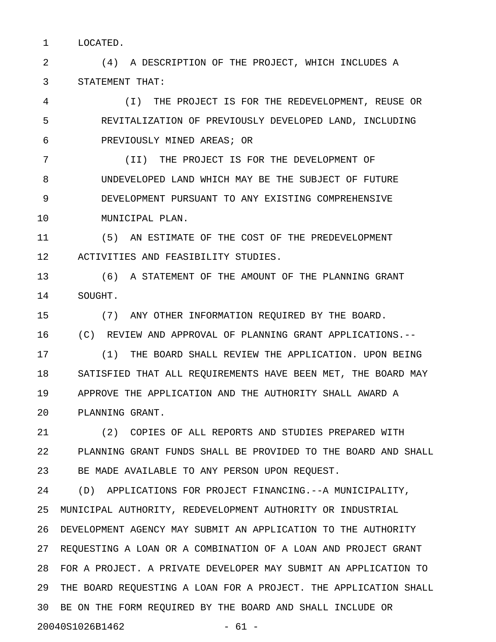1 LOCATED.

2 (4) A DESCRIPTION OF THE PROJECT, WHICH INCLUDES A 3 STATEMENT THAT:

4 (I) THE PROJECT IS FOR THE REDEVELOPMENT, REUSE OR 5 REVITALIZATION OF PREVIOUSLY DEVELOPED LAND, INCLUDING 6 PREVIOUSLY MINED AREAS; OR

7 (II) THE PROJECT IS FOR THE DEVELOPMENT OF 8 UNDEVELOPED LAND WHICH MAY BE THE SUBJECT OF FUTURE 9 DEVELOPMENT PURSUANT TO ANY EXISTING COMPREHENSIVE 10 MUNICIPAL PLAN.

11 (5) AN ESTIMATE OF THE COST OF THE PREDEVELOPMENT 12 ACTIVITIES AND FEASIBILITY STUDIES.

13 (6) A STATEMENT OF THE AMOUNT OF THE PLANNING GRANT 14 SOUGHT.

15 (7) ANY OTHER INFORMATION REQUIRED BY THE BOARD.

16 (C) REVIEW AND APPROVAL OF PLANNING GRANT APPLICATIONS.--

17 (1) THE BOARD SHALL REVIEW THE APPLICATION. UPON BEING 18 SATISFIED THAT ALL REQUIREMENTS HAVE BEEN MET, THE BOARD MAY 19 APPROVE THE APPLICATION AND THE AUTHORITY SHALL AWARD A 20 PLANNING GRANT.

21 (2) COPIES OF ALL REPORTS AND STUDIES PREPARED WITH 22 PLANNING GRANT FUNDS SHALL BE PROVIDED TO THE BOARD AND SHALL 23 BE MADE AVAILABLE TO ANY PERSON UPON REQUEST.

24 (D) APPLICATIONS FOR PROJECT FINANCING.--A MUNICIPALITY, 25 MUNICIPAL AUTHORITY, REDEVELOPMENT AUTHORITY OR INDUSTRIAL 26 DEVELOPMENT AGENCY MAY SUBMIT AN APPLICATION TO THE AUTHORITY 27 REQUESTING A LOAN OR A COMBINATION OF A LOAN AND PROJECT GRANT 28 FOR A PROJECT. A PRIVATE DEVELOPER MAY SUBMIT AN APPLICATION TO 29 THE BOARD REQUESTING A LOAN FOR A PROJECT. THE APPLICATION SHALL 30 BE ON THE FORM REQUIRED BY THE BOARD AND SHALL INCLUDE OR 20040S1026B1462 - 61 -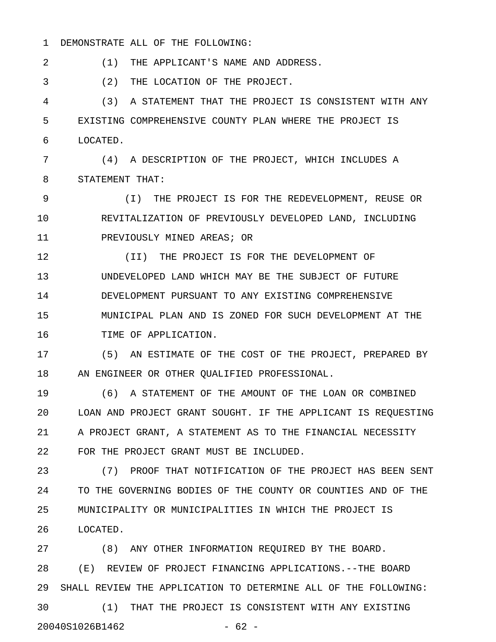#### 1 DEMONSTRATE ALL OF THE FOLLOWING:

2 (1) THE APPLICANT'S NAME AND ADDRESS.

3 (2) THE LOCATION OF THE PROJECT.

4 (3) A STATEMENT THAT THE PROJECT IS CONSISTENT WITH ANY 5 EXISTING COMPREHENSIVE COUNTY PLAN WHERE THE PROJECT IS 6 LOCATED.

7 (4) A DESCRIPTION OF THE PROJECT, WHICH INCLUDES A 8 STATEMENT THAT:

9 (I) THE PROJECT IS FOR THE REDEVELOPMENT, REUSE OR 10 REVITALIZATION OF PREVIOUSLY DEVELOPED LAND, INCLUDING 11 PREVIOUSLY MINED AREAS; OR

12 (II) THE PROJECT IS FOR THE DEVELOPMENT OF 13 UNDEVELOPED LAND WHICH MAY BE THE SUBJECT OF FUTURE 14 DEVELOPMENT PURSUANT TO ANY EXISTING COMPREHENSIVE 15 MUNICIPAL PLAN AND IS ZONED FOR SUCH DEVELOPMENT AT THE 16 TIME OF APPLICATION.

17 (5) AN ESTIMATE OF THE COST OF THE PROJECT, PREPARED BY 18 AN ENGINEER OR OTHER QUALIFIED PROFESSIONAL.

19 (6) A STATEMENT OF THE AMOUNT OF THE LOAN OR COMBINED 20 LOAN AND PROJECT GRANT SOUGHT. IF THE APPLICANT IS REQUESTING 21 A PROJECT GRANT, A STATEMENT AS TO THE FINANCIAL NECESSITY 22 FOR THE PROJECT GRANT MUST BE INCLUDED.

23 (7) PROOF THAT NOTIFICATION OF THE PROJECT HAS BEEN SENT 24 TO THE GOVERNING BODIES OF THE COUNTY OR COUNTIES AND OF THE 25 MUNICIPALITY OR MUNICIPALITIES IN WHICH THE PROJECT IS 26 LOCATED.

27 (8) ANY OTHER INFORMATION REQUIRED BY THE BOARD. 28 (E) REVIEW OF PROJECT FINANCING APPLICATIONS.--THE BOARD 29 SHALL REVIEW THE APPLICATION TO DETERMINE ALL OF THE FOLLOWING: 30 (1) THAT THE PROJECT IS CONSISTENT WITH ANY EXISTING 20040S1026B1462 - 62 -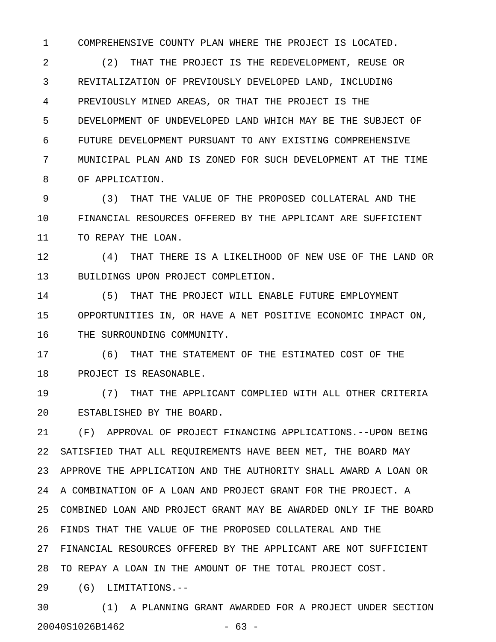1 COMPREHENSIVE COUNTY PLAN WHERE THE PROJECT IS LOCATED.

2 (2) THAT THE PROJECT IS THE REDEVELOPMENT, REUSE OR 3 REVITALIZATION OF PREVIOUSLY DEVELOPED LAND, INCLUDING 4 PREVIOUSLY MINED AREAS, OR THAT THE PROJECT IS THE 5 DEVELOPMENT OF UNDEVELOPED LAND WHICH MAY BE THE SUBJECT OF 6 FUTURE DEVELOPMENT PURSUANT TO ANY EXISTING COMPREHENSIVE 7 MUNICIPAL PLAN AND IS ZONED FOR SUCH DEVELOPMENT AT THE TIME 8 OF APPLICATION.

9 (3) THAT THE VALUE OF THE PROPOSED COLLATERAL AND THE 10 FINANCIAL RESOURCES OFFERED BY THE APPLICANT ARE SUFFICIENT 11 TO REPAY THE LOAN.

12 (4) THAT THERE IS A LIKELIHOOD OF NEW USE OF THE LAND OR 13 BUILDINGS UPON PROJECT COMPLETION.

14 (5) THAT THE PROJECT WILL ENABLE FUTURE EMPLOYMENT 15 OPPORTUNITIES IN, OR HAVE A NET POSITIVE ECONOMIC IMPACT ON, 16 THE SURROUNDING COMMUNITY.

17 (6) THAT THE STATEMENT OF THE ESTIMATED COST OF THE 18 PROJECT IS REASONABLE.

19 (7) THAT THE APPLICANT COMPLIED WITH ALL OTHER CRITERIA 20 ESTABLISHED BY THE BOARD.

21 (F) APPROVAL OF PROJECT FINANCING APPLICATIONS.--UPON BEING 22 SATISFIED THAT ALL REQUIREMENTS HAVE BEEN MET, THE BOARD MAY 23 APPROVE THE APPLICATION AND THE AUTHORITY SHALL AWARD A LOAN OR 24 A COMBINATION OF A LOAN AND PROJECT GRANT FOR THE PROJECT. A 25 COMBINED LOAN AND PROJECT GRANT MAY BE AWARDED ONLY IF THE BOARD 26 FINDS THAT THE VALUE OF THE PROPOSED COLLATERAL AND THE 27 FINANCIAL RESOURCES OFFERED BY THE APPLICANT ARE NOT SUFFICIENT 28 TO REPAY A LOAN IN THE AMOUNT OF THE TOTAL PROJECT COST.

29 (G) LIMITATIONS.--

30 (1) A PLANNING GRANT AWARDED FOR A PROJECT UNDER SECTION 20040S1026B1462 - 63 -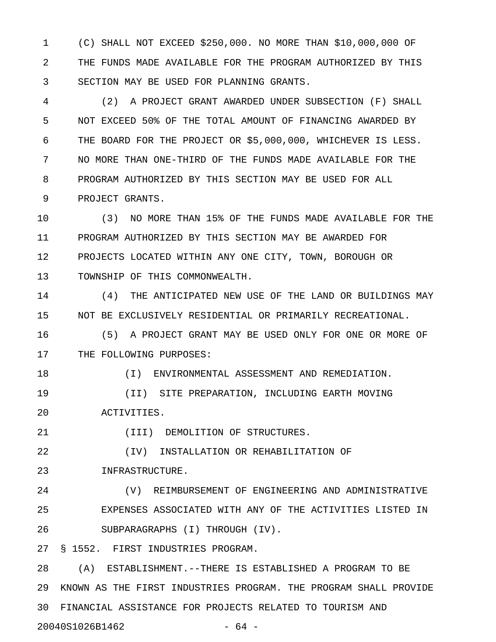1 (C) SHALL NOT EXCEED \$250,000. NO MORE THAN \$10,000,000 OF 2 THE FUNDS MADE AVAILABLE FOR THE PROGRAM AUTHORIZED BY THIS 3 SECTION MAY BE USED FOR PLANNING GRANTS.

4 (2) A PROJECT GRANT AWARDED UNDER SUBSECTION (F) SHALL 5 NOT EXCEED 50% OF THE TOTAL AMOUNT OF FINANCING AWARDED BY 6 THE BOARD FOR THE PROJECT OR \$5,000,000, WHICHEVER IS LESS. 7 NO MORE THAN ONE-THIRD OF THE FUNDS MADE AVAILABLE FOR THE 8 PROGRAM AUTHORIZED BY THIS SECTION MAY BE USED FOR ALL 9 PROJECT GRANTS.

10 (3) NO MORE THAN 15% OF THE FUNDS MADE AVAILABLE FOR THE 11 PROGRAM AUTHORIZED BY THIS SECTION MAY BE AWARDED FOR 12 PROJECTS LOCATED WITHIN ANY ONE CITY, TOWN, BOROUGH OR 13 TOWNSHIP OF THIS COMMONWEALTH.

14 (4) THE ANTICIPATED NEW USE OF THE LAND OR BUILDINGS MAY 15 NOT BE EXCLUSIVELY RESIDENTIAL OR PRIMARILY RECREATIONAL.

16 (5) A PROJECT GRANT MAY BE USED ONLY FOR ONE OR MORE OF 17 THE FOLLOWING PURPOSES:

18 (I) ENVIRONMENTAL ASSESSMENT AND REMEDIATION.

19 (II) SITE PREPARATION, INCLUDING EARTH MOVING 20 ACTIVITIES.

21 (III) DEMOLITION OF STRUCTURES.

22 (IV) INSTALLATION OR REHABILITATION OF

23 INFRASTRUCTURE.

24 (V) REIMBURSEMENT OF ENGINEERING AND ADMINISTRATIVE 25 EXPENSES ASSOCIATED WITH ANY OF THE ACTIVITIES LISTED IN 26 SUBPARAGRAPHS (I) THROUGH (IV).

27 § 1552. FIRST INDUSTRIES PROGRAM.

28 (A) ESTABLISHMENT.--THERE IS ESTABLISHED A PROGRAM TO BE 29 KNOWN AS THE FIRST INDUSTRIES PROGRAM. THE PROGRAM SHALL PROVIDE 30 FINANCIAL ASSISTANCE FOR PROJECTS RELATED TO TOURISM AND 20040S1026B1462 - 64 -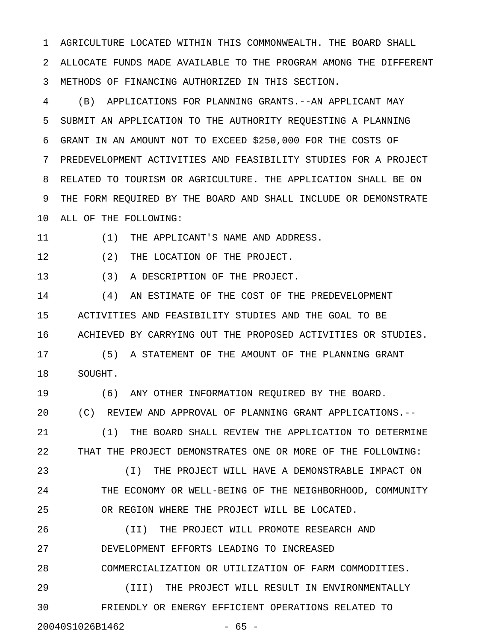1 AGRICULTURE LOCATED WITHIN THIS COMMONWEALTH. THE BOARD SHALL 2 ALLOCATE FUNDS MADE AVAILABLE TO THE PROGRAM AMONG THE DIFFERENT 3 METHODS OF FINANCING AUTHORIZED IN THIS SECTION.

4 (B) APPLICATIONS FOR PLANNING GRANTS.--AN APPLICANT MAY 5 SUBMIT AN APPLICATION TO THE AUTHORITY REQUESTING A PLANNING 6 GRANT IN AN AMOUNT NOT TO EXCEED \$250,000 FOR THE COSTS OF 7 PREDEVELOPMENT ACTIVITIES AND FEASIBILITY STUDIES FOR A PROJECT 8 RELATED TO TOURISM OR AGRICULTURE. THE APPLICATION SHALL BE ON 9 THE FORM REQUIRED BY THE BOARD AND SHALL INCLUDE OR DEMONSTRATE 10 ALL OF THE FOLLOWING:

11 (1) THE APPLICANT'S NAME AND ADDRESS.

12 (2) THE LOCATION OF THE PROJECT.

13 (3) A DESCRIPTION OF THE PROJECT.

14 (4) AN ESTIMATE OF THE COST OF THE PREDEVELOPMENT 15 ACTIVITIES AND FEASIBILITY STUDIES AND THE GOAL TO BE 16 ACHIEVED BY CARRYING OUT THE PROPOSED ACTIVITIES OR STUDIES.

17 (5) A STATEMENT OF THE AMOUNT OF THE PLANNING GRANT 18 SOUGHT.

19 (6) ANY OTHER INFORMATION REQUIRED BY THE BOARD. 20 (C) REVIEW AND APPROVAL OF PLANNING GRANT APPLICATIONS.-- 21 (1) THE BOARD SHALL REVIEW THE APPLICATION TO DETERMINE 22 THAT THE PROJECT DEMONSTRATES ONE OR MORE OF THE FOLLOWING:

23 (I) THE PROJECT WILL HAVE A DEMONSTRABLE IMPACT ON 24 THE ECONOMY OR WELL-BEING OF THE NEIGHBORHOOD, COMMUNITY 25 OR REGION WHERE THE PROJECT WILL BE LOCATED.

26 (II) THE PROJECT WILL PROMOTE RESEARCH AND 27 DEVELOPMENT EFFORTS LEADING TO INCREASED

28 COMMERCIALIZATION OR UTILIZATION OF FARM COMMODITIES.

29 (III) THE PROJECT WILL RESULT IN ENVIRONMENTALLY 30 FRIENDLY OR ENERGY EFFICIENT OPERATIONS RELATED TO

20040S1026B1462 - 65 -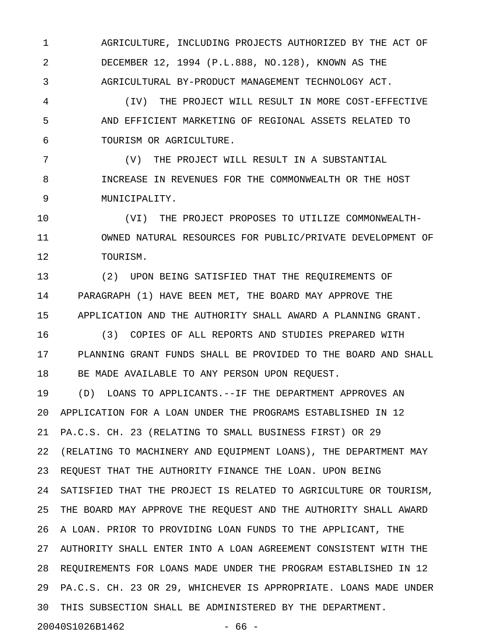1 AGRICULTURE, INCLUDING PROJECTS AUTHORIZED BY THE ACT OF 2 DECEMBER 12, 1994 (P.L.888, NO.128), KNOWN AS THE 3 AGRICULTURAL BY-PRODUCT MANAGEMENT TECHNOLOGY ACT.

4 (IV) THE PROJECT WILL RESULT IN MORE COST-EFFECTIVE 5 AND EFFICIENT MARKETING OF REGIONAL ASSETS RELATED TO 6 TOURISM OR AGRICULTURE.

7 (V) THE PROJECT WILL RESULT IN A SUBSTANTIAL 8 INCREASE IN REVENUES FOR THE COMMONWEALTH OR THE HOST 9 MUNICIPALITY.

10 (VI) THE PROJECT PROPOSES TO UTILIZE COMMONWEALTH-11 OWNED NATURAL RESOURCES FOR PUBLIC/PRIVATE DEVELOPMENT OF 12 TOURISM.

13 (2) UPON BEING SATISFIED THAT THE REQUIREMENTS OF 14 PARAGRAPH (1) HAVE BEEN MET, THE BOARD MAY APPROVE THE 15 APPLICATION AND THE AUTHORITY SHALL AWARD A PLANNING GRANT.

16 (3) COPIES OF ALL REPORTS AND STUDIES PREPARED WITH 17 PLANNING GRANT FUNDS SHALL BE PROVIDED TO THE BOARD AND SHALL 18 BE MADE AVAILABLE TO ANY PERSON UPON REQUEST.

19 (D) LOANS TO APPLICANTS.--IF THE DEPARTMENT APPROVES AN 20 APPLICATION FOR A LOAN UNDER THE PROGRAMS ESTABLISHED IN 12 21 PA.C.S. CH. 23 (RELATING TO SMALL BUSINESS FIRST) OR 29 22 (RELATING TO MACHINERY AND EQUIPMENT LOANS), THE DEPARTMENT MAY 23 REQUEST THAT THE AUTHORITY FINANCE THE LOAN. UPON BEING 24 SATISFIED THAT THE PROJECT IS RELATED TO AGRICULTURE OR TOURISM, 25 THE BOARD MAY APPROVE THE REQUEST AND THE AUTHORITY SHALL AWARD 26 A LOAN. PRIOR TO PROVIDING LOAN FUNDS TO THE APPLICANT, THE 27 AUTHORITY SHALL ENTER INTO A LOAN AGREEMENT CONSISTENT WITH THE 28 REQUIREMENTS FOR LOANS MADE UNDER THE PROGRAM ESTABLISHED IN 12 29 PA.C.S. CH. 23 OR 29, WHICHEVER IS APPROPRIATE. LOANS MADE UNDER 30 THIS SUBSECTION SHALL BE ADMINISTERED BY THE DEPARTMENT.

20040S1026B1462 - 66 -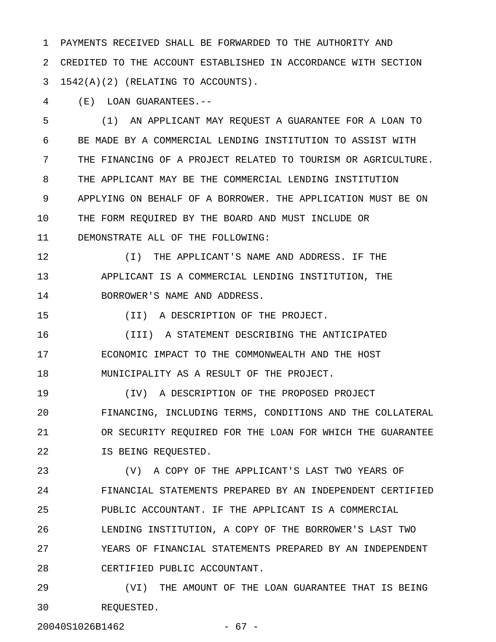1 PAYMENTS RECEIVED SHALL BE FORWARDED TO THE AUTHORITY AND 2 CREDITED TO THE ACCOUNT ESTABLISHED IN ACCORDANCE WITH SECTION  $3 1542(A)(2)$  (RELATING TO ACCOUNTS).

4 (E) LOAN GUARANTEES.--

5 (1) AN APPLICANT MAY REQUEST A GUARANTEE FOR A LOAN TO 6 BE MADE BY A COMMERCIAL LENDING INSTITUTION TO ASSIST WITH 7 THE FINANCING OF A PROJECT RELATED TO TOURISM OR AGRICULTURE. 8 THE APPLICANT MAY BE THE COMMERCIAL LENDING INSTITUTION 9 APPLYING ON BEHALF OF A BORROWER. THE APPLICATION MUST BE ON 10 THE FORM REQUIRED BY THE BOARD AND MUST INCLUDE OR 11 DEMONSTRATE ALL OF THE FOLLOWING:

12 (I) THE APPLICANT'S NAME AND ADDRESS. IF THE 13 APPLICANT IS A COMMERCIAL LENDING INSTITUTION, THE 14 BORROWER'S NAME AND ADDRESS.

15 (II) A DESCRIPTION OF THE PROJECT.

16 (III) A STATEMENT DESCRIBING THE ANTICIPATED 17 ECONOMIC IMPACT TO THE COMMONWEALTH AND THE HOST 18 MUNICIPALITY AS A RESULT OF THE PROJECT.

19 (IV) A DESCRIPTION OF THE PROPOSED PROJECT 20 FINANCING, INCLUDING TERMS, CONDITIONS AND THE COLLATERAL 21 OR SECURITY REQUIRED FOR THE LOAN FOR WHICH THE GUARANTEE 22 IS BEING REQUESTED.

23 (V) A COPY OF THE APPLICANT'S LAST TWO YEARS OF 24 FINANCIAL STATEMENTS PREPARED BY AN INDEPENDENT CERTIFIED 25 PUBLIC ACCOUNTANT. IF THE APPLICANT IS A COMMERCIAL 26 LENDING INSTITUTION, A COPY OF THE BORROWER'S LAST TWO 27 YEARS OF FINANCIAL STATEMENTS PREPARED BY AN INDEPENDENT 28 CERTIFIED PUBLIC ACCOUNTANT.

29 (VI) THE AMOUNT OF THE LOAN GUARANTEE THAT IS BEING 30 REQUESTED.

20040S1026B1462 - 67 -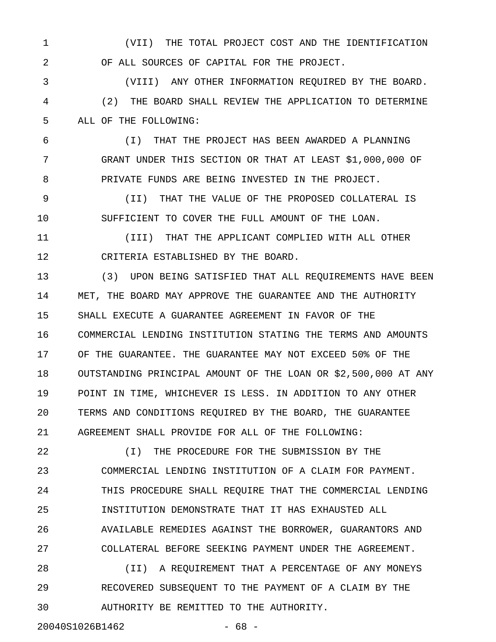1 (VII) THE TOTAL PROJECT COST AND THE IDENTIFICATION 2 OF ALL SOURCES OF CAPITAL FOR THE PROJECT.

3 (VIII) ANY OTHER INFORMATION REQUIRED BY THE BOARD. 4 (2) THE BOARD SHALL REVIEW THE APPLICATION TO DETERMINE 5 ALL OF THE FOLLOWING:

6 (I) THAT THE PROJECT HAS BEEN AWARDED A PLANNING 7 GRANT UNDER THIS SECTION OR THAT AT LEAST \$1,000,000 OF 8 PRIVATE FUNDS ARE BEING INVESTED IN THE PROJECT.

9 (II) THAT THE VALUE OF THE PROPOSED COLLATERAL IS 10 SUFFICIENT TO COVER THE FULL AMOUNT OF THE LOAN.

11 (III) THAT THE APPLICANT COMPLIED WITH ALL OTHER 12 CRITERIA ESTABLISHED BY THE BOARD.

13 (3) UPON BEING SATISFIED THAT ALL REQUIREMENTS HAVE BEEN 14 MET, THE BOARD MAY APPROVE THE GUARANTEE AND THE AUTHORITY 15 SHALL EXECUTE A GUARANTEE AGREEMENT IN FAVOR OF THE 16 COMMERCIAL LENDING INSTITUTION STATING THE TERMS AND AMOUNTS 17 OF THE GUARANTEE. THE GUARANTEE MAY NOT EXCEED 50% OF THE 18 OUTSTANDING PRINCIPAL AMOUNT OF THE LOAN OR \$2,500,000 AT ANY 19 POINT IN TIME, WHICHEVER IS LESS. IN ADDITION TO ANY OTHER 20 TERMS AND CONDITIONS REQUIRED BY THE BOARD, THE GUARANTEE 21 AGREEMENT SHALL PROVIDE FOR ALL OF THE FOLLOWING:

22 (I) THE PROCEDURE FOR THE SUBMISSION BY THE 23 COMMERCIAL LENDING INSTITUTION OF A CLAIM FOR PAYMENT. 24 THIS PROCEDURE SHALL REQUIRE THAT THE COMMERCIAL LENDING 25 INSTITUTION DEMONSTRATE THAT IT HAS EXHAUSTED ALL 26 AVAILABLE REMEDIES AGAINST THE BORROWER, GUARANTORS AND 27 COLLATERAL BEFORE SEEKING PAYMENT UNDER THE AGREEMENT.

28 (II) A REQUIREMENT THAT A PERCENTAGE OF ANY MONEYS 29 RECOVERED SUBSEQUENT TO THE PAYMENT OF A CLAIM BY THE 30 AUTHORITY BE REMITTED TO THE AUTHORITY.

20040S1026B1462 - 68 -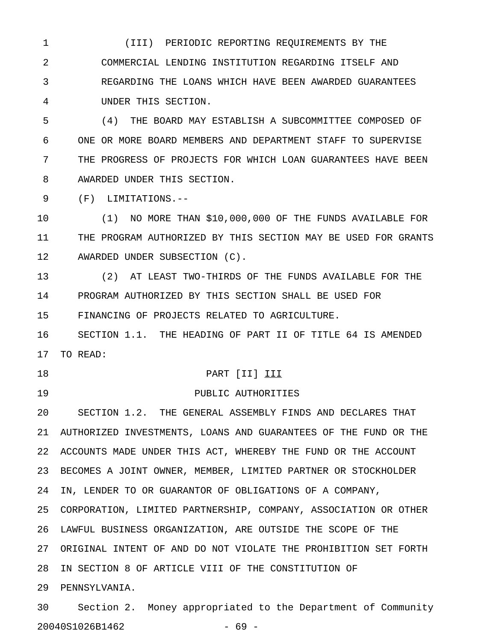1 (III) PERIODIC REPORTING REQUIREMENTS BY THE 2 COMMERCIAL LENDING INSTITUTION REGARDING ITSELF AND 3 REGARDING THE LOANS WHICH HAVE BEEN AWARDED GUARANTEES 4 UNDER THIS SECTION.

5 (4) THE BOARD MAY ESTABLISH A SUBCOMMITTEE COMPOSED OF 6 ONE OR MORE BOARD MEMBERS AND DEPARTMENT STAFF TO SUPERVISE 7 THE PROGRESS OF PROJECTS FOR WHICH LOAN GUARANTEES HAVE BEEN 8 AWARDED UNDER THIS SECTION.

9 (F) LIMITATIONS.--

10 (1) NO MORE THAN \$10,000,000 OF THE FUNDS AVAILABLE FOR 11 THE PROGRAM AUTHORIZED BY THIS SECTION MAY BE USED FOR GRANTS 12 AWARDED UNDER SUBSECTION (C).

13 (2) AT LEAST TWO-THIRDS OF THE FUNDS AVAILABLE FOR THE 14 PROGRAM AUTHORIZED BY THIS SECTION SHALL BE USED FOR 15 FINANCING OF PROJECTS RELATED TO AGRICULTURE.

16 SECTION 1.1. THE HEADING OF PART II OF TITLE 64 IS AMENDED 17 TO READ:

#### 18 PART [II] III

19 PUBLIC AUTHORITIES

20 SECTION 1.2. THE GENERAL ASSEMBLY FINDS AND DECLARES THAT 21 AUTHORIZED INVESTMENTS, LOANS AND GUARANTEES OF THE FUND OR THE 22 ACCOUNTS MADE UNDER THIS ACT, WHEREBY THE FUND OR THE ACCOUNT 23 BECOMES A JOINT OWNER, MEMBER, LIMITED PARTNER OR STOCKHOLDER 24 IN, LENDER TO OR GUARANTOR OF OBLIGATIONS OF A COMPANY, 25 CORPORATION, LIMITED PARTNERSHIP, COMPANY, ASSOCIATION OR OTHER 26 LAWFUL BUSINESS ORGANIZATION, ARE OUTSIDE THE SCOPE OF THE 27 ORIGINAL INTENT OF AND DO NOT VIOLATE THE PROHIBITION SET FORTH 28 IN SECTION 8 OF ARTICLE VIII OF THE CONSTITUTION OF 29 PENNSYLVANIA.

30 Section 2. Money appropriated to the Department of Community 20040S1026B1462 - 69 -